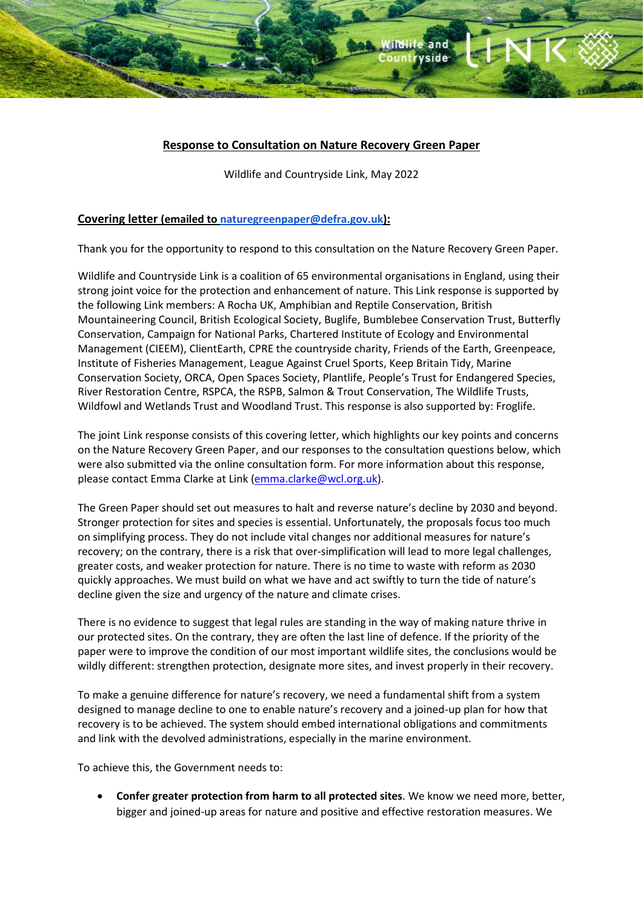# **Response to Consultation on Nature Recovery Green Paper**

1

and **rvside** 

Wildlife and Countryside Link, May 2022

## **Covering letter (emailed to [naturegreenpaper@defra.gov.uk\)](mailto:naturegreenpaper@defra.gov.uk):**

Thank you for the opportunity to respond to this consultation on the Nature Recovery Green Paper.

Wildlife and Countryside Link is a coalition of 65 environmental organisations in England, using their strong joint voice for the protection and enhancement of nature. This Link response is supported by the following Link members: A Rocha UK, Amphibian and Reptile Conservation, British Mountaineering Council, British Ecological Society, Buglife, Bumblebee Conservation Trust, Butterfly Conservation, Campaign for National Parks, Chartered Institute of Ecology and Environmental Management (CIEEM), ClientEarth, CPRE the countryside charity, Friends of the Earth, Greenpeace, Institute of Fisheries Management, League Against Cruel Sports, Keep Britain Tidy, Marine Conservation Society, ORCA, Open Spaces Society, Plantlife, People's Trust for Endangered Species, River Restoration Centre, RSPCA, the RSPB, Salmon & Trout Conservation, The Wildlife Trusts, Wildfowl and Wetlands Trust and Woodland Trust. This response is also supported by: Froglife.

The joint Link response consists of this covering letter, which highlights our key points and concerns on the Nature Recovery Green Paper, and our responses to the consultation questions below, which were also submitted via the online consultation form. For more information about this response, please contact Emma Clarke at Link [\(emma.clarke@wcl.org.uk\)](mailto:emma.clarke@wcl.org.uk).

The Green Paper should set out measures to halt and reverse nature's decline by 2030 and beyond. Stronger protection for sites and species is essential. Unfortunately, the proposals focus too much on simplifying process. They do not include vital changes nor additional measures for nature's recovery; on the contrary, there is a risk that over-simplification will lead to more legal challenges, greater costs, and weaker protection for nature. There is no time to waste with reform as 2030 quickly approaches. We must build on what we have and act swiftly to turn the tide of nature's decline given the size and urgency of the nature and climate crises.

There is no evidence to suggest that legal rules are standing in the way of making nature thrive in our protected sites. On the contrary, they are often the last line of defence. If the priority of the paper were to improve the condition of our most important wildlife sites, the conclusions would be wildly different: strengthen protection, designate more sites, and invest properly in their recovery.

To make a genuine difference for nature's recovery, we need a fundamental shift from a system designed to manage decline to one to enable nature's recovery and a joined-up plan for how that recovery is to be achieved. The system should embed international obligations and commitments and link with the devolved administrations, especially in the marine environment.

To achieve this, the Government needs to:

• **Confer greater protection from harm to all protected sites**. We know we need more, better, bigger and joined-up areas for nature and positive and effective restoration measures. We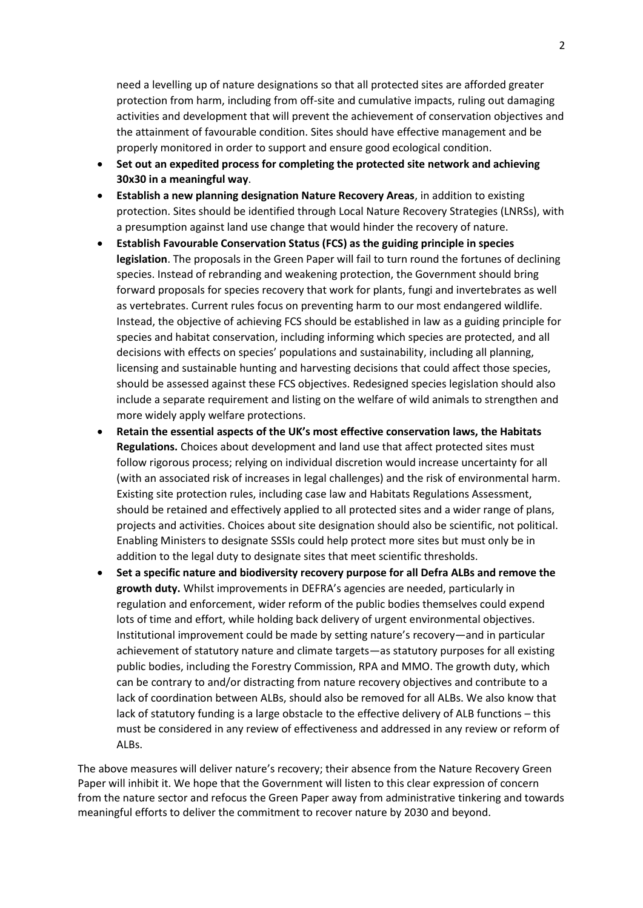need a levelling up of nature designations so that all protected sites are afforded greater protection from harm, including from off-site and cumulative impacts, ruling out damaging activities and development that will prevent the achievement of conservation objectives and the attainment of favourable condition. Sites should have effective management and be properly monitored in order to support and ensure good ecological condition.

- **Set out an expedited process for completing the protected site network and achieving 30x30 in a meaningful way**.
- **Establish a new planning designation Nature Recovery Areas**, in addition to existing protection. Sites should be identified through Local Nature Recovery Strategies (LNRSs), with a presumption against land use change that would hinder the recovery of nature.
- **Establish Favourable Conservation Status (FCS) as the guiding principle in species legislation**. The proposals in the Green Paper will fail to turn round the fortunes of declining species. Instead of rebranding and weakening protection, the Government should bring forward proposals for species recovery that work for plants, fungi and invertebrates as well as vertebrates. Current rules focus on preventing harm to our most endangered wildlife. Instead, the objective of achieving FCS should be established in law as a guiding principle for species and habitat conservation, including informing which species are protected, and all decisions with effects on species' populations and sustainability, including all planning, licensing and sustainable hunting and harvesting decisions that could affect those species, should be assessed against these FCS objectives. Redesigned species legislation should also include a separate requirement and listing on the welfare of wild animals to strengthen and more widely apply welfare protections.
- **Retain the essential aspects of the UK's most effective conservation laws, the Habitats Regulations.** Choices about development and land use that affect protected sites must follow rigorous process; relying on individual discretion would increase uncertainty for all (with an associated risk of increases in legal challenges) and the risk of environmental harm. Existing site protection rules, including case law and Habitats Regulations Assessment, should be retained and effectively applied to all protected sites and a wider range of plans, projects and activities. Choices about site designation should also be scientific, not political. Enabling Ministers to designate SSSIs could help protect more sites but must only be in addition to the legal duty to designate sites that meet scientific thresholds.
- **Set a specific nature and biodiversity recovery purpose for all Defra ALBs and remove the growth duty.** Whilst improvements in DEFRA's agencies are needed, particularly in regulation and enforcement, wider reform of the public bodies themselves could expend lots of time and effort, while holding back delivery of urgent environmental objectives. Institutional improvement could be made by setting nature's recovery—and in particular achievement of statutory nature and climate targets—as statutory purposes for all existing public bodies, including the Forestry Commission, RPA and MMO. The growth duty, which can be contrary to and/or distracting from nature recovery objectives and contribute to a lack of coordination between ALBs, should also be removed for all ALBs. We also know that lack of statutory funding is a large obstacle to the effective delivery of ALB functions – this must be considered in any review of effectiveness and addressed in any review or reform of ALBs.

The above measures will deliver nature's recovery; their absence from the Nature Recovery Green Paper will inhibit it. We hope that the Government will listen to this clear expression of concern from the nature sector and refocus the Green Paper away from administrative tinkering and towards meaningful efforts to deliver the commitment to recover nature by 2030 and beyond.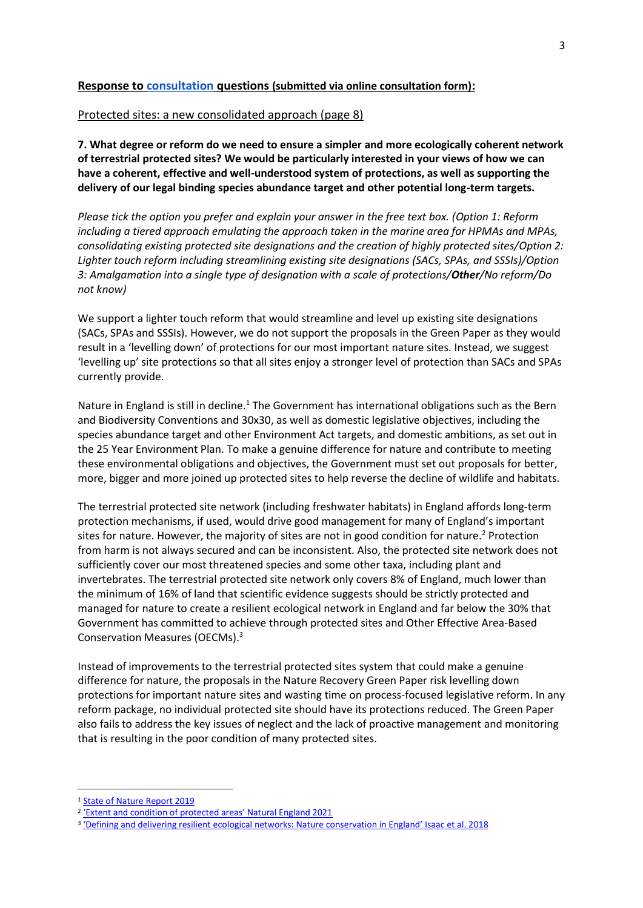## **Response to [consultation](https://consult.defra.gov.uk/nature-recovery-green-paper/nature-recovery-green-paper/) questions (submitted via online consultation form):**

### Protected sites: a new consolidated approach (page 8)

**7. What degree or reform do we need to ensure a simpler and more ecologically coherent network of terrestrial protected sites? We would be particularly interested in your views of how we can have a coherent, effective and well-understood system of protections, as well as supporting the delivery of our legal binding species abundance target and other potential long-term targets.**

*Please tick the option you prefer and explain your answer in the free text box. (Option 1: Reform including a tiered approach emulating the approach taken in the marine area for HPMAs and MPAs, consolidating existing protected site designations and the creation of highly protected sites/Option 2: Lighter touch reform including streamlining existing site designations (SACs, SPAs, and SSSIs)/Option 3: Amalgamation into a single type of designation with a scale of protections/Other/No reform/Do not know)*

We support a lighter touch reform that would streamline and level up existing site designations (SACs, SPAs and SSSIs). However, we do not support the proposals in the Green Paper as they would result in a 'levelling down' of protections for our most important nature sites. Instead, we suggest 'levelling up' site protections so that all sites enjoy a stronger level of protection than SACs and SPAs currently provide.

Nature in England is still in decline.<sup>1</sup> The Government has international obligations such as the Bern and Biodiversity Conventions and 30x30, as well as domestic legislative objectives, including the species abundance target and other Environment Act targets, and domestic ambitions, as set out in the 25 Year Environment Plan. To make a genuine difference for nature and contribute to meeting these environmental obligations and objectives, the Government must set out proposals for better, more, bigger and more joined up protected sites to help reverse the decline of wildlife and habitats.

The terrestrial protected site network (including freshwater habitats) in England affords long-term protection mechanisms, if used, would drive good management for many of England's important sites for nature. However, the majority of sites are not in good condition for nature.<sup>2</sup> Protection from harm is not always secured and can be inconsistent. Also, the protected site network does not sufficiently cover our most threatened species and some other taxa, including plant and invertebrates. The terrestrial protected site network only covers 8% of England, much lower than the minimum of 16% of land that scientific evidence suggests should be strictly protected and managed for nature to create a resilient ecological network in England and far below the 30% that Government has committed to achieve through protected sites and Other Effective Area-Based Conservation Measures (OECMs).<sup>3</sup>

Instead of improvements to the terrestrial protected sites system that could make a genuine difference for nature, the proposals in the Nature Recovery Green Paper risk levelling down protections for important nature sites and wasting time on process-focused legislative reform. In any reform package, no individual protected site should have its protections reduced. The Green Paper also fails to address the key issues of neglect and the lack of proactive management and monitoring that is resulting in the poor condition of many protected sites.

<sup>&</sup>lt;sup>1</sup> [State of Nature Report 2019](https://nbn.org.uk/wp-content/uploads/2019/09/State-of-Nature-2019-UK-full-report.pdf)

<sup>2</sup> ['Extent and condition of protected areas' Natural England 2021](https://assets.publishing.service.gov.uk/government/uploads/system/uploads/attachment_data/file/1025282/1_Extent_and_condition_of_protected_areas.pdf)

<sup>&</sup>lt;sup>3</sup> ['Defining and delivering resilient ecological networks: Nature conservation in England'](https://besjournals.onlinelibrary.wiley.com/doi/full/10.1111/1365-2664.13196) Isaac et al. 2018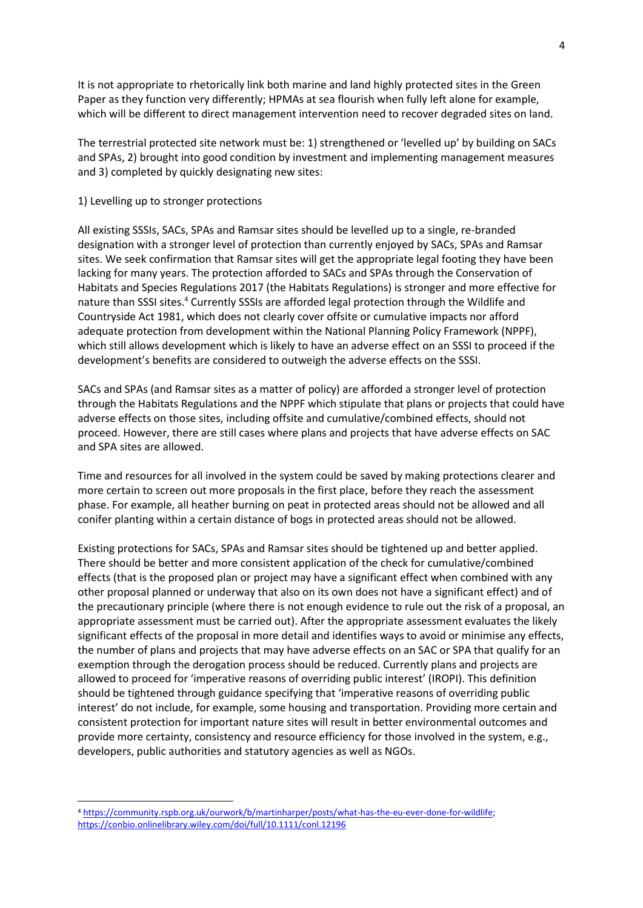It is not appropriate to rhetorically link both marine and land highly protected sites in the Green Paper as they function very differently; HPMAs at sea flourish when fully left alone for example, which will be different to direct management intervention need to recover degraded sites on land.

The terrestrial protected site network must be: 1) strengthened or 'levelled up' by building on SACs and SPAs, 2) brought into good condition by investment and implementing management measures and 3) completed by quickly designating new sites:

### 1) Levelling up to stronger protections

All existing SSSIs, SACs, SPAs and Ramsar sites should be levelled up to a single, re-branded designation with a stronger level of protection than currently enjoyed by SACs, SPAs and Ramsar sites. We seek confirmation that Ramsar sites will get the appropriate legal footing they have been lacking for many years. The protection afforded to SACs and SPAs through the Conservation of Habitats and Species Regulations 2017 (the Habitats Regulations) is stronger and more effective for nature than SSSI sites.<sup>4</sup> Currently SSSIs are afforded legal protection through the Wildlife and Countryside Act 1981, which does not clearly cover offsite or cumulative impacts nor afford adequate protection from development within the National Planning Policy Framework (NPPF), which still allows development which is likely to have an adverse effect on an SSSI to proceed if the development's benefits are considered to outweigh the adverse effects on the SSSI.

SACs and SPAs (and Ramsar sites as a matter of policy) are afforded a stronger level of protection through the Habitats Regulations and the NPPF which stipulate that plans or projects that could have adverse effects on those sites, including offsite and cumulative/combined effects, should not proceed. However, there are still cases where plans and projects that have adverse effects on SAC and SPA sites are allowed.

Time and resources for all involved in the system could be saved by making protections clearer and more certain to screen out more proposals in the first place, before they reach the assessment phase. For example, all heather burning on peat in protected areas should not be allowed and all conifer planting within a certain distance of bogs in protected areas should not be allowed.

Existing protections for SACs, SPAs and Ramsar sites should be tightened up and better applied. There should be better and more consistent application of the check for cumulative/combined effects (that is the proposed plan or project may have a significant effect when combined with any other proposal planned or underway that also on its own does not have a significant effect) and of the precautionary principle (where there is not enough evidence to rule out the risk of a proposal, an appropriate assessment must be carried out). After the appropriate assessment evaluates the likely significant effects of the proposal in more detail and identifies ways to avoid or minimise any effects, the number of plans and projects that may have adverse effects on an SAC or SPA that qualify for an exemption through the derogation process should be reduced. Currently plans and projects are allowed to proceed for 'imperative reasons of overriding public interest' (IROPI). This definition should be tightened through guidance specifying that 'imperative reasons of overriding public interest' do not include, for example, some housing and transportation. Providing more certain and consistent protection for important nature sites will result in better environmental outcomes and provide more certainty, consistency and resource efficiency for those involved in the system, e.g., developers, public authorities and statutory agencies as well as NGOs.

<sup>4</sup> [https://community.rspb.org.uk/ourwork/b/martinharper/posts/what-has-the-eu-ever-done-for-wildlife;](https://community.rspb.org.uk/ourwork/b/martinharper/posts/what-has-the-eu-ever-done-for-wildlife)  <https://conbio.onlinelibrary.wiley.com/doi/full/10.1111/conl.12196>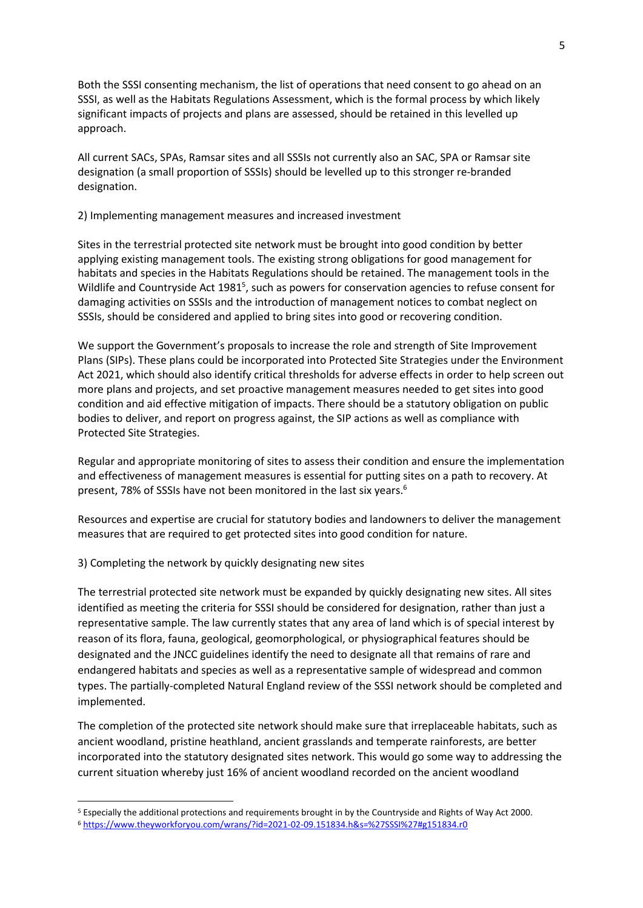Both the SSSI consenting mechanism, the list of operations that need consent to go ahead on an SSSI, as well as the Habitats Regulations Assessment, which is the formal process by which likely significant impacts of projects and plans are assessed, should be retained in this levelled up approach.

All current SACs, SPAs, Ramsar sites and all SSSIs not currently also an SAC, SPA or Ramsar site designation (a small proportion of SSSIs) should be levelled up to this stronger re-branded designation.

### 2) Implementing management measures and increased investment

Sites in the terrestrial protected site network must be brought into good condition by better applying existing management tools. The existing strong obligations for good management for habitats and species in the Habitats Regulations should be retained. The management tools in the Wildlife and Countryside Act 1981<sup>5</sup>, such as powers for conservation agencies to refuse consent for damaging activities on SSSIs and the introduction of management notices to combat neglect on SSSIs, should be considered and applied to bring sites into good or recovering condition.

We support the Government's proposals to increase the role and strength of Site Improvement Plans (SIPs). These plans could be incorporated into Protected Site Strategies under the Environment Act 2021, which should also identify critical thresholds for adverse effects in order to help screen out more plans and projects, and set proactive management measures needed to get sites into good condition and aid effective mitigation of impacts. There should be a statutory obligation on public bodies to deliver, and report on progress against, the SIP actions as well as compliance with Protected Site Strategies.

Regular and appropriate monitoring of sites to assess their condition and ensure the implementation and effectiveness of management measures is essential for putting sites on a path to recovery. At present, 78% of SSSIs have not been monitored in the last six years.<sup>6</sup>

Resources and expertise are crucial for statutory bodies and landowners to deliver the management measures that are required to get protected sites into good condition for nature.

3) Completing the network by quickly designating new sites

The terrestrial protected site network must be expanded by quickly designating new sites. All sites identified as meeting the criteria for SSSI should be considered for designation, rather than just a representative sample. The law currently states that any area of land which is of special interest by reason of its flora, fauna, geological, geomorphological, or physiographical features should be designated and the JNCC guidelines identify the need to designate all that remains of rare and endangered habitats and species as well as a representative sample of widespread and common types. The partially-completed Natural England review of the SSSI network should be completed and implemented.

The completion of the protected site network should make sure that irreplaceable habitats, such as ancient woodland, pristine heathland, ancient grasslands and temperate rainforests, are better incorporated into the statutory designated sites network. This would go some way to addressing the current situation whereby just 16% of ancient woodland recorded on the ancient woodland

<sup>5</sup> Especially the additional protections and requirements brought in by the Countryside and Rights of Way Act 2000. <sup>6</sup> <https://www.theyworkforyou.com/wrans/?id=2021-02-09.151834.h&s=%27SSSI%27#g151834.r0>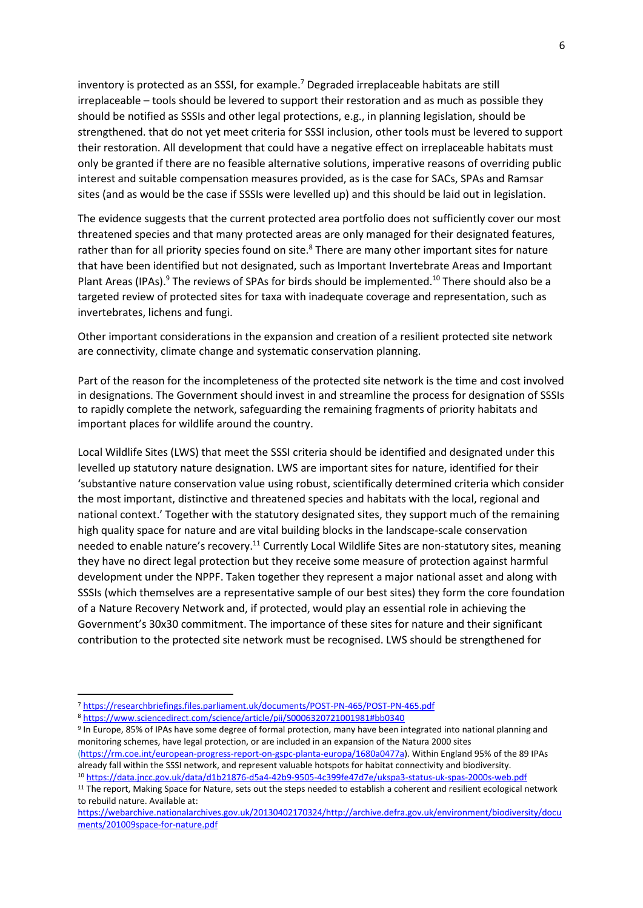inventory is protected as an SSSI, for example.<sup>7</sup> Degraded irreplaceable habitats are still irreplaceable – tools should be levered to support their restoration and as much as possible they should be notified as SSSIs and other legal protections, e.g., in planning legislation, should be strengthened. that do not yet meet criteria for SSSI inclusion, other tools must be levered to support their restoration. All development that could have a negative effect on irreplaceable habitats must only be granted if there are no feasible alternative solutions, imperative reasons of overriding public interest and suitable compensation measures provided, as is the case for SACs, SPAs and Ramsar sites (and as would be the case if SSSIs were levelled up) and this should be laid out in legislation.

The evidence suggests that the current protected area portfolio does not sufficiently cover our most threatened species and that many protected areas are only managed for their designated features, rather than for all priority species found on site.<sup>8</sup> There are many other important sites for nature that have been identified but not designated, such as Important Invertebrate Areas and Important Plant Areas (IPAs).<sup>9</sup> The reviews of SPAs for birds should be implemented.<sup>10</sup> There should also be a targeted review of protected sites for taxa with inadequate coverage and representation, such as invertebrates, lichens and fungi.

Other important considerations in the expansion and creation of a resilient protected site network are connectivity, climate change and systematic conservation planning.

Part of the reason for the incompleteness of the protected site network is the time and cost involved in designations. The Government should invest in and streamline the process for designation of SSSIs to rapidly complete the network, safeguarding the remaining fragments of priority habitats and important places for wildlife around the country.

Local Wildlife Sites (LWS) that meet the SSSI criteria should be identified and designated under this levelled up statutory nature designation. LWS are important sites for nature, identified for their 'substantive nature conservation value using robust, scientifically determined criteria which consider the most important, distinctive and threatened species and habitats with the local, regional and national context.' Together with the statutory designated sites, they support much of the remaining high quality space for nature and are vital building blocks in the landscape-scale conservation needed to enable nature's recovery.<sup>11</sup> Currently Local Wildlife Sites are non-statutory sites, meaning they have no direct legal protection but they receive some measure of protection against harmful development under the NPPF. Taken together they represent a major national asset and along with SSSIs (which themselves are a representative sample of our best sites) they form the core foundation of a Nature Recovery Network and, if protected, would play an essential role in achieving the Government's 30x30 commitment. The importance of these sites for nature and their significant contribution to the protected site network must be recognised. LWS should be strengthened for

<sup>7</sup> <https://researchbriefings.files.parliament.uk/documents/POST-PN-465/POST-PN-465.pdf>

<sup>8</sup> <https://www.sciencedirect.com/science/article/pii/S0006320721001981#bb0340>

<sup>&</sup>lt;sup>9</sup> In Europe, 85% of IPAs have some degree of formal protection, many have been integrated into national planning and monitoring schemes, have legal protection, or are included in an expansion of the Natura 2000 sites [\(https://rm.coe.int/european-progress-report-on-gspc-planta-europa/1680a0477a\)](https://rm.coe.int/european-progress-report-on-gspc-planta-europa/1680a0477a). Within England 95% of the 89 IPAs already fall within the SSSI network, and represent valuable hotspots for habitat connectivity and biodiversity.

<sup>10</sup> <https://data.jncc.gov.uk/data/d1b21876-d5a4-42b9-9505-4c399fe47d7e/ukspa3-status-uk-spas-2000s-web.pdf>

<sup>&</sup>lt;sup>11</sup> The report, Making Space for Nature, sets out the steps needed to establish a coherent and resilient ecological network to rebuild nature. Available at:

[https://webarchive.nationalarchives.gov.uk/20130402170324/http://archive.defra.gov.uk/environment/biodiversity/docu](https://webarchive.nationalarchives.gov.uk/20130402170324/http:/archive.defra.gov.uk/environment/biodiversity/documents/201009space-for-nature.pdf) [ments/201009space-for-nature.pdf](https://webarchive.nationalarchives.gov.uk/20130402170324/http:/archive.defra.gov.uk/environment/biodiversity/documents/201009space-for-nature.pdf)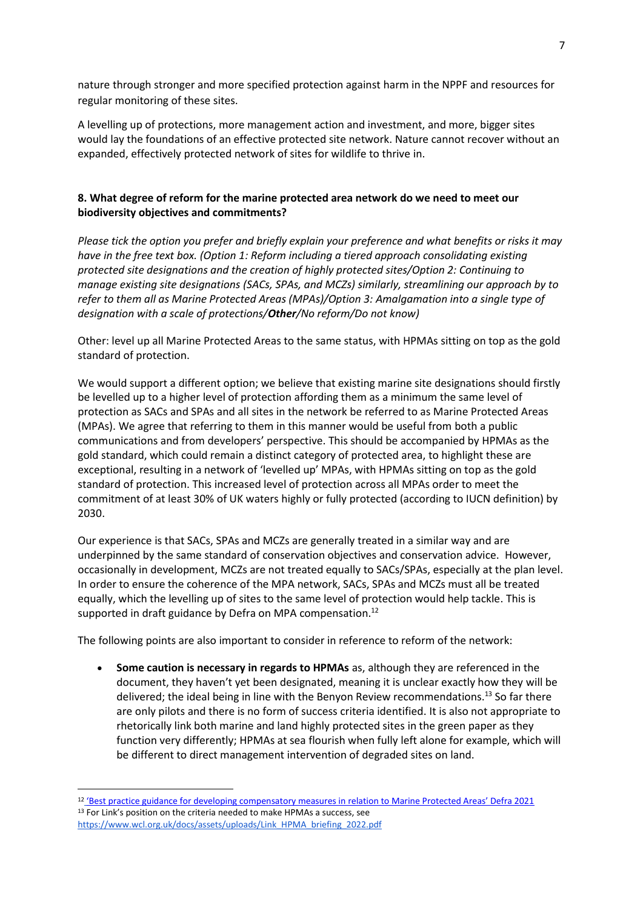nature through stronger and more specified protection against harm in the NPPF and resources for regular monitoring of these sites.

A levelling up of protections, more management action and investment, and more, bigger sites would lay the foundations of an effective protected site network. Nature cannot recover without an expanded, effectively protected network of sites for wildlife to thrive in.

# **8. What degree of reform for the marine protected area network do we need to meet our biodiversity objectives and commitments?**

*Please tick the option you prefer and briefly explain your preference and what benefits or risks it may have in the free text box. (Option 1: Reform including a tiered approach consolidating existing protected site designations and the creation of highly protected sites/Option 2: Continuing to manage existing site designations (SACs, SPAs, and MCZs) similarly, streamlining our approach by to refer to them all as Marine Protected Areas (MPAs)/Option 3: Amalgamation into a single type of designation with a scale of protections/Other/No reform/Do not know)*

Other: level up all Marine Protected Areas to the same status, with HPMAs sitting on top as the gold standard of protection.

We would support a different option; we believe that existing marine site designations should firstly be levelled up to a higher level of protection affording them as a minimum the same level of protection as SACs and SPAs and all sites in the network be referred to as Marine Protected Areas (MPAs). We agree that referring to them in this manner would be useful from both a public communications and from developers' perspective. This should be accompanied by HPMAs as the gold standard, which could remain a distinct category of protected area, to highlight these are exceptional, resulting in a network of 'levelled up' MPAs, with HPMAs sitting on top as the gold standard of protection. This increased level of protection across all MPAs order to meet the commitment of at least 30% of UK waters highly or fully protected (according to IUCN definition) by 2030.

Our experience is that SACs, SPAs and MCZs are generally treated in a similar way and are underpinned by the same standard of conservation objectives and conservation advice. However, occasionally in development, MCZs are not treated equally to SACs/SPAs, especially at the plan level. In order to ensure the coherence of the MPA network, SACs, SPAs and MCZs must all be treated equally, which the levelling up of sites to the same level of protection would help tackle. This is supported in draft guidance by Defra on MPA compensation.<sup>12</sup>

The following points are also important to consider in reference to reform of the network:

• **Some caution is necessary in regards to HPMAs** as, although they are referenced in the document, they haven't yet been designated, meaning it is unclear exactly how they will be delivered; the ideal being in line with the Benyon Review recommendations.<sup>13</sup> So far there are only pilots and there is no form of success criteria identified. It is also not appropriate to rhetorically link both marine and land highly protected sites in the green paper as they function very differently; HPMAs at sea flourish when fully left alone for example, which will be different to direct management intervention of degraded sites on land.

<sup>&</sup>lt;sup>12</sup> ['Best practice guidance for developing compensatory measures in relation to Marine Protected Areas' Defra 2021](https://consult.defra.gov.uk/marine-planning-licensing-team/mpa-compensation-guidance-consultation/supporting_documents/mpacompensatorymeasuresbestpracticeguidance.pdf) <sup>13</sup> For Link's position on the criteria needed to make HPMAs a success, see [https://www.wcl.org.uk/docs/assets/uploads/Link\\_HPMA\\_briefing\\_2022.pdf](https://www.wcl.org.uk/docs/assets/uploads/Link_HPMA_briefing_2022.pdf)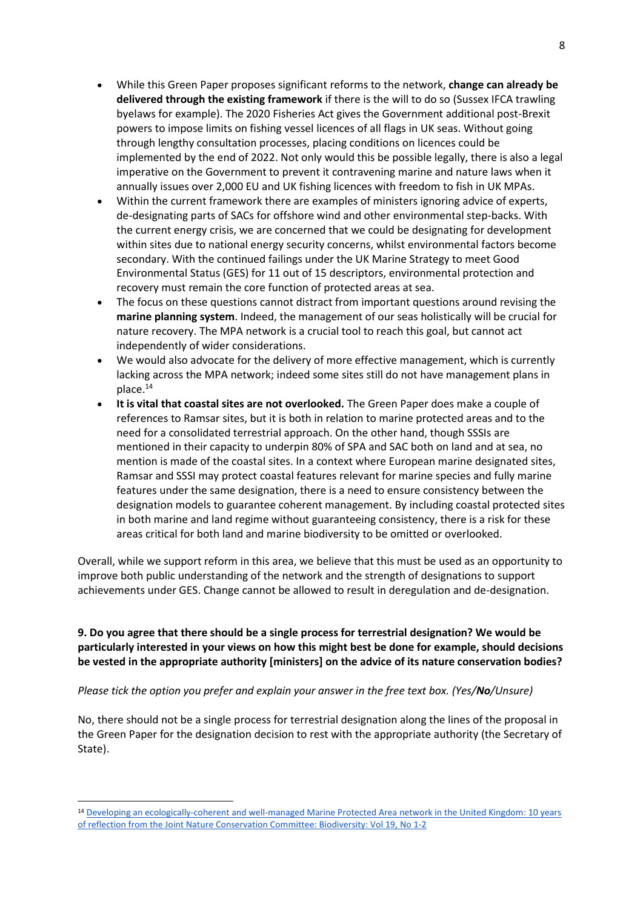- While this Green Paper proposes significant reforms to the network, **change can already be delivered through the existing framework** if there is the will to do so (Sussex IFCA trawling byelaws for example). The 2020 Fisheries Act gives the Government additional post-Brexit powers to impose limits on fishing vessel licences of all flags in UK seas. Without going through lengthy consultation processes, placing conditions on licences could be implemented by the end of 2022. Not only would this be possible legally, there is also a legal imperative on the Government to prevent it contravening marine and nature laws when it annually issues over 2,000 EU and UK fishing licences with freedom to fish in UK MPAs.
- Within the current framework there are examples of ministers ignoring advice of experts, de-designating parts of SACs for offshore wind and other environmental step-backs. With the current energy crisis, we are concerned that we could be designating for development within sites due to national energy security concerns, whilst environmental factors become secondary. With the continued failings under the UK Marine Strategy to meet Good Environmental Status (GES) for 11 out of 15 descriptors, environmental protection and recovery must remain the core function of protected areas at sea.
- The focus on these questions cannot distract from important questions around revising the **marine planning system**. Indeed, the management of our seas holistically will be crucial for nature recovery. The MPA network is a crucial tool to reach this goal, but cannot act independently of wider considerations.
- We would also advocate for the delivery of more effective management, which is currently lacking across the MPA network; indeed some sites still do not have management plans in place.<sup>14</sup>
- **It is vital that coastal sites are not overlooked.** The Green Paper does make a couple of references to Ramsar sites, but it is both in relation to marine protected areas and to the need for a consolidated terrestrial approach. On the other hand, though SSSIs are mentioned in their capacity to underpin 80% of SPA and SAC both on land and at sea, no mention is made of the coastal sites. In a context where European marine designated sites, Ramsar and SSSI may protect coastal features relevant for marine species and fully marine features under the same designation, there is a need to ensure consistency between the designation models to guarantee coherent management. By including coastal protected sites in both marine and land regime without guaranteeing consistency, there is a risk for these areas critical for both land and marine biodiversity to be omitted or overlooked.

Overall, while we support reform in this area, we believe that this must be used as an opportunity to improve both public understanding of the network and the strength of designations to support achievements under GES. Change cannot be allowed to result in deregulation and de-designation.

# **9. Do you agree that there should be a single process for terrestrial designation? We would be particularly interested in your views on how this might best be done for example, should decisions be vested in the appropriate authority [ministers] on the advice of its nature conservation bodies?**

## *Please tick the option you prefer and explain your answer in the free text box. (Yes/No/Unsure)*

No, there should not be a single process for terrestrial designation along the lines of the proposal in the Green Paper for the designation decision to rest with the appropriate authority (the Secretary of State).

<sup>14</sup> [Developing an ecologically-coherent and well-managed Marine Protected Area network in the United Kingdom: 10 years](https://www.tandfonline.com/doi/full/10.1080/14888386.2018.1467791)  [of reflection from the Joint Nature Conservation Committee: Biodiversity: Vol 19, No 1-2](https://www.tandfonline.com/doi/full/10.1080/14888386.2018.1467791)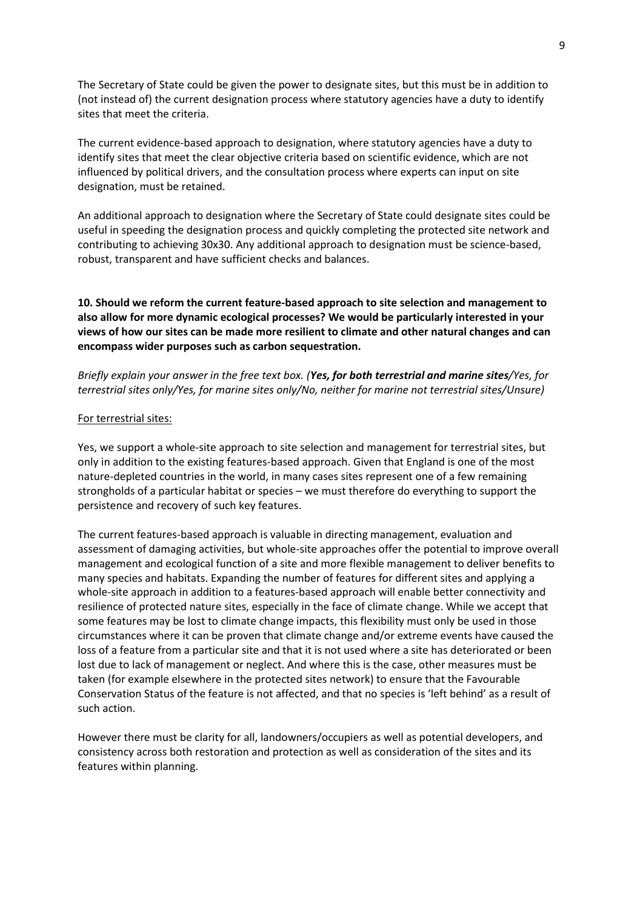The Secretary of State could be given the power to designate sites, but this must be in addition to (not instead of) the current designation process where statutory agencies have a duty to identify sites that meet the criteria.

The current evidence-based approach to designation, where statutory agencies have a duty to identify sites that meet the clear objective criteria based on scientific evidence, which are not influenced by political drivers, and the consultation process where experts can input on site designation, must be retained.

An additional approach to designation where the Secretary of State could designate sites could be useful in speeding the designation process and quickly completing the protected site network and contributing to achieving 30x30. Any additional approach to designation must be science-based, robust, transparent and have sufficient checks and balances.

**10. Should we reform the current feature-based approach to site selection and management to also allow for more dynamic ecological processes? We would be particularly interested in your views of how our sites can be made more resilient to climate and other natural changes and can encompass wider purposes such as carbon sequestration.**

*Briefly explain your answer in the free text box. (Yes, for both terrestrial and marine sites/Yes, for terrestrial sites only/Yes, for marine sites only/No, neither for marine not terrestrial sites/Unsure)*

#### For terrestrial sites:

Yes, we support a whole-site approach to site selection and management for terrestrial sites, but only in addition to the existing features-based approach. Given that England is one of the most nature-depleted countries in the world, in many cases sites represent one of a few remaining strongholds of a particular habitat or species – we must therefore do everything to support the persistence and recovery of such key features.

The current features-based approach is valuable in directing management, evaluation and assessment of damaging activities, but whole-site approaches offer the potential to improve overall management and ecological function of a site and more flexible management to deliver benefits to many species and habitats. Expanding the number of features for different sites and applying a whole-site approach in addition to a features-based approach will enable better connectivity and resilience of protected nature sites, especially in the face of climate change. While we accept that some features may be lost to climate change impacts, this flexibility must only be used in those circumstances where it can be proven that climate change and/or extreme events have caused the loss of a feature from a particular site and that it is not used where a site has deteriorated or been lost due to lack of management or neglect. And where this is the case, other measures must be taken (for example elsewhere in the protected sites network) to ensure that the Favourable Conservation Status of the feature is not affected, and that no species is 'left behind' as a result of such action.

However there must be clarity for all, landowners/occupiers as well as potential developers, and consistency across both restoration and protection as well as consideration of the sites and its features within planning.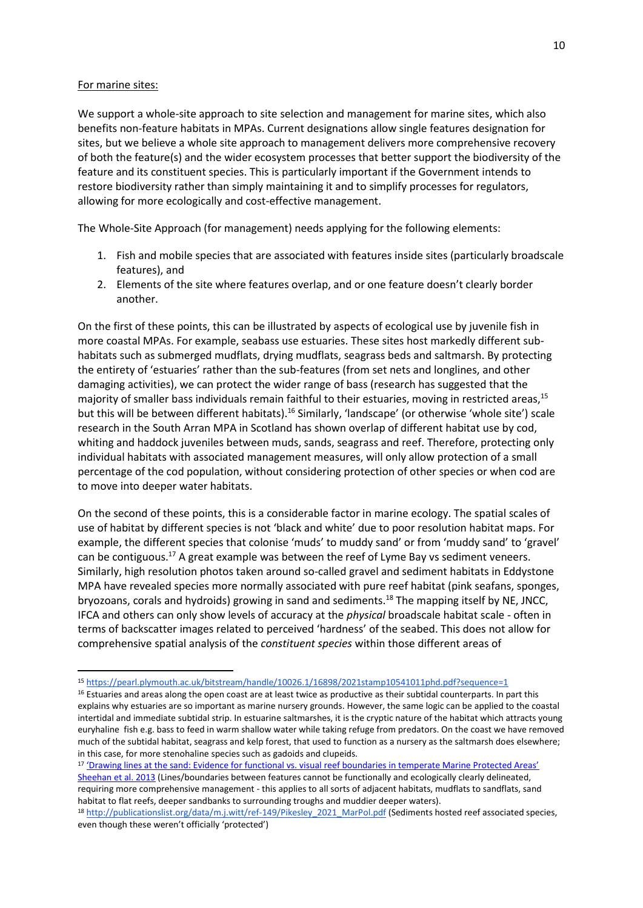#### For marine sites:

We support a whole-site approach to site selection and management for marine sites, which also benefits non-feature habitats in MPAs. Current designations allow single features designation for sites, but we believe a whole site approach to management delivers more comprehensive recovery of both the feature(s) and the wider ecosystem processes that better support the biodiversity of the feature and its constituent species. This is particularly important if the Government intends to restore biodiversity rather than simply maintaining it and to simplify processes for regulators, allowing for more ecologically and cost-effective management.

The Whole-Site Approach (for management) needs applying for the following elements:

- 1. Fish and mobile species that are associated with features inside sites (particularly broadscale features), and
- 2. Elements of the site where features overlap, and or one feature doesn't clearly border another.

On the first of these points, this can be illustrated by aspects of ecological use by juvenile fish in more coastal MPAs. For example, seabass use estuaries. These sites host markedly different subhabitats such as submerged mudflats, drying mudflats, seagrass beds and saltmarsh. By protecting the entirety of 'estuaries' rather than the sub-features (from set nets and longlines, and other damaging activities), we can protect the wider range of bass (research has suggested that the majority of smaller bass individuals remain faithful to their estuaries, moving in restricted areas,<sup>15</sup> but this will be between different habitats).<sup>16</sup> Similarly, 'landscape' (or otherwise 'whole site') scale research in the South Arran MPA in Scotland has shown overlap of different habitat use by cod, whiting and haddock juveniles between muds, sands, seagrass and reef. Therefore, protecting only individual habitats with associated management measures, will only allow protection of a small percentage of the cod population, without considering protection of other species or when cod are to move into deeper water habitats.

On the second of these points, this is a considerable factor in marine ecology. The spatial scales of use of habitat by different species is not 'black and white' due to poor resolution habitat maps. For example, the different species that colonise 'muds' to muddy sand' or from 'muddy sand' to 'gravel' can be contiguous.<sup>17</sup> A great example was between the reef of Lyme Bay vs sediment veneers. Similarly, high resolution photos taken around so-called gravel and sediment habitats in Eddystone MPA have revealed species more normally associated with pure reef habitat (pink seafans, sponges, bryozoans, corals and hydroids) growing in sand and sediments.<sup>18</sup> The mapping itself by NE, JNCC, IFCA and others can only show levels of accuracy at the *physical* broadscale habitat scale - often in terms of backscatter images related to perceived 'hardness' of the seabed. This does not allow for comprehensive spatial analysis of the *constituent species* within those different areas of

<sup>15</sup> <https://pearl.plymouth.ac.uk/bitstream/handle/10026.1/16898/2021stamp10541011phd.pdf?sequence=1>

<sup>&</sup>lt;sup>16</sup> Estuaries and areas along the open coast are at least twice as productive as their subtidal counterparts. In part this explains why estuaries are so important as marine nursery grounds. However, the same logic can be applied to the coastal intertidal and immediate subtidal strip. In estuarine saltmarshes, it is the cryptic nature of the habitat which attracts young euryhaline fish e.g. bass to feed in warm shallow water while taking refuge from predators. On the coast we have removed much of the subtidal habitat, seagrass and kelp forest, that used to function as a nursery as the saltmarsh does elsewhere; in this case, for more stenohaline species such as gadoids and clupeids.

<sup>17</sup> ['Drawing lines at the sand: Evidence for functional vs. visual reef boundaries in temperate Marine Protected Areas'](https://www.sciencedirect.com/science/article/pii/S0025326X13005407)  [Sheehan et al. 2013](https://www.sciencedirect.com/science/article/pii/S0025326X13005407) (Lines/boundaries between features cannot be functionally and ecologically clearly delineated, requiring more comprehensive management - this applies to all sorts of adjacent habitats, mudflats to sandflats, sand habitat to flat reefs, deeper sandbanks to surrounding troughs and muddier deeper waters).

<sup>18</sup> [http://publicationslist.org/data/m.j.witt/ref-149/Pikesley\\_2021\\_MarPol.pdf](http://publicationslist.org/data/m.j.witt/ref-149/Pikesley_2021_MarPol.pdf) (Sediments hosted reef associated species, even though these weren't officially 'protected')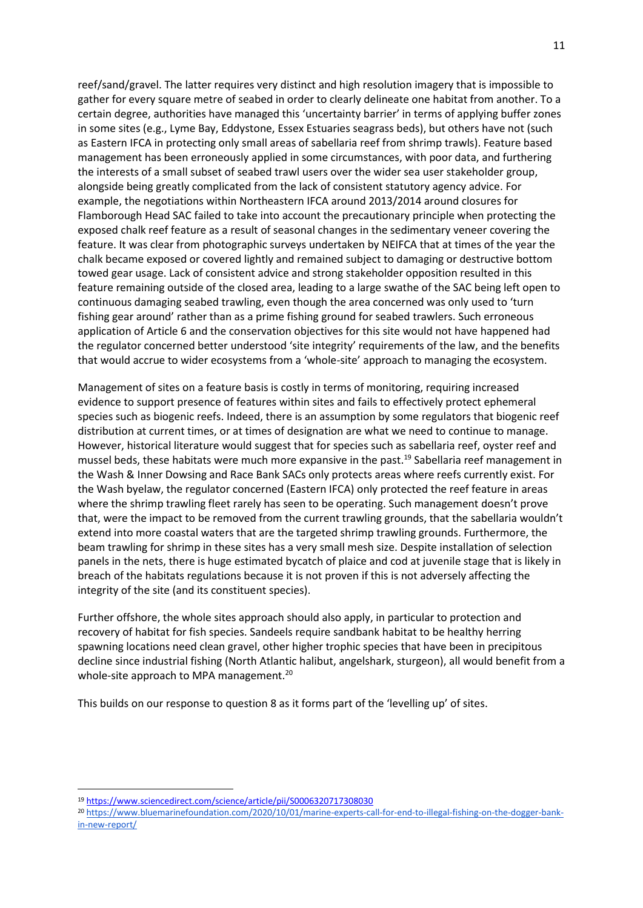reef/sand/gravel. The latter requires very distinct and high resolution imagery that is impossible to gather for every square metre of seabed in order to clearly delineate one habitat from another. To a certain degree, authorities have managed this 'uncertainty barrier' in terms of applying buffer zones in some sites (e.g., Lyme Bay, Eddystone, Essex Estuaries seagrass beds), but others have not (such as Eastern IFCA in protecting only small areas of sabellaria reef from shrimp trawls). Feature based management has been erroneously applied in some circumstances, with poor data, and furthering the interests of a small subset of seabed trawl users over the wider sea user stakeholder group, alongside being greatly complicated from the lack of consistent statutory agency advice. For example, the negotiations within Northeastern IFCA around 2013/2014 around closures for Flamborough Head SAC failed to take into account the precautionary principle when protecting the exposed chalk reef feature as a result of seasonal changes in the sedimentary veneer covering the feature. It was clear from photographic surveys undertaken by NEIFCA that at times of the year the chalk became exposed or covered lightly and remained subject to damaging or destructive bottom towed gear usage. Lack of consistent advice and strong stakeholder opposition resulted in this feature remaining outside of the closed area, leading to a large swathe of the SAC being left open to continuous damaging seabed trawling, even though the area concerned was only used to 'turn fishing gear around' rather than as a prime fishing ground for seabed trawlers. Such erroneous application of Article 6 and the conservation objectives for this site would not have happened had the regulator concerned better understood 'site integrity' requirements of the law, and the benefits that would accrue to wider ecosystems from a 'whole-site' approach to managing the ecosystem.

Management of sites on a feature basis is costly in terms of monitoring, requiring increased evidence to support presence of features within sites and fails to effectively protect ephemeral species such as biogenic reefs. Indeed, there is an assumption by some regulators that biogenic reef distribution at current times, or at times of designation are what we need to continue to manage. However, historical literature would suggest that for species such as sabellaria reef, oyster reef and mussel beds, these habitats were much more expansive in the past.<sup>19</sup> Sabellaria reef management in the Wash & Inner Dowsing and Race Bank SACs only protects areas where reefs currently exist. For the Wash byelaw, the regulator concerned (Eastern IFCA) only protected the reef feature in areas where the shrimp trawling fleet rarely has seen to be operating. Such management doesn't prove that, were the impact to be removed from the current trawling grounds, that the sabellaria wouldn't extend into more coastal waters that are the targeted shrimp trawling grounds. Furthermore, the beam trawling for shrimp in these sites has a very small mesh size. Despite installation of selection panels in the nets, there is huge estimated bycatch of plaice and cod at juvenile stage that is likely in breach of the habitats regulations because it is not proven if this is not adversely affecting the integrity of the site (and its constituent species).

Further offshore, the whole sites approach should also apply, in particular to protection and recovery of habitat for fish species. Sandeels require sandbank habitat to be healthy herring spawning locations need clean gravel, other higher trophic species that have been in precipitous decline since industrial fishing (North Atlantic halibut, angelshark, sturgeon), all would benefit from a whole-site approach to MPA management.<sup>20</sup>

This builds on our response to question 8 as it forms part of the 'levelling up' of sites.

<sup>19</sup> <https://www.sciencedirect.com/science/article/pii/S0006320717308030>

<sup>20</sup> [https://www.bluemarinefoundation.com/2020/10/01/marine-experts-call-for-end-to-illegal-fishing-on-the-dogger-bank](https://www.bluemarinefoundation.com/2020/10/01/marine-experts-call-for-end-to-illegal-fishing-on-the-dogger-bank-in-new-report/)[in-new-report/](https://www.bluemarinefoundation.com/2020/10/01/marine-experts-call-for-end-to-illegal-fishing-on-the-dogger-bank-in-new-report/)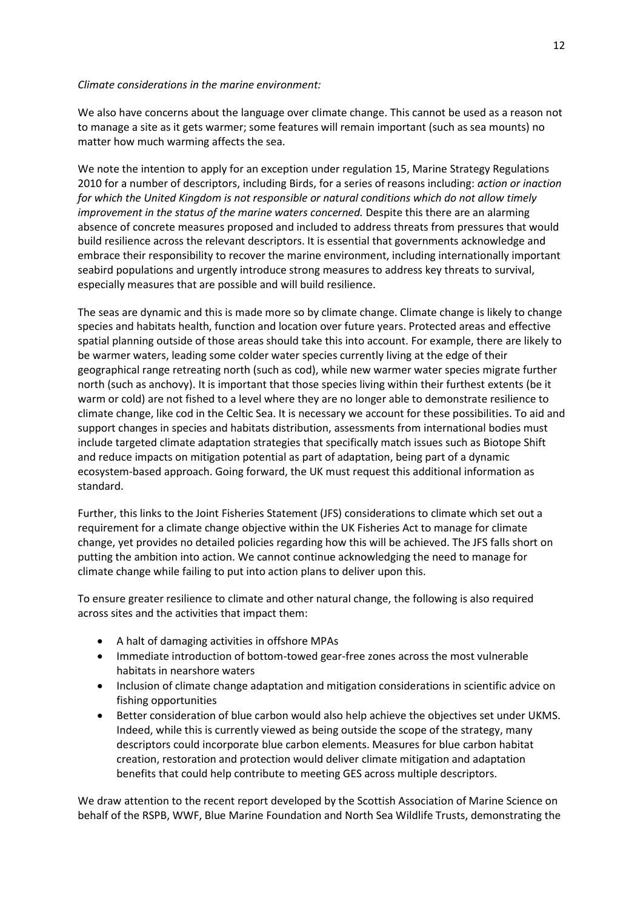### *Climate considerations in the marine environment:*

We also have concerns about the language over climate change. This cannot be used as a reason not to manage a site as it gets warmer; some features will remain important (such as sea mounts) no matter how much warming affects the sea.

We note the intention to apply for an exception under regulation 15, Marine Strategy Regulations 2010 for a number of descriptors, including Birds, for a series of reasons including: *action or inaction for which the United Kingdom is not responsible or natural conditions which do not allow timely improvement in the status of the marine waters concerned.* Despite this there are an alarming absence of concrete measures proposed and included to address threats from pressures that would build resilience across the relevant descriptors. It is essential that governments acknowledge and embrace their responsibility to recover the marine environment, including internationally important seabird populations and urgently introduce strong measures to address key threats to survival, especially measures that are possible and will build resilience.

The seas are dynamic and this is made more so by climate change. Climate change is likely to change species and habitats health, function and location over future years. Protected areas and effective spatial planning outside of those areas should take this into account. For example, there are likely to be warmer waters, leading some colder water species currently living at the edge of their geographical range retreating north (such as cod), while new warmer water species migrate further north (such as anchovy). It is important that those species living within their furthest extents (be it warm or cold) are not fished to a level where they are no longer able to demonstrate resilience to climate change, like cod in the Celtic Sea. It is necessary we account for these possibilities. To aid and support changes in species and habitats distribution, assessments from international bodies must include targeted climate adaptation strategies that specifically match issues such as Biotope Shift and reduce impacts on mitigation potential as part of adaptation, being part of a dynamic ecosystem-based approach. Going forward, the UK must request this additional information as standard.

Further, this links to the Joint Fisheries Statement (JFS) considerations to climate which set out a requirement for a climate change objective within the UK Fisheries Act to manage for climate change, yet provides no detailed policies regarding how this will be achieved. The JFS falls short on putting the ambition into action. We cannot continue acknowledging the need to manage for climate change while failing to put into action plans to deliver upon this.

To ensure greater resilience to climate and other natural change, the following is also required across sites and the activities that impact them:

- A halt of damaging activities in offshore MPAs
- Immediate introduction of bottom-towed gear-free zones across the most vulnerable habitats in nearshore waters
- Inclusion of climate change adaptation and mitigation considerations in scientific advice on fishing opportunities
- Better consideration of blue carbon would also help achieve the objectives set under UKMS. Indeed, while this is currently viewed as being outside the scope of the strategy, many descriptors could incorporate blue carbon elements. Measures for blue carbon habitat creation, restoration and protection would deliver climate mitigation and adaptation benefits that could help contribute to meeting GES across multiple descriptors.

We draw attention to the recent report developed by the Scottish Association of Marine Science on behalf of the RSPB, WWF, Blue Marine Foundation and North Sea Wildlife Trusts, demonstrating the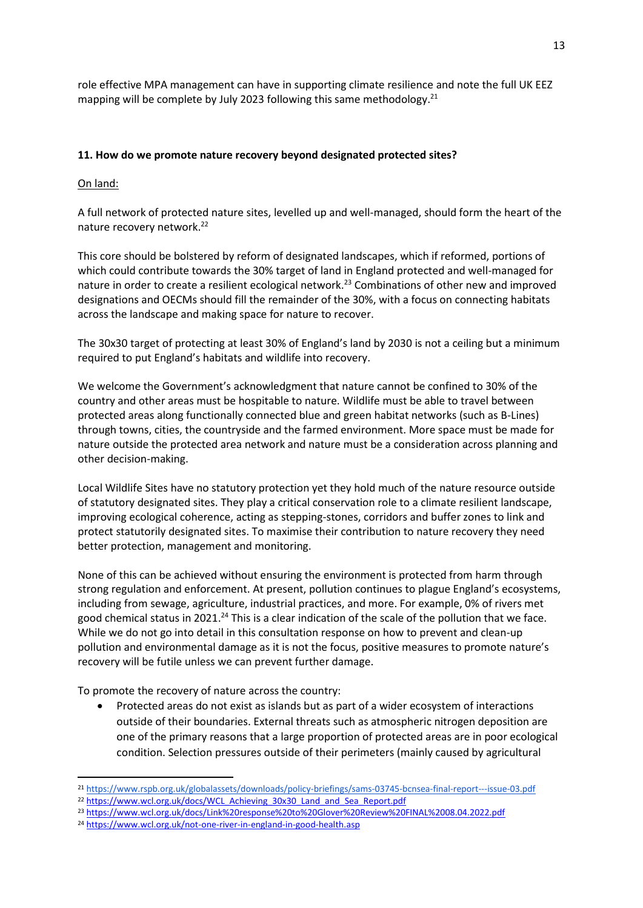role effective MPA management can have in supporting climate resilience and note the full UK EEZ mapping will be complete by July 2023 following this same methodology.<sup>21</sup>

# **11. How do we promote nature recovery beyond designated protected sites?**

On land:

A full network of protected nature sites, levelled up and well-managed, should form the heart of the nature recovery network.<sup>22</sup>

This core should be bolstered by reform of designated landscapes, which if reformed, portions of which could contribute towards the 30% target of land in England protected and well-managed for nature in order to create a resilient ecological network.<sup>23</sup> Combinations of other new and improved designations and OECMs should fill the remainder of the 30%, with a focus on connecting habitats across the landscape and making space for nature to recover.

The 30x30 target of protecting at least 30% of England's land by 2030 is not a ceiling but a minimum required to put England's habitats and wildlife into recovery.

We welcome the Government's acknowledgment that nature cannot be confined to 30% of the country and other areas must be hospitable to nature. Wildlife must be able to travel between protected areas along functionally connected blue and green habitat networks (such as B-Lines) through towns, cities, the countryside and the farmed environment. More space must be made for nature outside the protected area network and nature must be a consideration across planning and other decision-making.

Local Wildlife Sites have no statutory protection yet they hold much of the nature resource outside of statutory designated sites. They play a critical conservation role to a climate resilient landscape, improving ecological coherence, acting as stepping-stones, corridors and buffer zones to link and protect statutorily designated sites. To maximise their contribution to nature recovery they need better protection, management and monitoring.

None of this can be achieved without ensuring the environment is protected from harm through strong regulation and enforcement. At present, pollution continues to plague England's ecosystems, including from sewage, agriculture, industrial practices, and more. For example, 0% of rivers met good chemical status in 2021.<sup>24</sup> This is a clear indication of the scale of the pollution that we face. While we do not go into detail in this consultation response on how to prevent and clean-up pollution and environmental damage as it is not the focus, positive measures to promote nature's recovery will be futile unless we can prevent further damage.

To promote the recovery of nature across the country:

• Protected areas do not exist as islands but as part of a wider ecosystem of interactions outside of their boundaries. External threats such as atmospheric nitrogen deposition are one of the primary reasons that a large proportion of protected areas are in poor ecological condition. Selection pressures outside of their perimeters (mainly caused by agricultural

<sup>21</sup> <https://www.rspb.org.uk/globalassets/downloads/policy-briefings/sams-03745-bcnsea-final-report---issue-03.pdf>

<sup>22</sup> [https://www.wcl.org.uk/docs/WCL\\_Achieving\\_30x30\\_Land\\_and\\_Sea\\_Report.pdf](https://www.wcl.org.uk/docs/WCL_Achieving_30x30_Land_and_Sea_Report.pdf)

<sup>23</sup> <https://www.wcl.org.uk/docs/Link%20response%20to%20Glover%20Review%20FINAL%2008.04.2022.pdf>

<sup>24</sup> <https://www.wcl.org.uk/not-one-river-in-england-in-good-health.asp>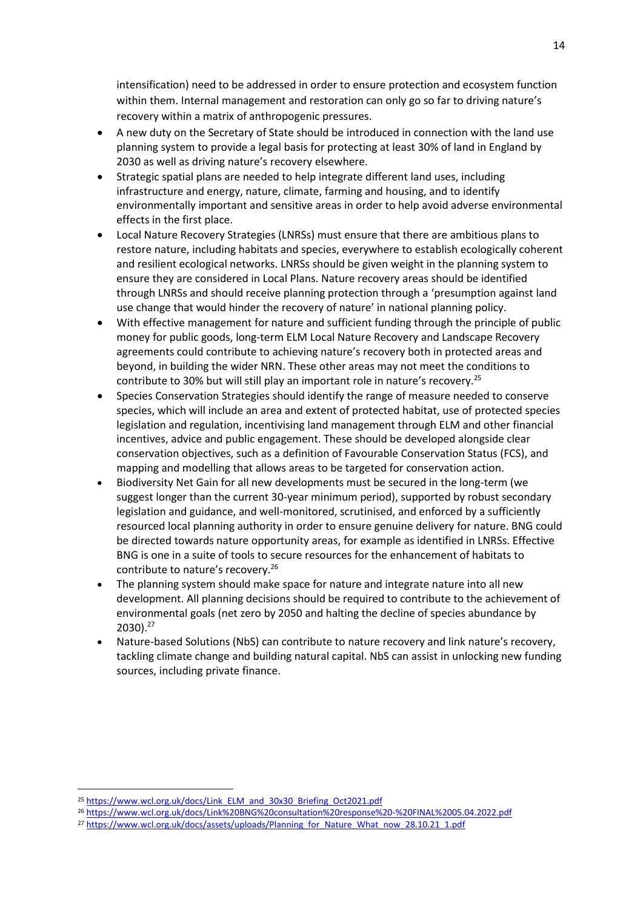intensification) need to be addressed in order to ensure protection and ecosystem function within them. Internal management and restoration can only go so far to driving nature's recovery within a matrix of anthropogenic pressures.

- A new duty on the Secretary of State should be introduced in connection with the land use planning system to provide a legal basis for protecting at least 30% of land in England by 2030 as well as driving nature's recovery elsewhere.
- Strategic spatial plans are needed to help integrate different land uses, including infrastructure and energy, nature, climate, farming and housing, and to identify environmentally important and sensitive areas in order to help avoid adverse environmental effects in the first place.
- Local Nature Recovery Strategies (LNRSs) must ensure that there are ambitious plans to restore nature, including habitats and species, everywhere to establish ecologically coherent and resilient ecological networks. LNRSs should be given weight in the planning system to ensure they are considered in Local Plans. Nature recovery areas should be identified through LNRSs and should receive planning protection through a 'presumption against land use change that would hinder the recovery of nature' in national planning policy.
- With effective management for nature and sufficient funding through the principle of public money for public goods, long-term ELM Local Nature Recovery and Landscape Recovery agreements could contribute to achieving nature's recovery both in protected areas and beyond, in building the wider NRN. These other areas may not meet the conditions to contribute to 30% but will still play an important role in nature's recovery.<sup>25</sup>
- Species Conservation Strategies should identify the range of measure needed to conserve species, which will include an area and extent of protected habitat, use of protected species legislation and regulation, incentivising land management through ELM and other financial incentives, advice and public engagement. These should be developed alongside clear conservation objectives, such as a definition of Favourable Conservation Status (FCS), and mapping and modelling that allows areas to be targeted for conservation action.
- Biodiversity Net Gain for all new developments must be secured in the long-term (we suggest longer than the current 30-year minimum period), supported by robust secondary legislation and guidance, and well-monitored, scrutinised, and enforced by a sufficiently resourced local planning authority in order to ensure genuine delivery for nature. BNG could be directed towards nature opportunity areas, for example as identified in LNRSs. Effective BNG is one in a suite of tools to secure resources for the enhancement of habitats to contribute to nature's recovery.<sup>26</sup>
- The planning system should make space for nature and integrate nature into all new development. All planning decisions should be required to contribute to the achievement of environmental goals (net zero by 2050 and halting the decline of species abundance by 2030).<sup>27</sup>
- Nature-based Solutions (NbS) can contribute to nature recovery and link nature's recovery, tackling climate change and building natural capital. NbS can assist in unlocking new funding sources, including private finance.

<sup>&</sup>lt;sup>25</sup> [https://www.wcl.org.uk/docs/Link\\_ELM\\_and\\_30x30\\_Briefing\\_Oct2021.pdf](https://www.wcl.org.uk/docs/Link_ELM_and_30x30_Briefing_Oct2021.pdf)

<sup>26</sup> <https://www.wcl.org.uk/docs/Link%20BNG%20consultation%20response%20-%20FINAL%2005.04.2022.pdf>

<sup>&</sup>lt;sup>27</sup> [https://www.wcl.org.uk/docs/assets/uploads/Planning\\_for\\_Nature\\_What\\_now\\_28.10.21\\_1.pdf](https://www.wcl.org.uk/docs/assets/uploads/Planning_for_Nature_What_now_28.10.21_1.pdf)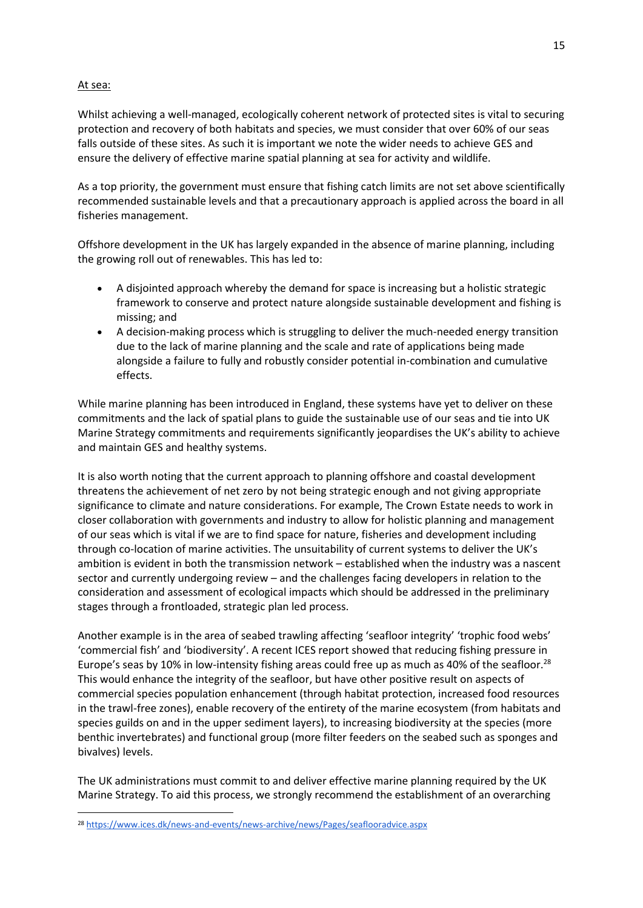## At sea:

Whilst achieving a well-managed, ecologically coherent network of protected sites is vital to securing protection and recovery of both habitats and species, we must consider that over 60% of our seas falls outside of these sites. As such it is important we note the wider needs to achieve GES and ensure the delivery of effective marine spatial planning at sea for activity and wildlife.

As a top priority, the government must ensure that fishing catch limits are not set above scientifically recommended sustainable levels and that a precautionary approach is applied across the board in all fisheries management.

Offshore development in the UK has largely expanded in the absence of marine planning, including the growing roll out of renewables. This has led to:

- A disjointed approach whereby the demand for space is increasing but a holistic strategic framework to conserve and protect nature alongside sustainable development and fishing is missing; and
- A decision-making process which is struggling to deliver the much-needed energy transition due to the lack of marine planning and the scale and rate of applications being made alongside a failure to fully and robustly consider potential in-combination and cumulative effects.

While marine planning has been introduced in England, these systems have yet to deliver on these commitments and the lack of spatial plans to guide the sustainable use of our seas and tie into UK Marine Strategy commitments and requirements significantly jeopardises the UK's ability to achieve and maintain GES and healthy systems.

It is also worth noting that the current approach to planning offshore and coastal development threatens the achievement of net zero by not being strategic enough and not giving appropriate significance to climate and nature considerations. For example, The Crown Estate needs to work in closer collaboration with governments and industry to allow for holistic planning and management of our seas which is vital if we are to find space for nature, fisheries and development including through co-location of marine activities. The unsuitability of current systems to deliver the UK's ambition is evident in both the transmission network – established when the industry was a nascent sector and currently undergoing review – and the challenges facing developers in relation to the consideration and assessment of ecological impacts which should be addressed in the preliminary stages through a frontloaded, strategic plan led process.

Another example is in the area of seabed trawling affecting 'seafloor integrity' 'trophic food webs' 'commercial fish' and 'biodiversity'. A recent ICES report showed that reducing fishing pressure in Europe's seas by 10% in low-intensity fishing areas could free up as much as 40% of the seafloor.<sup>28</sup> This would enhance the integrity of the seafloor, but have other positive result on aspects of commercial species population enhancement (through habitat protection, increased food resources in the trawl-free zones), enable recovery of the entirety of the marine ecosystem (from habitats and species guilds on and in the upper sediment layers), to increasing biodiversity at the species (more benthic invertebrates) and functional group (more filter feeders on the seabed such as sponges and bivalves) levels.

The UK administrations must commit to and deliver effective marine planning required by the UK Marine Strategy. To aid this process, we strongly recommend the establishment of an overarching

<sup>28</sup> <https://www.ices.dk/news-and-events/news-archive/news/Pages/seaflooradvice.aspx>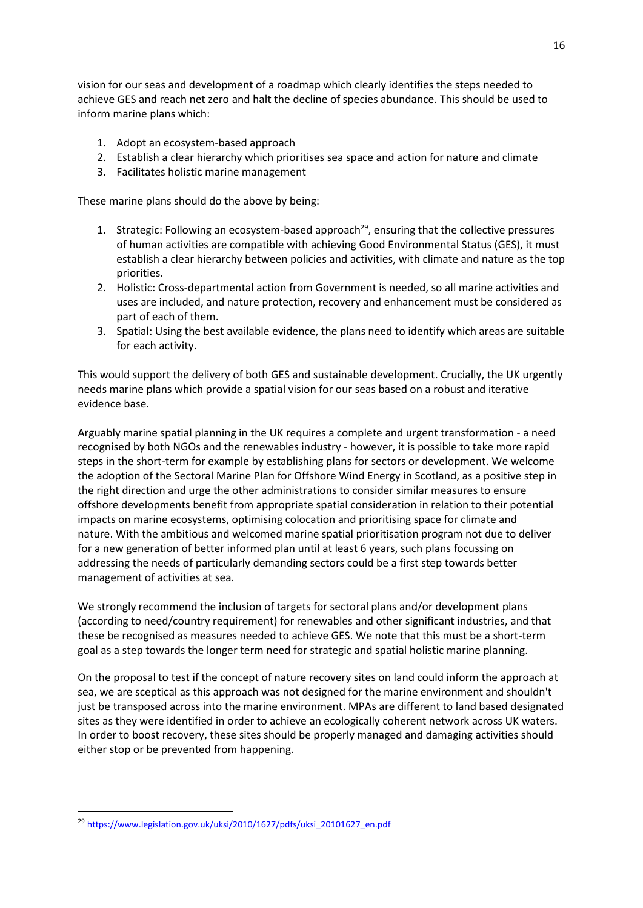vision for our seas and development of a roadmap which clearly identifies the steps needed to achieve GES and reach net zero and halt the decline of species abundance. This should be used to inform marine plans which:

- 1. Adopt an ecosystem-based approach
- 2. Establish a clear hierarchy which prioritises sea space and action for nature and climate
- 3. Facilitates holistic marine management

These marine plans should do the above by being:

- 1. Strategic: Following an ecosystem-based approach<sup>29</sup>, ensuring that the collective pressures of human activities are compatible with achieving Good Environmental Status (GES), it must establish a clear hierarchy between policies and activities, with climate and nature as the top priorities.
- 2. Holistic: Cross-departmental action from Government is needed, so all marine activities and uses are included, and nature protection, recovery and enhancement must be considered as part of each of them.
- 3. Spatial: Using the best available evidence, the plans need to identify which areas are suitable for each activity.

This would support the delivery of both GES and sustainable development. Crucially, the UK urgently needs marine plans which provide a spatial vision for our seas based on a robust and iterative evidence base.

Arguably marine spatial planning in the UK requires a complete and urgent transformation - a need recognised by both NGOs and the renewables industry - however, it is possible to take more rapid steps in the short-term for example by establishing plans for sectors or development. We welcome the adoption of the Sectoral Marine Plan for Offshore Wind Energy in Scotland, as a positive step in the right direction and urge the other administrations to consider similar measures to ensure offshore developments benefit from appropriate spatial consideration in relation to their potential impacts on marine ecosystems, optimising colocation and prioritising space for climate and nature. With the ambitious and welcomed marine spatial prioritisation program not due to deliver for a new generation of better informed plan until at least 6 years, such plans focussing on addressing the needs of particularly demanding sectors could be a first step towards better management of activities at sea.

We strongly recommend the inclusion of targets for sectoral plans and/or development plans (according to need/country requirement) for renewables and other significant industries, and that these be recognised as measures needed to achieve GES. We note that this must be a short-term goal as a step towards the longer term need for strategic and spatial holistic marine planning.

On the proposal to test if the concept of nature recovery sites on land could inform the approach at sea, we are sceptical as this approach was not designed for the marine environment and shouldn't just be transposed across into the marine environment. MPAs are different to land based designated sites as they were identified in order to achieve an ecologically coherent network across UK waters. In order to boost recovery, these sites should be properly managed and damaging activities should either stop or be prevented from happening.

<sup>29</sup> [https://www.legislation.gov.uk/uksi/2010/1627/pdfs/uksi\\_20101627\\_en.pdf](https://www.legislation.gov.uk/uksi/2010/1627/pdfs/uksi_20101627_en.pdf)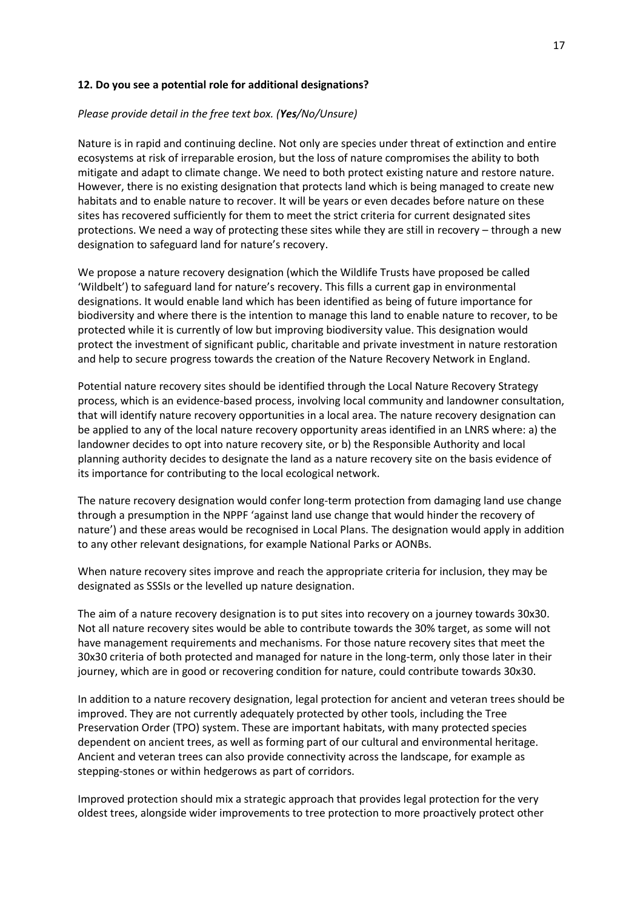### **12. Do you see a potential role for additional designations?**

### *Please provide detail in the free text box. (Yes/No/Unsure)*

Nature is in rapid and continuing decline. Not only are species under threat of extinction and entire ecosystems at risk of irreparable erosion, but the loss of nature compromises the ability to both mitigate and adapt to climate change. We need to both protect existing nature and restore nature. However, there is no existing designation that protects land which is being managed to create new habitats and to enable nature to recover. It will be years or even decades before nature on these sites has recovered sufficiently for them to meet the strict criteria for current designated sites protections. We need a way of protecting these sites while they are still in recovery – through a new designation to safeguard land for nature's recovery.

We propose a nature recovery designation (which the Wildlife Trusts have proposed be called 'Wildbelt') to safeguard land for nature's recovery. This fills a current gap in environmental designations. It would enable land which has been identified as being of future importance for biodiversity and where there is the intention to manage this land to enable nature to recover, to be protected while it is currently of low but improving biodiversity value. This designation would protect the investment of significant public, charitable and private investment in nature restoration and help to secure progress towards the creation of the Nature Recovery Network in England.

Potential nature recovery sites should be identified through the Local Nature Recovery Strategy process, which is an evidence-based process, involving local community and landowner consultation, that will identify nature recovery opportunities in a local area. The nature recovery designation can be applied to any of the local nature recovery opportunity areas identified in an LNRS where: a) the landowner decides to opt into nature recovery site, or b) the Responsible Authority and local planning authority decides to designate the land as a nature recovery site on the basis evidence of its importance for contributing to the local ecological network.

The nature recovery designation would confer long-term protection from damaging land use change through a presumption in the NPPF 'against land use change that would hinder the recovery of nature') and these areas would be recognised in Local Plans. The designation would apply in addition to any other relevant designations, for example National Parks or AONBs.

When nature recovery sites improve and reach the appropriate criteria for inclusion, they may be designated as SSSIs or the levelled up nature designation.

The aim of a nature recovery designation is to put sites into recovery on a journey towards 30x30. Not all nature recovery sites would be able to contribute towards the 30% target, as some will not have management requirements and mechanisms. For those nature recovery sites that meet the 30x30 criteria of both protected and managed for nature in the long-term, only those later in their journey, which are in good or recovering condition for nature, could contribute towards 30x30.

In addition to a nature recovery designation, legal protection for ancient and veteran trees should be improved. They are not currently adequately protected by other tools, including the Tree Preservation Order (TPO) system. These are important habitats, with many protected species dependent on ancient trees, as well as forming part of our cultural and environmental heritage. Ancient and veteran trees can also provide connectivity across the landscape, for example as stepping-stones or within hedgerows as part of corridors.

Improved protection should mix a strategic approach that provides legal protection for the very oldest trees, alongside wider improvements to tree protection to more proactively protect other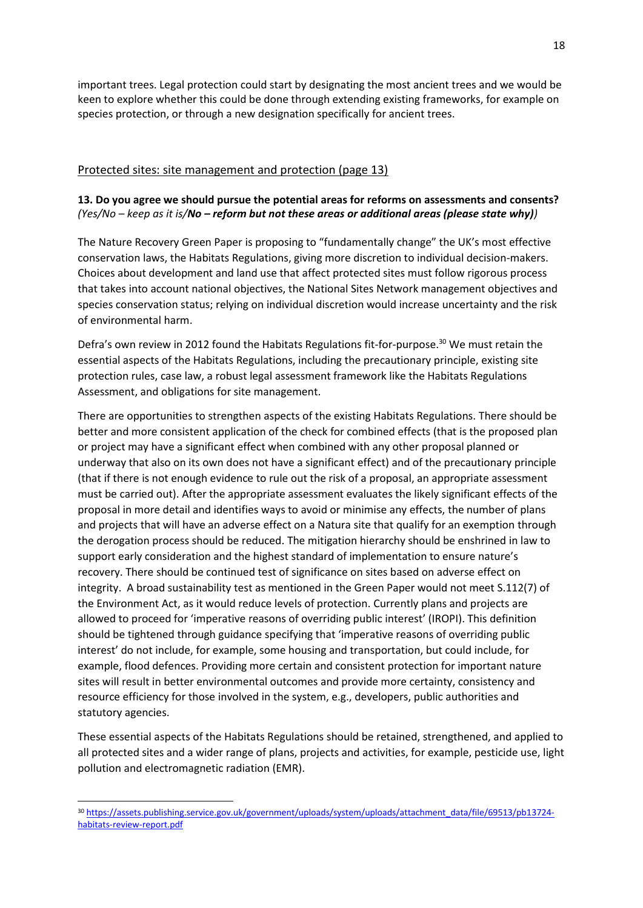important trees. Legal protection could start by designating the most ancient trees and we would be keen to explore whether this could be done through extending existing frameworks, for example on species protection, or through a new designation specifically for ancient trees.

# Protected sites: site management and protection (page 13)

## **13. Do you agree we should pursue the potential areas for reforms on assessments and consents?** *(Yes/No – keep as it is/No – reform but not these areas or additional areas (please state why))*

The Nature Recovery Green Paper is proposing to "fundamentally change" the UK's most effective conservation laws, the Habitats Regulations, giving more discretion to individual decision-makers. Choices about development and land use that affect protected sites must follow rigorous process that takes into account national objectives, the National Sites Network management objectives and species conservation status; relying on individual discretion would increase uncertainty and the risk of environmental harm.

Defra's own review in 2012 found the Habitats Regulations fit-for-purpose.<sup>30</sup> We must retain the essential aspects of the Habitats Regulations, including the precautionary principle, existing site protection rules, case law, a robust legal assessment framework like the Habitats Regulations Assessment, and obligations for site management.

There are opportunities to strengthen aspects of the existing Habitats Regulations. There should be better and more consistent application of the check for combined effects (that is the proposed plan or project may have a significant effect when combined with any other proposal planned or underway that also on its own does not have a significant effect) and of the precautionary principle (that if there is not enough evidence to rule out the risk of a proposal, an appropriate assessment must be carried out). After the appropriate assessment evaluates the likely significant effects of the proposal in more detail and identifies ways to avoid or minimise any effects, the number of plans and projects that will have an adverse effect on a Natura site that qualify for an exemption through the derogation process should be reduced. The mitigation hierarchy should be enshrined in law to support early consideration and the highest standard of implementation to ensure nature's recovery. There should be continued test of significance on sites based on adverse effect on integrity. A broad sustainability test as mentioned in the Green Paper would not meet S.112(7) of the Environment Act, as it would reduce levels of protection. Currently plans and projects are allowed to proceed for 'imperative reasons of overriding public interest' (IROPI). This definition should be tightened through guidance specifying that 'imperative reasons of overriding public interest' do not include, for example, some housing and transportation, but could include, for example, flood defences. Providing more certain and consistent protection for important nature sites will result in better environmental outcomes and provide more certainty, consistency and resource efficiency for those involved in the system, e.g., developers, public authorities and statutory agencies.

These essential aspects of the Habitats Regulations should be retained, strengthened, and applied to all protected sites and a wider range of plans, projects and activities, for example, pesticide use, light pollution and electromagnetic radiation (EMR).

<sup>30</sup> [https://assets.publishing.service.gov.uk/government/uploads/system/uploads/attachment\\_data/file/69513/pb13724](https://assets.publishing.service.gov.uk/government/uploads/system/uploads/attachment_data/file/69513/pb13724-habitats-review-report.pdf) [habitats-review-report.pdf](https://assets.publishing.service.gov.uk/government/uploads/system/uploads/attachment_data/file/69513/pb13724-habitats-review-report.pdf)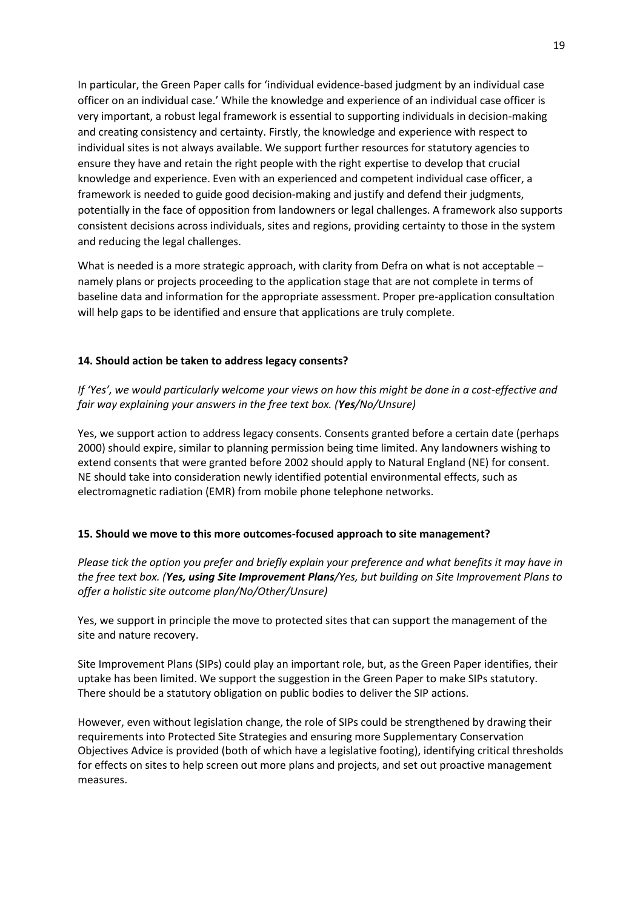In particular, the Green Paper calls for 'individual evidence-based judgment by an individual case officer on an individual case.' While the knowledge and experience of an individual case officer is very important, a robust legal framework is essential to supporting individuals in decision-making and creating consistency and certainty. Firstly, the knowledge and experience with respect to individual sites is not always available. We support further resources for statutory agencies to ensure they have and retain the right people with the right expertise to develop that crucial knowledge and experience. Even with an experienced and competent individual case officer, a framework is needed to guide good decision-making and justify and defend their judgments, potentially in the face of opposition from landowners or legal challenges. A framework also supports consistent decisions across individuals, sites and regions, providing certainty to those in the system and reducing the legal challenges.

What is needed is a more strategic approach, with clarity from Defra on what is not acceptable – namely plans or projects proceeding to the application stage that are not complete in terms of baseline data and information for the appropriate assessment. Proper pre-application consultation will help gaps to be identified and ensure that applications are truly complete.

## **14. Should action be taken to address legacy consents?**

*If 'Yes', we would particularly welcome your views on how this might be done in a cost-effective and fair way explaining your answers in the free text box. (Yes/No/Unsure)*

Yes, we support action to address legacy consents. Consents granted before a certain date (perhaps 2000) should expire, similar to planning permission being time limited. Any landowners wishing to extend consents that were granted before 2002 should apply to Natural England (NE) for consent. NE should take into consideration newly identified potential environmental effects, such as electromagnetic radiation (EMR) from mobile phone telephone networks.

## **15. Should we move to this more outcomes-focused approach to site management?**

*Please tick the option you prefer and briefly explain your preference and what benefits it may have in the free text box. (Yes, using Site Improvement Plans/Yes, but building on Site Improvement Plans to offer a holistic site outcome plan/No/Other/Unsure)*

Yes, we support in principle the move to protected sites that can support the management of the site and nature recovery.

Site Improvement Plans (SIPs) could play an important role, but, as the Green Paper identifies, their uptake has been limited. We support the suggestion in the Green Paper to make SIPs statutory. There should be a statutory obligation on public bodies to deliver the SIP actions.

However, even without legislation change, the role of SIPs could be strengthened by drawing their requirements into Protected Site Strategies and ensuring more Supplementary Conservation Objectives Advice is provided (both of which have a legislative footing), identifying critical thresholds for effects on sites to help screen out more plans and projects, and set out proactive management measures.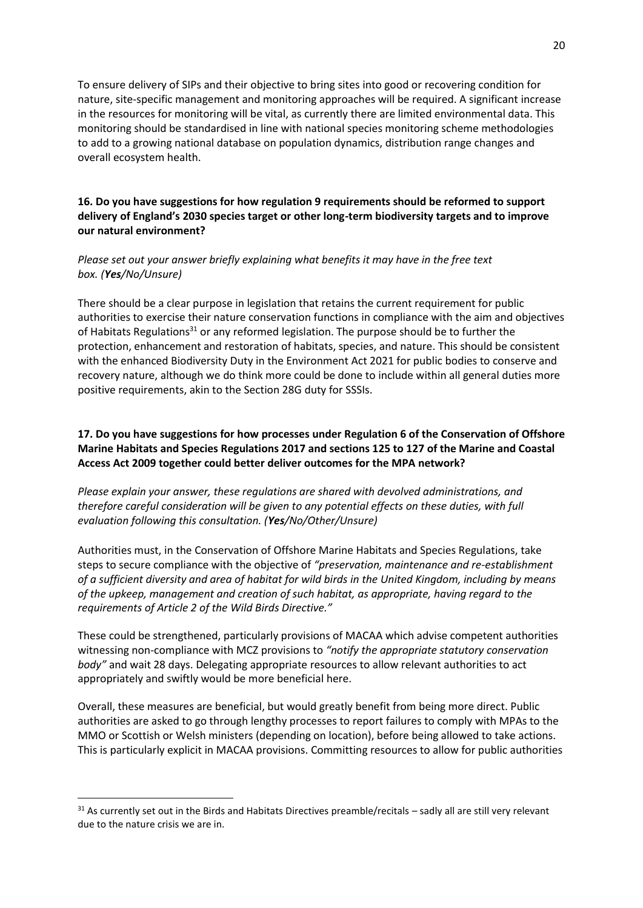To ensure delivery of SIPs and their objective to bring sites into good or recovering condition for nature, site-specific management and monitoring approaches will be required. A significant increase in the resources for monitoring will be vital, as currently there are limited environmental data. This monitoring should be standardised in line with national species monitoring scheme methodologies to add to a growing national database on population dynamics, distribution range changes and overall ecosystem health.

## **16. Do you have suggestions for how regulation 9 requirements should be reformed to support delivery of England's 2030 species target or other long-term biodiversity targets and to improve our natural environment?**

## *Please set out your answer briefly explaining what benefits it may have in the free text box. (Yes/No/Unsure)*

There should be a clear purpose in legislation that retains the current requirement for public authorities to exercise their nature conservation functions in compliance with the aim and objectives of Habitats Regulations<sup>31</sup> or any reformed legislation. The purpose should be to further the protection, enhancement and restoration of habitats, species, and nature. This should be consistent with the enhanced Biodiversity Duty in the Environment Act 2021 for public bodies to conserve and recovery nature, although we do think more could be done to include within all general duties more positive requirements, akin to the Section 28G duty for SSSIs.

# **17. Do you have suggestions for how processes under Regulation 6 of the Conservation of Offshore Marine Habitats and Species Regulations 2017 and sections 125 to 127 of the Marine and Coastal Access Act 2009 together could better deliver outcomes for the MPA network?**

*Please explain your answer, these regulations are shared with devolved administrations, and therefore careful consideration will be given to any potential effects on these duties, with full evaluation following this consultation. (Yes/No/Other/Unsure)*

Authorities must, in the Conservation of Offshore Marine Habitats and Species Regulations, take steps to secure compliance with the objective of *"preservation, maintenance and re-establishment of a sufficient diversity and area of habitat for wild birds in the United Kingdom, including by means of the upkeep, management and creation of such habitat, as appropriate, having regard to the requirements of Article 2 of the Wild Birds Directive."*

These could be strengthened, particularly provisions of MACAA which advise competent authorities witnessing non-compliance with MCZ provisions to *"notify the appropriate statutory conservation body"* and wait 28 days. Delegating appropriate resources to allow relevant authorities to act appropriately and swiftly would be more beneficial here.

Overall, these measures are beneficial, but would greatly benefit from being more direct. Public authorities are asked to go through lengthy processes to report failures to comply with MPAs to the MMO or Scottish or Welsh ministers (depending on location), before being allowed to take actions. This is particularly explicit in MACAA provisions. Committing resources to allow for public authorities

 $31$  As currently set out in the Birds and Habitats Directives preamble/recitals – sadly all are still very relevant due to the nature crisis we are in.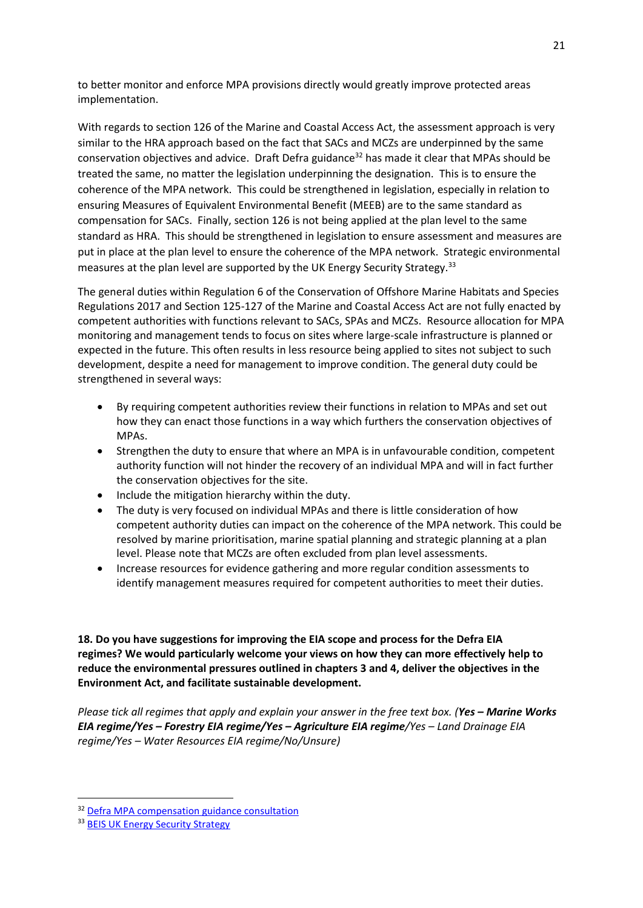to better monitor and enforce MPA provisions directly would greatly improve protected areas implementation.

With regards to section 126 of the Marine and Coastal Access Act, the assessment approach is very similar to the HRA approach based on the fact that SACs and MCZs are underpinned by the same conservation objectives and advice. Draft Defra guidance<sup>32</sup> has made it clear that MPAs should be treated the same, no matter the legislation underpinning the designation. This is to ensure the coherence of the MPA network. This could be strengthened in legislation, especially in relation to ensuring Measures of Equivalent Environmental Benefit (MEEB) are to the same standard as compensation for SACs. Finally, section 126 is not being applied at the plan level to the same standard as HRA. This should be strengthened in legislation to ensure assessment and measures are put in place at the plan level to ensure the coherence of the MPA network. Strategic environmental measures at the plan level are supported by the UK Energy Security Strategy.<sup>33</sup>

The general duties within Regulation 6 of the Conservation of Offshore Marine Habitats and Species Regulations 2017 and Section 125-127 of the Marine and Coastal Access Act are not fully enacted by competent authorities with functions relevant to SACs, SPAs and MCZs. Resource allocation for MPA monitoring and management tends to focus on sites where large-scale infrastructure is planned or expected in the future. This often results in less resource being applied to sites not subject to such development, despite a need for management to improve condition. The general duty could be strengthened in several ways:

- By requiring competent authorities review their functions in relation to MPAs and set out how they can enact those functions in a way which furthers the conservation objectives of MPAs.
- Strengthen the duty to ensure that where an MPA is in unfavourable condition, competent authority function will not hinder the recovery of an individual MPA and will in fact further the conservation objectives for the site.
- Include the mitigation hierarchy within the duty.
- The duty is very focused on individual MPAs and there is little consideration of how competent authority duties can impact on the coherence of the MPA network. This could be resolved by marine prioritisation, marine spatial planning and strategic planning at a plan level. Please note that MCZs are often excluded from plan level assessments.
- Increase resources for evidence gathering and more regular condition assessments to identify management measures required for competent authorities to meet their duties.

**18. Do you have suggestions for improving the EIA scope and process for the Defra EIA regimes? We would particularly welcome your views on how they can more effectively help to reduce the environmental pressures outlined in chapters 3 and 4, deliver the objectives in the Environment Act, and facilitate sustainable development.**

*Please tick all regimes that apply and explain your answer in the free text box. (Yes – Marine Works EIA regime/Yes – Forestry EIA regime/Yes – Agriculture EIA regime/Yes – Land Drainage EIA regime/Yes – Water Resources EIA regime/No/Unsure)*

<sup>&</sup>lt;sup>32</sup> [Defra MPA compensation guidance consultation](https://consult.defra.gov.uk/marine-planning-licensing-team/mpa-compensation-guidance-consultation/)

<sup>33</sup> [BEIS UK Energy Security Strategy](https://www.gov.uk/government/publications/british-energy-security-strategy)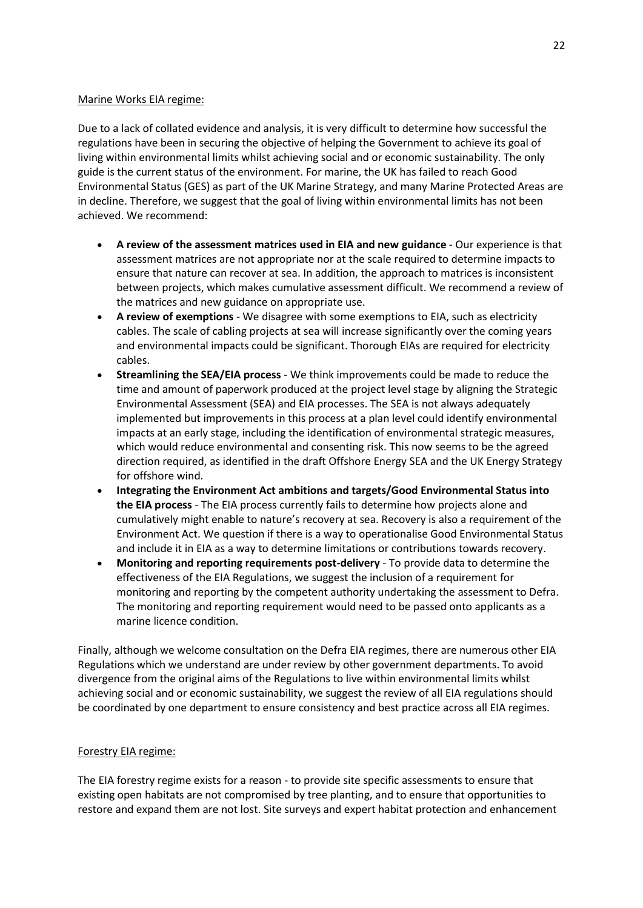## Marine Works EIA regime:

Due to a lack of collated evidence and analysis, it is very difficult to determine how successful the regulations have been in securing the objective of helping the Government to achieve its goal of living within environmental limits whilst achieving social and or economic sustainability. The only guide is the current status of the environment. For marine, the UK has failed to reach Good Environmental Status (GES) as part of the UK Marine Strategy, and many Marine Protected Areas are in decline. Therefore, we suggest that the goal of living within environmental limits has not been achieved. We recommend:

- **A review of the assessment matrices used in EIA and new guidance** Our experience is that assessment matrices are not appropriate nor at the scale required to determine impacts to ensure that nature can recover at sea. In addition, the approach to matrices is inconsistent between projects, which makes cumulative assessment difficult. We recommend a review of the matrices and new guidance on appropriate use.
- **A review of exemptions** We disagree with some exemptions to EIA, such as electricity cables. The scale of cabling projects at sea will increase significantly over the coming years and environmental impacts could be significant. Thorough EIAs are required for electricity cables.
- **Streamlining the SEA/EIA process** We think improvements could be made to reduce the time and amount of paperwork produced at the project level stage by aligning the Strategic Environmental Assessment (SEA) and EIA processes. The SEA is not always adequately implemented but improvements in this process at a plan level could identify environmental impacts at an early stage, including the identification of environmental strategic measures, which would reduce environmental and consenting risk. This now seems to be the agreed direction required, as identified in the draft Offshore Energy SEA and the UK Energy Strategy for offshore wind.
- **Integrating the Environment Act ambitions and targets/Good Environmental Status into the EIA process** - The EIA process currently fails to determine how projects alone and cumulatively might enable to nature's recovery at sea. Recovery is also a requirement of the Environment Act. We question if there is a way to operationalise Good Environmental Status and include it in EIA as a way to determine limitations or contributions towards recovery.
- **Monitoring and reporting requirements post-delivery**  To provide data to determine the effectiveness of the EIA Regulations, we suggest the inclusion of a requirement for monitoring and reporting by the competent authority undertaking the assessment to Defra. The monitoring and reporting requirement would need to be passed onto applicants as a marine licence condition.

Finally, although we welcome consultation on the Defra EIA regimes, there are numerous other EIA Regulations which we understand are under review by other government departments. To avoid divergence from the original aims of the Regulations to live within environmental limits whilst achieving social and or economic sustainability, we suggest the review of all EIA regulations should be coordinated by one department to ensure consistency and best practice across all EIA regimes.

#### Forestry EIA regime:

The EIA forestry regime exists for a reason - to provide site specific assessments to ensure that existing open habitats are not compromised by tree planting, and to ensure that opportunities to restore and expand them are not lost. Site surveys and expert habitat protection and enhancement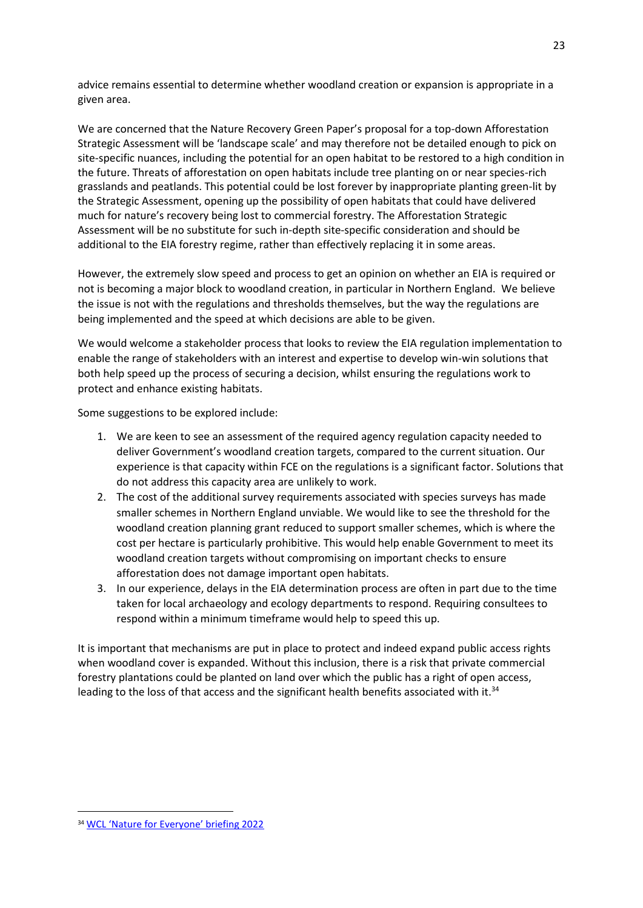advice remains essential to determine whether woodland creation or expansion is appropriate in a given area.

We are concerned that the Nature Recovery Green Paper's proposal for a top-down Afforestation Strategic Assessment will be 'landscape scale' and may therefore not be detailed enough to pick on site-specific nuances, including the potential for an open habitat to be restored to a high condition in the future. Threats of afforestation on open habitats include tree planting on or near species-rich grasslands and peatlands. This potential could be lost forever by inappropriate planting green-lit by the Strategic Assessment, opening up the possibility of open habitats that could have delivered much for nature's recovery being lost to commercial forestry. The Afforestation Strategic Assessment will be no substitute for such in-depth site-specific consideration and should be additional to the EIA forestry regime, rather than effectively replacing it in some areas.

However, the extremely slow speed and process to get an opinion on whether an EIA is required or not is becoming a major block to woodland creation, in particular in Northern England. We believe the issue is not with the regulations and thresholds themselves, but the way the regulations are being implemented and the speed at which decisions are able to be given.

We would welcome a stakeholder process that looks to review the EIA regulation implementation to enable the range of stakeholders with an interest and expertise to develop win-win solutions that both help speed up the process of securing a decision, whilst ensuring the regulations work to protect and enhance existing habitats.

Some suggestions to be explored include:

- 1. We are keen to see an assessment of the required agency regulation capacity needed to deliver Government's woodland creation targets, compared to the current situation. Our experience is that capacity within FCE on the regulations is a significant factor. Solutions that do not address this capacity area are unlikely to work.
- 2. The cost of the additional survey requirements associated with species surveys has made smaller schemes in Northern England unviable. We would like to see the threshold for the woodland creation planning grant reduced to support smaller schemes, which is where the cost per hectare is particularly prohibitive. This would help enable Government to meet its woodland creation targets without compromising on important checks to ensure afforestation does not damage important open habitats.
- 3. In our experience, delays in the EIA determination process are often in part due to the time taken for local archaeology and ecology departments to respond. Requiring consultees to respond within a minimum timeframe would help to speed this up.

It is important that mechanisms are put in place to protect and indeed expand public access rights when woodland cover is expanded. Without this inclusion, there is a risk that private commercial forestry plantations could be planted on land over which the public has a right of open access, leading to the loss of that access and the significant health benefits associated with it.<sup>34</sup>

<sup>34</sup> [WCL 'Nature for Everyone' briefing 2022](https://www.wcl.org.uk/assets/uploads/img/files/Briefing_Nature_for_Everyone_campaign_Spring_2022_002.pdf)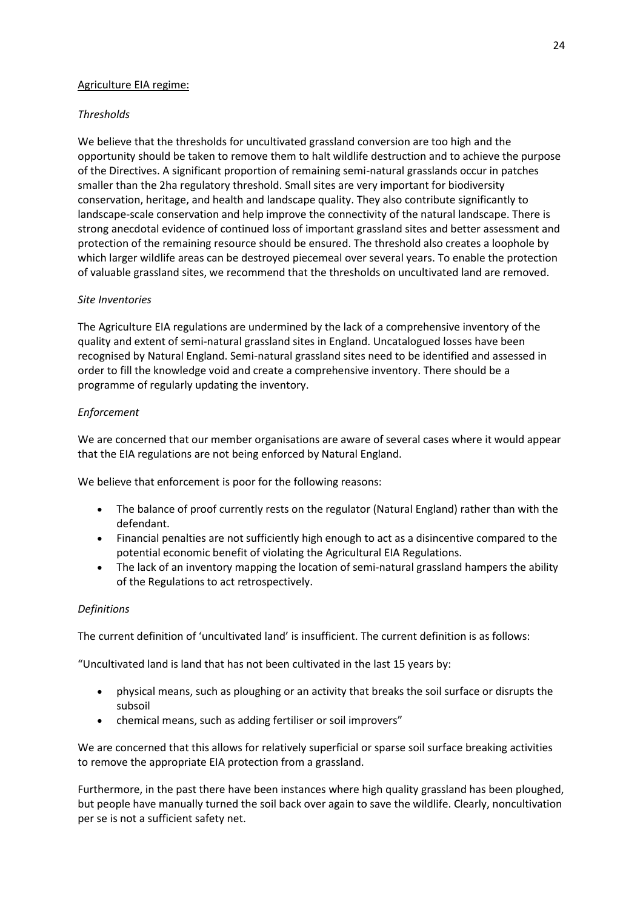### Agriculture EIA regime:

## *Thresholds*

We believe that the thresholds for uncultivated grassland conversion are too high and the opportunity should be taken to remove them to halt wildlife destruction and to achieve the purpose of the Directives. A significant proportion of remaining semi-natural grasslands occur in patches smaller than the 2ha regulatory threshold. Small sites are very important for biodiversity conservation, heritage, and health and landscape quality. They also contribute significantly to landscape-scale conservation and help improve the connectivity of the natural landscape. There is strong anecdotal evidence of continued loss of important grassland sites and better assessment and protection of the remaining resource should be ensured. The threshold also creates a loophole by which larger wildlife areas can be destroyed piecemeal over several years. To enable the protection of valuable grassland sites, we recommend that the thresholds on uncultivated land are removed.

## *Site Inventories*

The Agriculture EIA regulations are undermined by the lack of a comprehensive inventory of the quality and extent of semi-natural grassland sites in England. Uncatalogued losses have been recognised by Natural England. Semi-natural grassland sites need to be identified and assessed in order to fill the knowledge void and create a comprehensive inventory. There should be a programme of regularly updating the inventory.

### *Enforcement*

We are concerned that our member organisations are aware of several cases where it would appear that the EIA regulations are not being enforced by Natural England.

We believe that enforcement is poor for the following reasons:

- The balance of proof currently rests on the regulator (Natural England) rather than with the defendant.
- Financial penalties are not sufficiently high enough to act as a disincentive compared to the potential economic benefit of violating the Agricultural EIA Regulations.
- The lack of an inventory mapping the location of semi-natural grassland hampers the ability of the Regulations to act retrospectively.

#### *Definitions*

The current definition of 'uncultivated land' is insufficient. The current definition is as follows:

"Uncultivated land is land that has not been cultivated in the last 15 years by:

- physical means, such as ploughing or an activity that breaks the soil surface or disrupts the subsoil
- chemical means, such as adding fertiliser or soil improvers"

We are concerned that this allows for relatively superficial or sparse soil surface breaking activities to remove the appropriate EIA protection from a grassland.

Furthermore, in the past there have been instances where high quality grassland has been ploughed, but people have manually turned the soil back over again to save the wildlife. Clearly, noncultivation per se is not a sufficient safety net.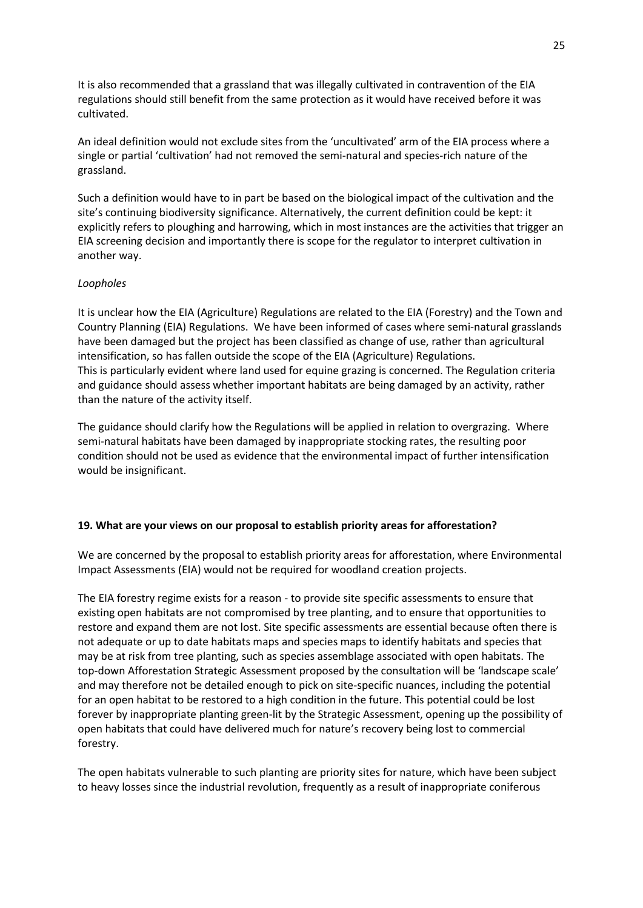It is also recommended that a grassland that was illegally cultivated in contravention of the EIA regulations should still benefit from the same protection as it would have received before it was cultivated.

An ideal definition would not exclude sites from the 'uncultivated' arm of the EIA process where a single or partial 'cultivation' had not removed the semi-natural and species-rich nature of the grassland.

Such a definition would have to in part be based on the biological impact of the cultivation and the site's continuing biodiversity significance. Alternatively, the current definition could be kept: it explicitly refers to ploughing and harrowing, which in most instances are the activities that trigger an EIA screening decision and importantly there is scope for the regulator to interpret cultivation in another way.

### *Loopholes*

It is unclear how the EIA (Agriculture) Regulations are related to the EIA (Forestry) and the Town and Country Planning (EIA) Regulations. We have been informed of cases where semi-natural grasslands have been damaged but the project has been classified as change of use, rather than agricultural intensification, so has fallen outside the scope of the EIA (Agriculture) Regulations. This is particularly evident where land used for equine grazing is concerned. The Regulation criteria and guidance should assess whether important habitats are being damaged by an activity, rather than the nature of the activity itself.

The guidance should clarify how the Regulations will be applied in relation to overgrazing. Where semi-natural habitats have been damaged by inappropriate stocking rates, the resulting poor condition should not be used as evidence that the environmental impact of further intensification would be insignificant.

#### **19. What are your views on our proposal to establish priority areas for afforestation?**

We are concerned by the proposal to establish priority areas for afforestation, where Environmental Impact Assessments (EIA) would not be required for woodland creation projects.

The EIA forestry regime exists for a reason - to provide site specific assessments to ensure that existing open habitats are not compromised by tree planting, and to ensure that opportunities to restore and expand them are not lost. Site specific assessments are essential because often there is not adequate or up to date habitats maps and species maps to identify habitats and species that may be at risk from tree planting, such as species assemblage associated with open habitats. The top-down Afforestation Strategic Assessment proposed by the consultation will be 'landscape scale' and may therefore not be detailed enough to pick on site-specific nuances, including the potential for an open habitat to be restored to a high condition in the future. This potential could be lost forever by inappropriate planting green-lit by the Strategic Assessment, opening up the possibility of open habitats that could have delivered much for nature's recovery being lost to commercial forestry.

The open habitats vulnerable to such planting are priority sites for nature, which have been subject to heavy losses since the industrial revolution, frequently as a result of inappropriate coniferous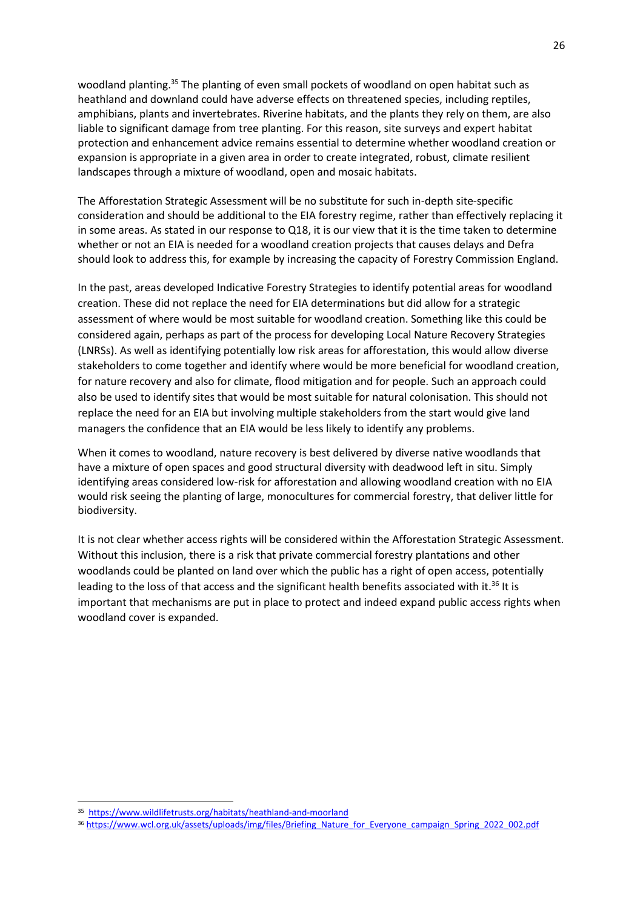woodland planting.<sup>35</sup> The planting of even small pockets of woodland on open habitat such as heathland and downland could have adverse effects on threatened species, including reptiles, amphibians, plants and invertebrates. Riverine habitats, and the plants they rely on them, are also liable to significant damage from tree planting. For this reason, site surveys and expert habitat protection and enhancement advice remains essential to determine whether woodland creation or expansion is appropriate in a given area in order to create integrated, robust, climate resilient landscapes through a mixture of woodland, open and mosaic habitats.

The Afforestation Strategic Assessment will be no substitute for such in-depth site-specific consideration and should be additional to the EIA forestry regime, rather than effectively replacing it in some areas. As stated in our response to Q18, it is our view that it is the time taken to determine whether or not an EIA is needed for a woodland creation projects that causes delays and Defra should look to address this, for example by increasing the capacity of Forestry Commission England.

In the past, areas developed Indicative Forestry Strategies to identify potential areas for woodland creation. These did not replace the need for EIA determinations but did allow for a strategic assessment of where would be most suitable for woodland creation. Something like this could be considered again, perhaps as part of the process for developing Local Nature Recovery Strategies (LNRSs). As well as identifying potentially low risk areas for afforestation, this would allow diverse stakeholders to come together and identify where would be more beneficial for woodland creation, for nature recovery and also for climate, flood mitigation and for people. Such an approach could also be used to identify sites that would be most suitable for natural colonisation. This should not replace the need for an EIA but involving multiple stakeholders from the start would give land managers the confidence that an EIA would be less likely to identify any problems.

When it comes to woodland, nature recovery is best delivered by diverse native woodlands that have a mixture of open spaces and good structural diversity with deadwood left in situ. Simply identifying areas considered low-risk for afforestation and allowing woodland creation with no EIA would risk seeing the planting of large, monocultures for commercial forestry, that deliver little for biodiversity.

It is not clear whether access rights will be considered within the Afforestation Strategic Assessment. Without this inclusion, there is a risk that private commercial forestry plantations and other woodlands could be planted on land over which the public has a right of open access, potentially leading to the loss of that access and the significant health benefits associated with it.<sup>36</sup> It is important that mechanisms are put in place to protect and indeed expand public access rights when woodland cover is expanded.

<sup>35</sup> <https://www.wildlifetrusts.org/habitats/heathland-and-moorland>

<sup>36</sup> [https://www.wcl.org.uk/assets/uploads/img/files/Briefing\\_Nature\\_for\\_Everyone\\_campaign\\_Spring\\_2022\\_002.pdf](https://www.wcl.org.uk/assets/uploads/img/files/Briefing_Nature_for_Everyone_campaign_Spring_2022_002.pdf)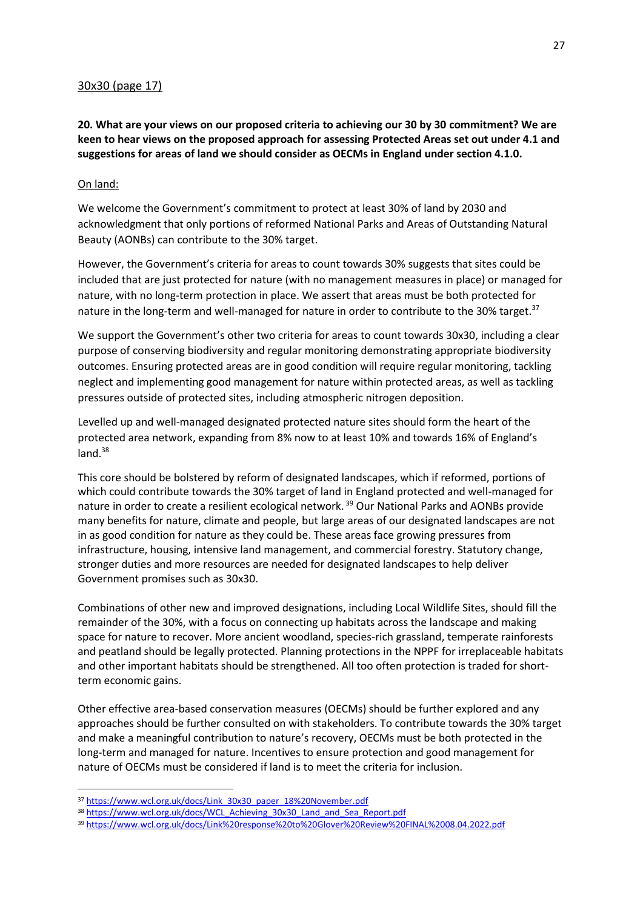## 30x30 (page 17)

**20. What are your views on our proposed criteria to achieving our 30 by 30 commitment? We are keen to hear views on the proposed approach for assessing Protected Areas set out under 4.1 and suggestions for areas of land we should consider as OECMs in England under section 4.1.0.**

### On land:

We welcome the Government's commitment to protect at least 30% of land by 2030 and acknowledgment that only portions of reformed National Parks and Areas of Outstanding Natural Beauty (AONBs) can contribute to the 30% target.

However, the Government's criteria for areas to count towards 30% suggests that sites could be included that are just protected for nature (with no management measures in place) or managed for nature, with no long-term protection in place. We assert that areas must be both protected for nature in the long-term and well-managed for nature in order to contribute to the 30% target.<sup>37</sup>

We support the Government's other two criteria for areas to count towards 30x30, including a clear purpose of conserving biodiversity and regular monitoring demonstrating appropriate biodiversity outcomes. Ensuring protected areas are in good condition will require regular monitoring, tackling neglect and implementing good management for nature within protected areas, as well as tackling pressures outside of protected sites, including atmospheric nitrogen deposition.

Levelled up and well-managed designated protected nature sites should form the heart of the protected area network, expanding from 8% now to at least 10% and towards 16% of England's  $land.<sup>38</sup>$ 

This core should be bolstered by reform of designated landscapes, which if reformed, portions of which could contribute towards the 30% target of land in England protected and well-managed for nature in order to create a resilient ecological network.<sup>39</sup> Our National Parks and AONBs provide many benefits for nature, climate and people, but large areas of our designated landscapes are not in as good condition for nature as they could be. These areas face growing pressures from infrastructure, housing, intensive land management, and commercial forestry. Statutory change, stronger duties and more resources are needed for designated landscapes to help deliver Government promises such as 30x30.

Combinations of other new and improved designations, including Local Wildlife Sites, should fill the remainder of the 30%, with a focus on connecting up habitats across the landscape and making space for nature to recover. More ancient woodland, species-rich grassland, temperate rainforests and peatland should be legally protected. Planning protections in the NPPF for irreplaceable habitats and other important habitats should be strengthened. All too often protection is traded for shortterm economic gains.

Other effective area-based conservation measures (OECMs) should be further explored and any approaches should be further consulted on with stakeholders. To contribute towards the 30% target and make a meaningful contribution to nature's recovery, OECMs must be both protected in the long-term and managed for nature. Incentives to ensure protection and good management for nature of OECMs must be considered if land is to meet the criteria for inclusion.

<sup>37</sup> [https://www.wcl.org.uk/docs/Link\\_30x30\\_paper\\_18%20November.pdf](https://www.wcl.org.uk/docs/Link_30x30_paper_18%20November.pdf)

<sup>38</sup> [https://www.wcl.org.uk/docs/WCL\\_Achieving\\_30x30\\_Land\\_and\\_Sea\\_Report.pdf](https://www.wcl.org.uk/docs/WCL_Achieving_30x30_Land_and_Sea_Report.pdf)

<sup>39</sup> <https://www.wcl.org.uk/docs/Link%20response%20to%20Glover%20Review%20FINAL%2008.04.2022.pdf>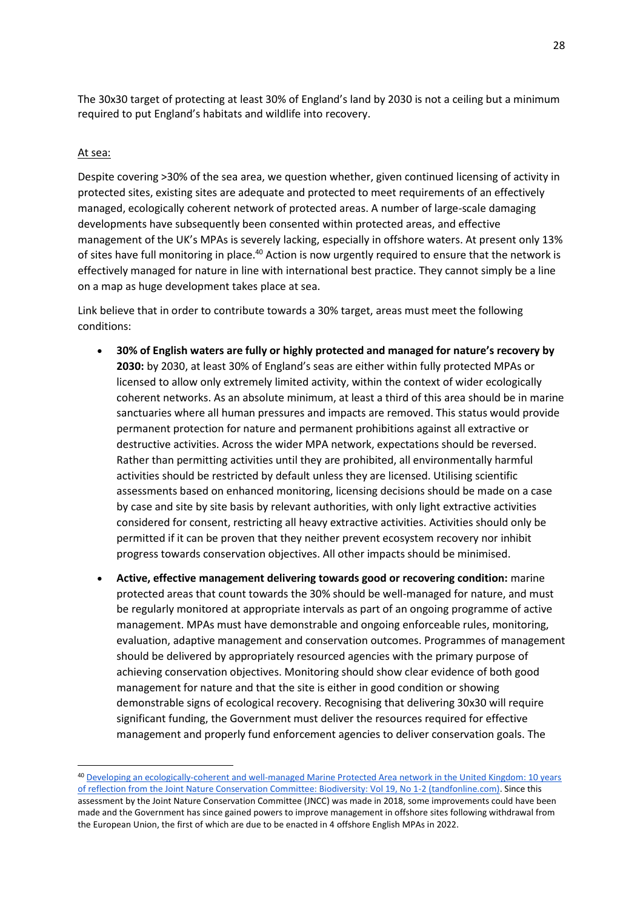The 30x30 target of protecting at least 30% of England's land by 2030 is not a ceiling but a minimum required to put England's habitats and wildlife into recovery.

### At sea:

Despite covering >30% of the sea area, we question whether, given continued licensing of activity in protected sites, existing sites are adequate and protected to meet requirements of an effectively managed, ecologically coherent network of protected areas. A number of large-scale damaging developments have subsequently been consented within protected areas, and effective management of the UK's MPAs is severely lacking, especially in offshore waters. At present only 13% of sites have full monitoring in place.<sup>40</sup> Action is now urgently required to ensure that the network is effectively managed for nature in line with international best practice. They cannot simply be a line on a map as huge development takes place at sea.

Link believe that in order to contribute towards a 30% target, areas must meet the following conditions:

- **30% of English waters are fully or highly protected and managed for nature's recovery by 2030:** by 2030, at least 30% of England's seas are either within fully protected MPAs or licensed to allow only extremely limited activity, within the context of wider ecologically coherent networks. As an absolute minimum, at least a third of this area should be in marine sanctuaries where all human pressures and impacts are removed. This status would provide permanent protection for nature and permanent prohibitions against all extractive or destructive activities. Across the wider MPA network, expectations should be reversed. Rather than permitting activities until they are prohibited, all environmentally harmful activities should be restricted by default unless they are licensed. Utilising scientific assessments based on enhanced monitoring, licensing decisions should be made on a case by case and site by site basis by relevant authorities, with only light extractive activities considered for consent, restricting all heavy extractive activities. Activities should only be permitted if it can be proven that they neither prevent ecosystem recovery nor inhibit progress towards conservation objectives. All other impacts should be minimised.
- **Active, effective management delivering towards good or recovering condition:** marine protected areas that count towards the 30% should be well-managed for nature, and must be regularly monitored at appropriate intervals as part of an ongoing programme of active management. MPAs must have demonstrable and ongoing enforceable rules, monitoring, evaluation, adaptive management and conservation outcomes. Programmes of management should be delivered by appropriately resourced agencies with the primary purpose of achieving conservation objectives. Monitoring should show clear evidence of both good management for nature and that the site is either in good condition or showing demonstrable signs of ecological recovery. Recognising that delivering 30x30 will require significant funding, the Government must deliver the resources required for effective management and properly fund enforcement agencies to deliver conservation goals. The

<sup>40</sup> [Developing an ecologically-coherent and well-managed Marine Protected Area network in the United Kingdom: 10 years](https://www.tandfonline.com/doi/full/10.1080/14888386.2018.1467791)  [of reflection from the Joint Nature Conservation Committee: Biodiversity: Vol 19, No 1-2 \(tandfonline.com\).](https://www.tandfonline.com/doi/full/10.1080/14888386.2018.1467791) Since this assessment by the Joint Nature Conservation Committee (JNCC) was made in 2018, some improvements could have been made and the Government has since gained powers to improve management in offshore sites following withdrawal from the European Union, the first of which are due to be enacted in 4 offshore English MPAs in 2022.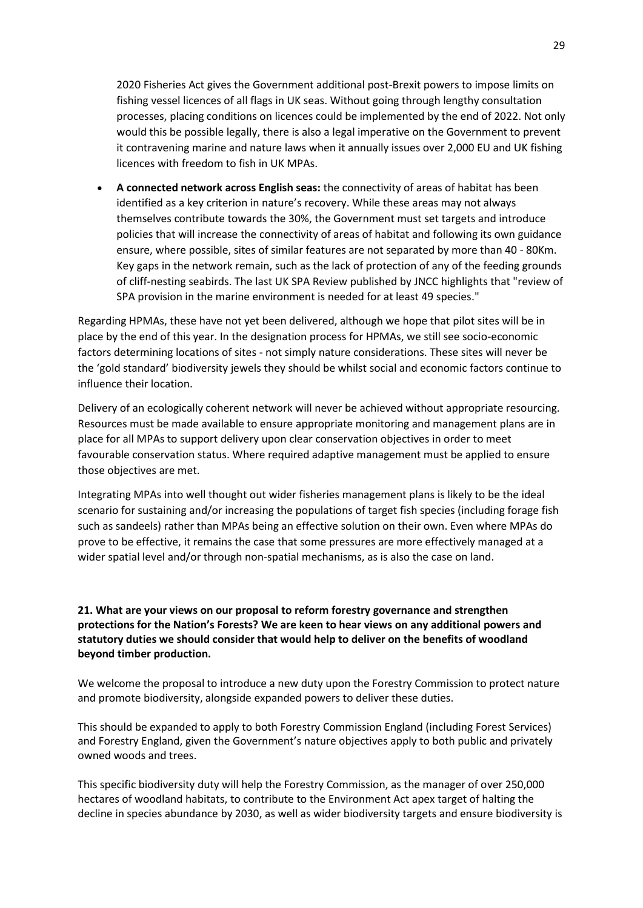2020 Fisheries Act gives the Government additional post-Brexit powers to impose limits on fishing vessel licences of all flags in UK seas. Without going through lengthy consultation processes, placing conditions on licences could be implemented by the end of 2022. Not only would this be possible legally, there is also a legal imperative on the Government to prevent it contravening marine and nature laws when it annually issues over 2,000 EU and UK fishing licences with freedom to fish in UK MPAs.

• **A connected network across English seas:** the connectivity of areas of habitat has been identified as a key criterion in nature's recovery. While these areas may not always themselves contribute towards the 30%, the Government must set targets and introduce policies that will increase the connectivity of areas of habitat and following its own guidance ensure, where possible, sites of similar features are not separated by more than 40 - 80Km. Key gaps in the network remain, such as the lack of protection of any of the feeding grounds of cliff-nesting seabirds. The last UK SPA Review published by JNCC highlights that "review of SPA provision in the marine environment is needed for at least 49 species."

Regarding HPMAs, these have not yet been delivered, although we hope that pilot sites will be in place by the end of this year. In the designation process for HPMAs, we still see socio-economic factors determining locations of sites - not simply nature considerations. These sites will never be the 'gold standard' biodiversity jewels they should be whilst social and economic factors continue to influence their location.

Delivery of an ecologically coherent network will never be achieved without appropriate resourcing. Resources must be made available to ensure appropriate monitoring and management plans are in place for all MPAs to support delivery upon clear conservation objectives in order to meet favourable conservation status. Where required adaptive management must be applied to ensure those objectives are met.

Integrating MPAs into well thought out wider fisheries management plans is likely to be the ideal scenario for sustaining and/or increasing the populations of target fish species (including forage fish such as sandeels) rather than MPAs being an effective solution on their own. Even where MPAs do prove to be effective, it remains the case that some pressures are more effectively managed at a wider spatial level and/or through non-spatial mechanisms, as is also the case on land.

# **21. What are your views on our proposal to reform forestry governance and strengthen protections for the Nation's Forests? We are keen to hear views on any additional powers and statutory duties we should consider that would help to deliver on the benefits of woodland beyond timber production.**

We welcome the proposal to introduce a new duty upon the Forestry Commission to protect nature and promote biodiversity, alongside expanded powers to deliver these duties.

This should be expanded to apply to both Forestry Commission England (including Forest Services) and Forestry England, given the Government's nature objectives apply to both public and privately owned woods and trees.

This specific biodiversity duty will help the Forestry Commission, as the manager of over 250,000 hectares of woodland habitats, to contribute to the Environment Act apex target of halting the decline in species abundance by 2030, as well as wider biodiversity targets and ensure biodiversity is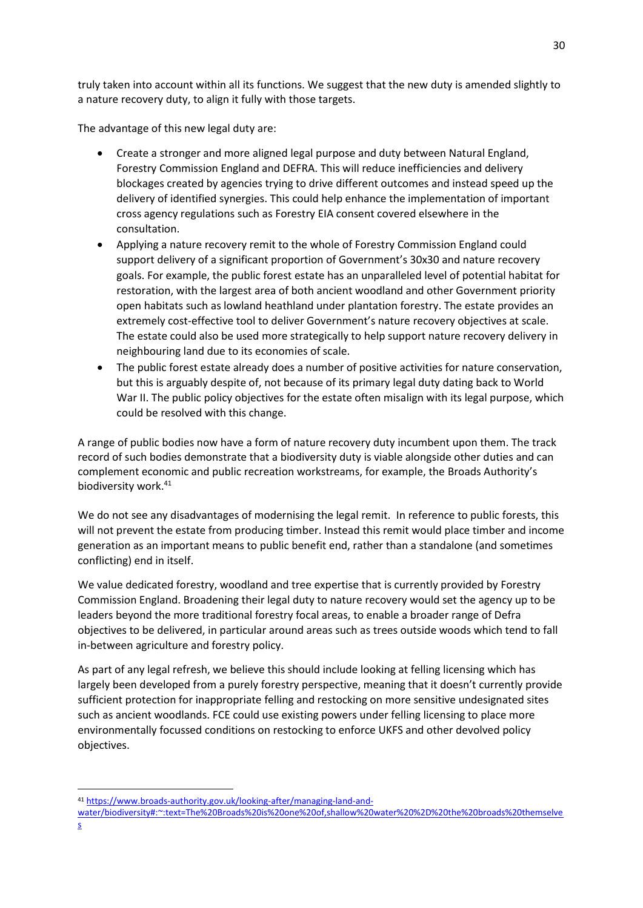truly taken into account within all its functions. We suggest that the new duty is amended slightly to a nature recovery duty, to align it fully with those targets.

The advantage of this new legal duty are:

- Create a stronger and more aligned legal purpose and duty between Natural England, Forestry Commission England and DEFRA. This will reduce inefficiencies and delivery blockages created by agencies trying to drive different outcomes and instead speed up the delivery of identified synergies. This could help enhance the implementation of important cross agency regulations such as Forestry EIA consent covered elsewhere in the consultation.
- Applying a nature recovery remit to the whole of Forestry Commission England could support delivery of a significant proportion of Government's 30x30 and nature recovery goals. For example, the public forest estate has an unparalleled level of potential habitat for restoration, with the largest area of both ancient woodland and other Government priority open habitats such as lowland heathland under plantation forestry. The estate provides an extremely cost-effective tool to deliver Government's nature recovery objectives at scale. The estate could also be used more strategically to help support nature recovery delivery in neighbouring land due to its economies of scale.
- The public forest estate already does a number of positive activities for nature conservation, but this is arguably despite of, not because of its primary legal duty dating back to World War II. The public policy objectives for the estate often misalign with its legal purpose, which could be resolved with this change.

A range of public bodies now have a form of nature recovery duty incumbent upon them. The track record of such bodies demonstrate that a biodiversity duty is viable alongside other duties and can complement economic and public recreation workstreams, for example, the Broads Authority's biodiversity work. 41

We do not see any disadvantages of modernising the legal remit. In reference to public forests, this will not prevent the estate from producing timber. Instead this remit would place timber and income generation as an important means to public benefit end, rather than a standalone (and sometimes conflicting) end in itself.

We value dedicated forestry, woodland and tree expertise that is currently provided by Forestry Commission England. Broadening their legal duty to nature recovery would set the agency up to be leaders beyond the more traditional forestry focal areas, to enable a broader range of Defra objectives to be delivered, in particular around areas such as trees outside woods which tend to fall in-between agriculture and forestry policy.

As part of any legal refresh, we believe this should include looking at felling licensing which has largely been developed from a purely forestry perspective, meaning that it doesn't currently provide sufficient protection for inappropriate felling and restocking on more sensitive undesignated sites such as ancient woodlands. FCE could use existing powers under felling licensing to place more environmentally focussed conditions on restocking to enforce UKFS and other devolved policy objectives.

<sup>41</sup> [https://www.broads-authority.gov.uk/looking-after/managing-land-and-](https://www.broads-authority.gov.uk/looking-after/managing-land-and-water/biodiversity#:~:text=The%20Broads%20is%20one%20of,shallow%20water%20%2D%20the%20broads%20themselves)

[water/biodiversity#:~:text=The%20Broads%20is%20one%20of,shallow%20water%20%2D%20the%20broads%20themselve](https://www.broads-authority.gov.uk/looking-after/managing-land-and-water/biodiversity#:~:text=The%20Broads%20is%20one%20of,shallow%20water%20%2D%20the%20broads%20themselves) [s](https://www.broads-authority.gov.uk/looking-after/managing-land-and-water/biodiversity#:~:text=The%20Broads%20is%20one%20of,shallow%20water%20%2D%20the%20broads%20themselves)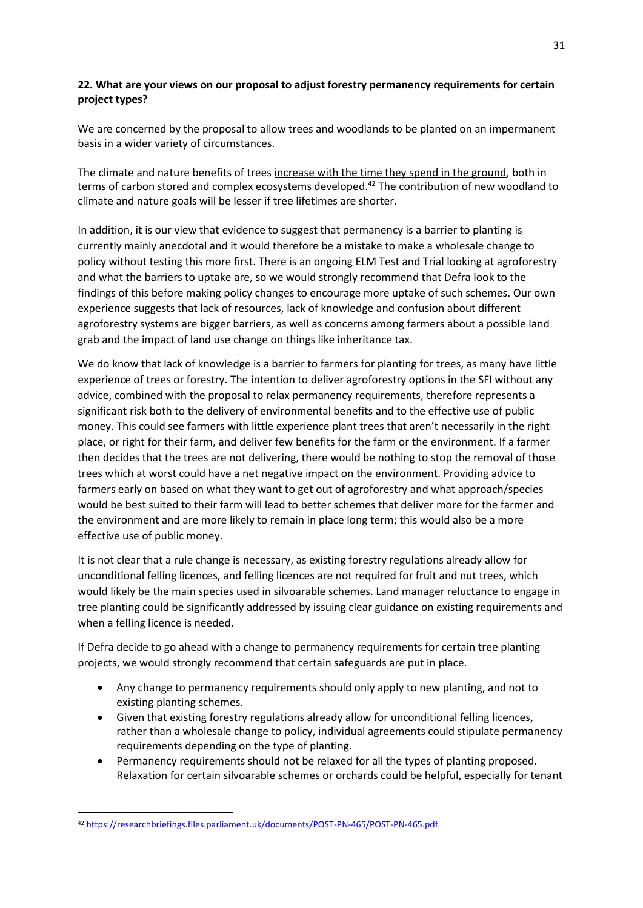# **22. What are your views on our proposal to adjust forestry permanency requirements for certain project types?**

We are concerned by the proposal to allow trees and woodlands to be planted on an impermanent basis in a wider variety of circumstances.

The climate and nature benefits of trees [increase with the time they spend in the ground,](https://researchbriefings.files.parliament.uk/documents/POST-PN-465/POST-PN-465.pdf) both in terms of carbon stored and complex ecosystems developed.<sup>42</sup> The contribution of new woodland to climate and nature goals will be lesser if tree lifetimes are shorter.

In addition, it is our view that evidence to suggest that permanency is a barrier to planting is currently mainly anecdotal and it would therefore be a mistake to make a wholesale change to policy without testing this more first. There is an ongoing ELM Test and Trial looking at agroforestry and what the barriers to uptake are, so we would strongly recommend that Defra look to the findings of this before making policy changes to encourage more uptake of such schemes. Our own experience suggests that lack of resources, lack of knowledge and confusion about different agroforestry systems are bigger barriers, as well as concerns among farmers about a possible land grab and the impact of land use change on things like inheritance tax.

We do know that lack of knowledge is a barrier to farmers for planting for trees, as many have little experience of trees or forestry. The intention to deliver agroforestry options in the SFI without any advice, combined with the proposal to relax permanency requirements, therefore represents a significant risk both to the delivery of environmental benefits and to the effective use of public money. This could see farmers with little experience plant trees that aren't necessarily in the right place, or right for their farm, and deliver few benefits for the farm or the environment. If a farmer then decides that the trees are not delivering, there would be nothing to stop the removal of those trees which at worst could have a net negative impact on the environment. Providing advice to farmers early on based on what they want to get out of agroforestry and what approach/species would be best suited to their farm will lead to better schemes that deliver more for the farmer and the environment and are more likely to remain in place long term; this would also be a more effective use of public money.

It is not clear that a rule change is necessary, as existing forestry regulations already allow for unconditional felling licences, and felling licences are not required for fruit and nut trees, which would likely be the main species used in silvoarable schemes. Land manager reluctance to engage in tree planting could be significantly addressed by issuing clear guidance on existing requirements and when a felling licence is needed.

If Defra decide to go ahead with a change to permanency requirements for certain tree planting projects, we would strongly recommend that certain safeguards are put in place.

- Any change to permanency requirements should only apply to new planting, and not to existing planting schemes.
- Given that existing forestry regulations already allow for unconditional felling licences, rather than a wholesale change to policy, individual agreements could stipulate permanency requirements depending on the type of planting.
- Permanency requirements should not be relaxed for all the types of planting proposed. Relaxation for certain silvoarable schemes or orchards could be helpful, especially for tenant

<sup>42</sup> <https://researchbriefings.files.parliament.uk/documents/POST-PN-465/POST-PN-465.pdf>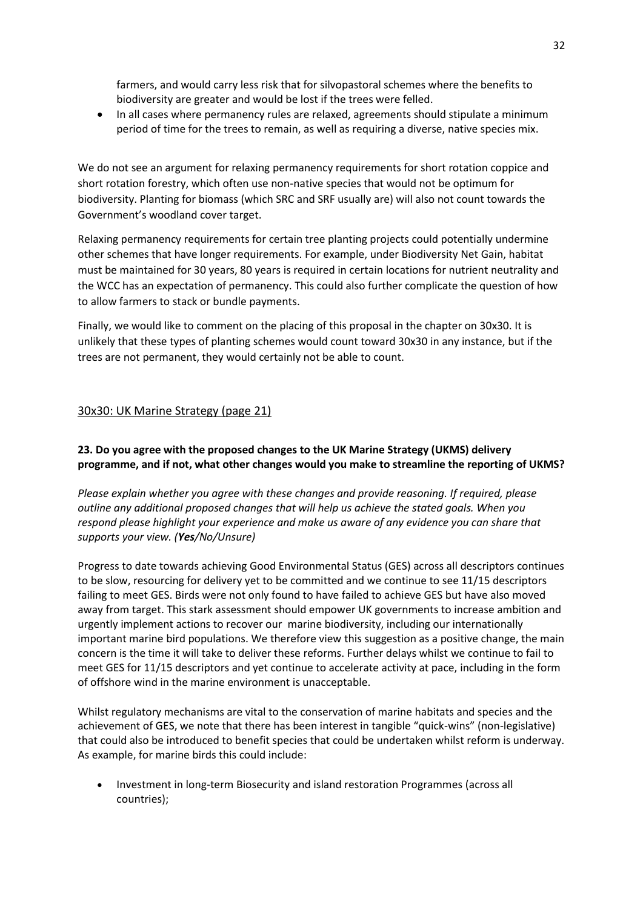farmers, and would carry less risk that for silvopastoral schemes where the benefits to biodiversity are greater and would be lost if the trees were felled.

• In all cases where permanency rules are relaxed, agreements should stipulate a minimum period of time for the trees to remain, as well as requiring a diverse, native species mix.

We do not see an argument for relaxing permanency requirements for short rotation coppice and short rotation forestry, which often use non-native species that would not be optimum for biodiversity. Planting for biomass (which SRC and SRF usually are) will also not count towards the Government's woodland cover target.

Relaxing permanency requirements for certain tree planting projects could potentially undermine other schemes that have longer requirements. For example, under Biodiversity Net Gain, habitat must be maintained for 30 years, 80 years is required in certain locations for nutrient neutrality and the WCC has an expectation of permanency. This could also further complicate the question of how to allow farmers to stack or bundle payments.

Finally, we would like to comment on the placing of this proposal in the chapter on 30x30. It is unlikely that these types of planting schemes would count toward 30x30 in any instance, but if the trees are not permanent, they would certainly not be able to count.

## 30x30: UK Marine Strategy (page 21)

# **23. Do you agree with the proposed changes to the UK Marine Strategy (UKMS) delivery programme, and if not, what other changes would you make to streamline the reporting of UKMS?**

*Please explain whether you agree with these changes and provide reasoning. If required, please outline any additional proposed changes that will help us achieve the stated goals. When you respond please highlight your experience and make us aware of any evidence you can share that supports your view. (Yes/No/Unsure)*

Progress to date towards achieving Good Environmental Status (GES) across all descriptors continues to be slow, resourcing for delivery yet to be committed and we continue to see 11/15 descriptors failing to meet GES. Birds were not only found to have failed to achieve GES but have also moved away from target. This stark assessment should empower UK governments to increase ambition and urgently implement actions to recover our marine biodiversity, including our internationally important marine bird populations. We therefore view this suggestion as a positive change, the main concern is the time it will take to deliver these reforms. Further delays whilst we continue to fail to meet GES for 11/15 descriptors and yet continue to accelerate activity at pace, including in the form of offshore wind in the marine environment is unacceptable.

Whilst regulatory mechanisms are vital to the conservation of marine habitats and species and the achievement of GES, we note that there has been interest in tangible "quick-wins" (non-legislative) that could also be introduced to benefit species that could be undertaken whilst reform is underway. As example, for marine birds this could include:

• Investment in long-term Biosecurity and island restoration Programmes (across all countries);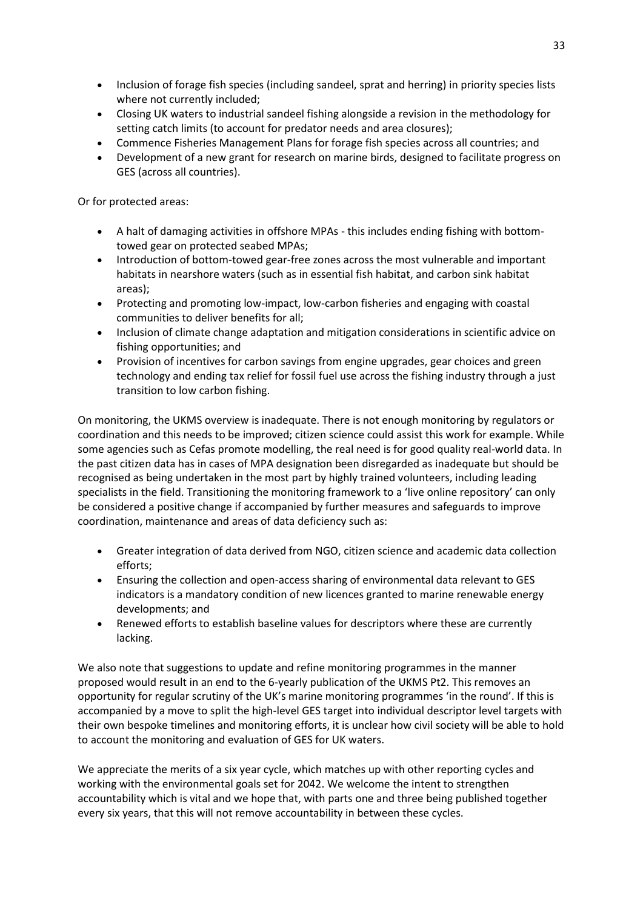- Inclusion of forage fish species (including sandeel, sprat and herring) in priority species lists where not currently included;
- Closing UK waters to industrial sandeel fishing alongside a revision in the methodology for setting catch limits (to account for predator needs and area closures);
- Commence Fisheries Management Plans for forage fish species across all countries; and
- Development of a new grant for research on marine birds, designed to facilitate progress on GES (across all countries).

Or for protected areas:

- A halt of damaging activities in offshore MPAs this includes ending fishing with bottomtowed gear on protected seabed MPAs;
- Introduction of bottom-towed gear-free zones across the most vulnerable and important habitats in nearshore waters (such as in essential fish habitat, and carbon sink habitat areas);
- Protecting and promoting low-impact, low-carbon fisheries and engaging with coastal communities to deliver benefits for all;
- Inclusion of climate change adaptation and mitigation considerations in scientific advice on fishing opportunities; and
- Provision of incentives for carbon savings from engine upgrades, gear choices and green technology and ending tax relief for fossil fuel use across the fishing industry through a just transition to low carbon fishing.

On monitoring, the UKMS overview is inadequate. There is not enough monitoring by regulators or coordination and this needs to be improved; citizen science could assist this work for example. While some agencies such as Cefas promote modelling, the real need is for good quality real-world data. In the past citizen data has in cases of MPA designation been disregarded as inadequate but should be recognised as being undertaken in the most part by highly trained volunteers, including leading specialists in the field. Transitioning the monitoring framework to a 'live online repository' can only be considered a positive change if accompanied by further measures and safeguards to improve coordination, maintenance and areas of data deficiency such as:

- Greater integration of data derived from NGO, citizen science and academic data collection efforts;
- Ensuring the collection and open-access sharing of environmental data relevant to GES indicators is a mandatory condition of new licences granted to marine renewable energy developments; and
- Renewed efforts to establish baseline values for descriptors where these are currently lacking.

We also note that suggestions to update and refine monitoring programmes in the manner proposed would result in an end to the 6-yearly publication of the UKMS Pt2. This removes an opportunity for regular scrutiny of the UK's marine monitoring programmes 'in the round'. If this is accompanied by a move to split the high-level GES target into individual descriptor level targets with their own bespoke timelines and monitoring efforts, it is unclear how civil society will be able to hold to account the monitoring and evaluation of GES for UK waters.

We appreciate the merits of a six year cycle, which matches up with other reporting cycles and working with the environmental goals set for 2042. We welcome the intent to strengthen accountability which is vital and we hope that, with parts one and three being published together every six years, that this will not remove accountability in between these cycles.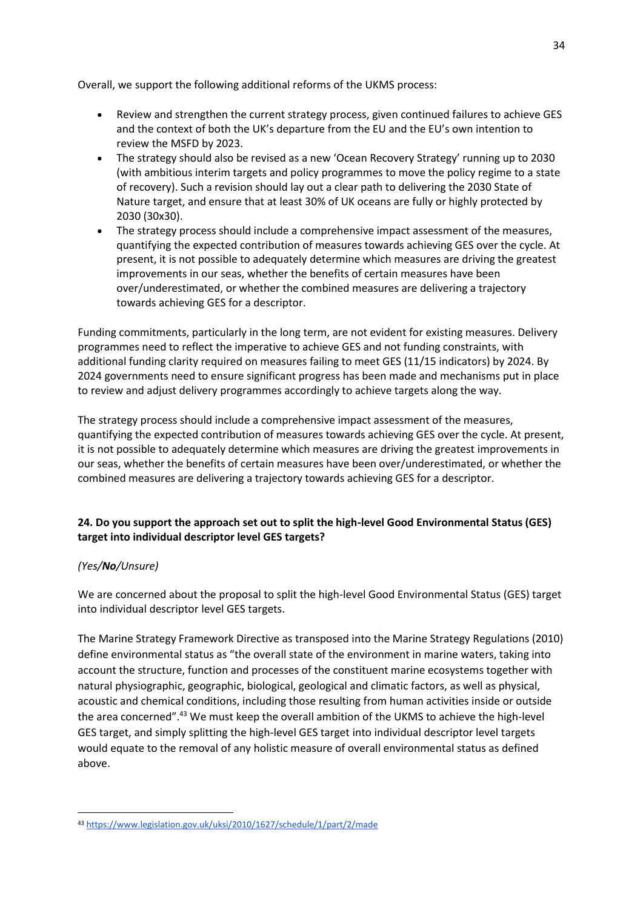Overall, we support the following additional reforms of the UKMS process:

- Review and strengthen the current strategy process, given continued failures to achieve GES and the context of both the UK's departure from the EU and the EU's own intention to review the MSFD by 2023.
- The strategy should also be revised as a new 'Ocean Recovery Strategy' running up to 2030 (with ambitious interim targets and policy programmes to move the policy regime to a state of recovery). Such a revision should lay out a clear path to delivering the 2030 State of Nature target, and ensure that at least 30% of UK oceans are fully or highly protected by 2030 (30x30).
- The strategy process should include a comprehensive impact assessment of the measures, quantifying the expected contribution of measures towards achieving GES over the cycle. At present, it is not possible to adequately determine which measures are driving the greatest improvements in our seas, whether the benefits of certain measures have been over/underestimated, or whether the combined measures are delivering a trajectory towards achieving GES for a descriptor.

Funding commitments, particularly in the long term, are not evident for existing measures. Delivery programmes need to reflect the imperative to achieve GES and not funding constraints, with additional funding clarity required on measures failing to meet GES (11/15 indicators) by 2024. By 2024 governments need to ensure significant progress has been made and mechanisms put in place to review and adjust delivery programmes accordingly to achieve targets along the way.

The strategy process should include a comprehensive impact assessment of the measures, quantifying the expected contribution of measures towards achieving GES over the cycle. At present, it is not possible to adequately determine which measures are driving the greatest improvements in our seas, whether the benefits of certain measures have been over/underestimated, or whether the combined measures are delivering a trajectory towards achieving GES for a descriptor.

# **24. Do you support the approach set out to split the high-level Good Environmental Status (GES) target into individual descriptor level GES targets?**

# *(Yes/No/Unsure)*

We are concerned about the proposal to split the high-level Good Environmental Status (GES) target into individual descriptor level GES targets.

The Marine Strategy Framework Directive as transposed into the Marine Strategy Regulations (2010) define environmental status as "the overall state of the environment in marine waters, taking into account the structure, function and processes of the constituent marine ecosystems together with natural physiographic, geographic, biological, geological and climatic factors, as well as physical, acoustic and chemical conditions, including those resulting from human activities inside or outside the area concerned".<sup>43</sup> We must keep the overall ambition of the UKMS to achieve the high-level GES target, and simply splitting the high-level GES target into individual descriptor level targets would equate to the removal of any holistic measure of overall environmental status as defined above.

<sup>43</sup> <https://www.legislation.gov.uk/uksi/2010/1627/schedule/1/part/2/made>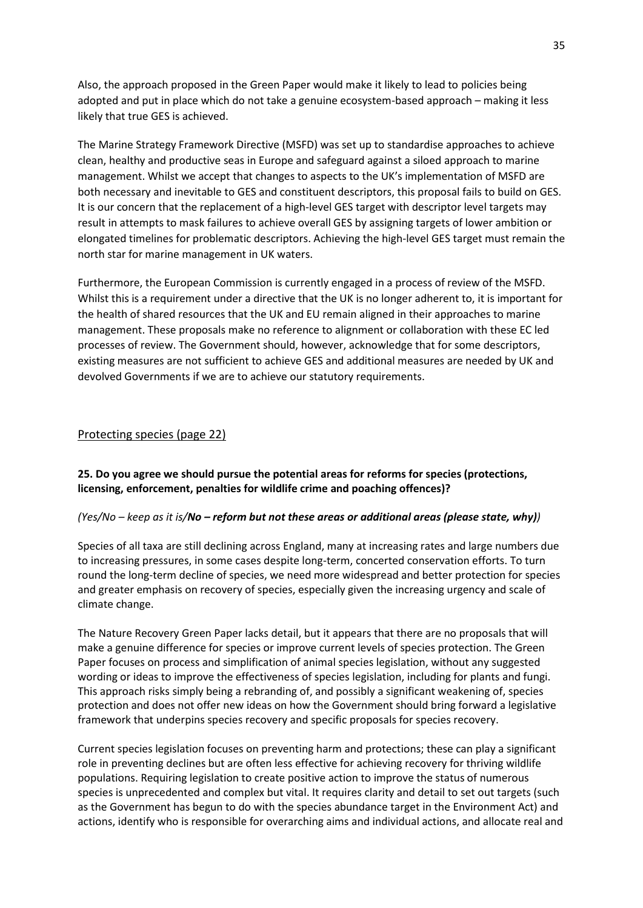Also, the approach proposed in the Green Paper would make it likely to lead to policies being adopted and put in place which do not take a genuine ecosystem-based approach – making it less likely that true GES is achieved.

The Marine Strategy Framework Directive (MSFD) was set up to standardise approaches to achieve clean, healthy and productive seas in Europe and safeguard against a siloed approach to marine management. Whilst we accept that changes to aspects to the UK's implementation of MSFD are both necessary and inevitable to GES and constituent descriptors, this proposal fails to build on GES. It is our concern that the replacement of a high-level GES target with descriptor level targets may result in attempts to mask failures to achieve overall GES by assigning targets of lower ambition or elongated timelines for problematic descriptors. Achieving the high-level GES target must remain the north star for marine management in UK waters.

Furthermore, the European Commission is currently engaged in a process of review of the MSFD. Whilst this is a requirement under a directive that the UK is no longer adherent to, it is important for the health of shared resources that the UK and EU remain aligned in their approaches to marine management. These proposals make no reference to alignment or collaboration with these EC led processes of review. The Government should, however, acknowledge that for some descriptors, existing measures are not sufficient to achieve GES and additional measures are needed by UK and devolved Governments if we are to achieve our statutory requirements.

## Protecting species (page 22)

## **25. Do you agree we should pursue the potential areas for reforms for species (protections, licensing, enforcement, penalties for wildlife crime and poaching offences)?**

#### *(Yes/No – keep as it is/No – reform but not these areas or additional areas (please state, why))*

Species of all taxa are still declining across England, many at increasing rates and large numbers due to increasing pressures, in some cases despite long-term, concerted conservation efforts. To turn round the long-term decline of species, we need more widespread and better protection for species and greater emphasis on recovery of species, especially given the increasing urgency and scale of climate change.

The Nature Recovery Green Paper lacks detail, but it appears that there are no proposals that will make a genuine difference for species or improve current levels of species protection. The Green Paper focuses on process and simplification of animal species legislation, without any suggested wording or ideas to improve the effectiveness of species legislation, including for plants and fungi. This approach risks simply being a rebranding of, and possibly a significant weakening of, species protection and does not offer new ideas on how the Government should bring forward a legislative framework that underpins species recovery and specific proposals for species recovery.

Current species legislation focuses on preventing harm and protections; these can play a significant role in preventing declines but are often less effective for achieving recovery for thriving wildlife populations. Requiring legislation to create positive action to improve the status of numerous species is unprecedented and complex but vital. It requires clarity and detail to set out targets (such as the Government has begun to do with the species abundance target in the Environment Act) and actions, identify who is responsible for overarching aims and individual actions, and allocate real and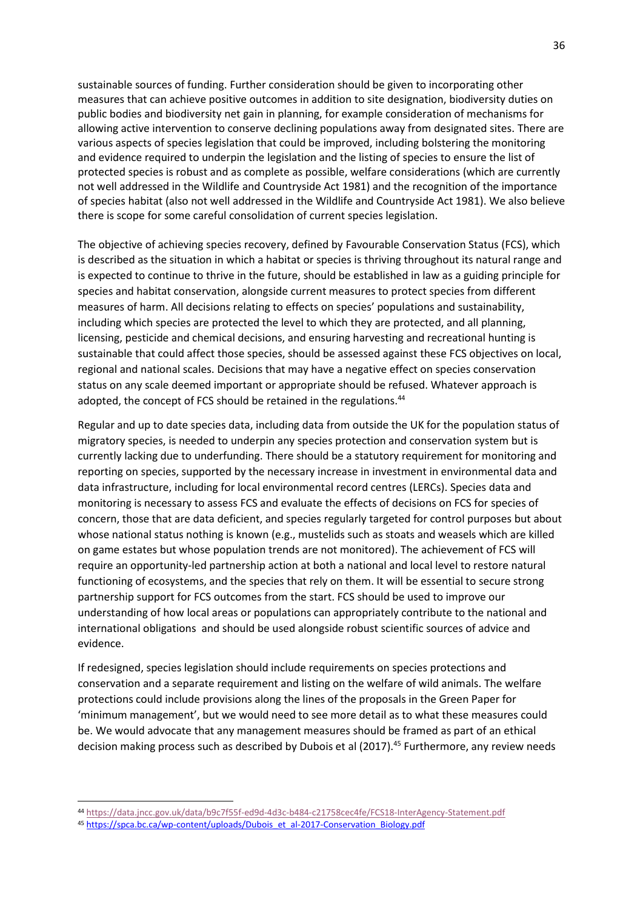sustainable sources of funding. Further consideration should be given to incorporating other measures that can achieve positive outcomes in addition to site designation, biodiversity duties on public bodies and biodiversity net gain in planning, for example consideration of mechanisms for allowing active intervention to conserve declining populations away from designated sites. There are various aspects of species legislation that could be improved, including bolstering the monitoring and evidence required to underpin the legislation and the listing of species to ensure the list of protected species is robust and as complete as possible, welfare considerations (which are currently not well addressed in the Wildlife and Countryside Act 1981) and the recognition of the importance of species habitat (also not well addressed in the Wildlife and Countryside Act 1981). We also believe there is scope for some careful consolidation of current species legislation.

The objective of achieving species recovery, defined by Favourable Conservation Status (FCS), which is described as the situation in which a habitat or species is thriving throughout its natural range and is expected to continue to thrive in the future, should be established in law as a guiding principle for species and habitat conservation, alongside current measures to protect species from different measures of harm. All decisions relating to effects on species' populations and sustainability, including which species are protected the level to which they are protected, and all planning, licensing, pesticide and chemical decisions, and ensuring harvesting and recreational hunting is sustainable that could affect those species, should be assessed against these FCS objectives on local, regional and national scales. Decisions that may have a negative effect on species conservation status on any scale deemed important or appropriate should be refused. Whatever approach is adopted, the concept of FCS should be retained in the regulations.<sup>44</sup>

Regular and up to date species data, including data from outside the UK for the population status of migratory species, is needed to underpin any species protection and conservation system but is currently lacking due to underfunding. There should be a statutory requirement for monitoring and reporting on species, supported by the necessary increase in investment in environmental data and data infrastructure, including for local environmental record centres (LERCs). Species data and monitoring is necessary to assess FCS and evaluate the effects of decisions on FCS for species of concern, those that are data deficient, and species regularly targeted for control purposes but about whose national status nothing is known (e.g., mustelids such as stoats and weasels which are killed on game estates but whose population trends are not monitored). The achievement of FCS will require an opportunity-led partnership action at both a national and local level to restore natural functioning of ecosystems, and the species that rely on them. It will be essential to secure strong partnership support for FCS outcomes from the start. FCS should be used to improve our understanding of how local areas or populations can appropriately contribute to the national and international obligations and should be used alongside robust scientific sources of advice and evidence.

If redesigned, species legislation should include requirements on species protections and conservation and a separate requirement and listing on the welfare of wild animals. The welfare protections could include provisions along the lines of the proposals in the Green Paper for 'minimum management', but we would need to see more detail as to what these measures could be. We would advocate that any management measures should be framed as part of an ethical decision making process such as described by Dubois et al (2017).<sup>45</sup> Furthermore, any review needs

<sup>44</sup> <https://data.jncc.gov.uk/data/b9c7f55f-ed9d-4d3c-b484-c21758cec4fe/FCS18-InterAgency-Statement.pdf>

<sup>45</sup> [https://spca.bc.ca/wp-content/uploads/Dubois\\_et\\_al-2017-Conservation\\_Biology.pdf](https://spca.bc.ca/wp-content/uploads/Dubois_et_al-2017-Conservation_Biology.pdf)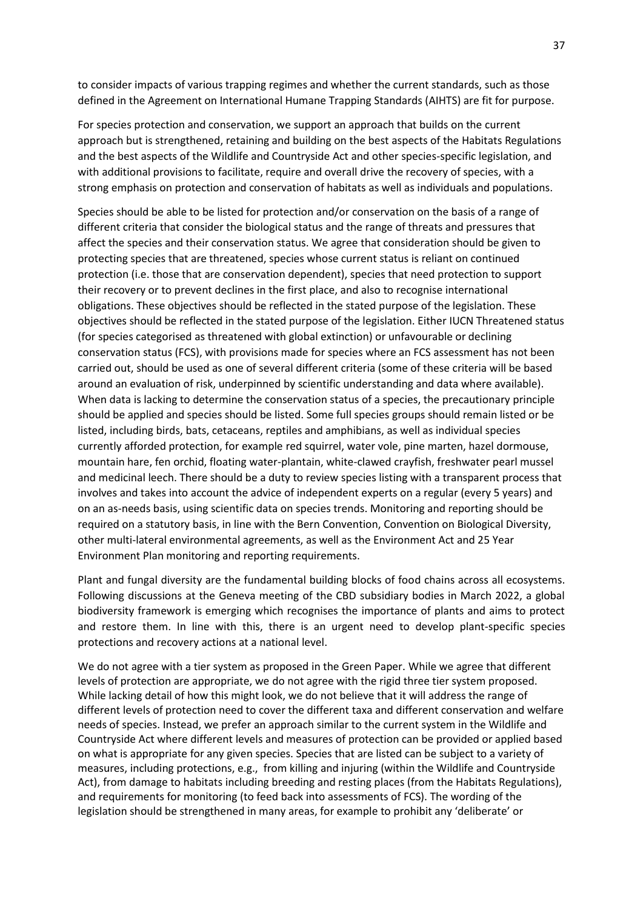to consider impacts of various trapping regimes and whether the current standards, such as those defined in the Agreement on International Humane Trapping Standards (AIHTS) are fit for purpose.

For species protection and conservation, we support an approach that builds on the current approach but is strengthened, retaining and building on the best aspects of the Habitats Regulations and the best aspects of the Wildlife and Countryside Act and other species-specific legislation, and with additional provisions to facilitate, require and overall drive the recovery of species, with a strong emphasis on protection and conservation of habitats as well as individuals and populations.

Species should be able to be listed for protection and/or conservation on the basis of a range of different criteria that consider the biological status and the range of threats and pressures that affect the species and their conservation status. We agree that consideration should be given to protecting species that are threatened, species whose current status is reliant on continued protection (i.e. those that are conservation dependent), species that need protection to support their recovery or to prevent declines in the first place, and also to recognise international obligations. These objectives should be reflected in the stated purpose of the legislation. These objectives should be reflected in the stated purpose of the legislation. Either IUCN Threatened status (for species categorised as threatened with global extinction) or unfavourable or declining conservation status (FCS), with provisions made for species where an FCS assessment has not been carried out, should be used as one of several different criteria (some of these criteria will be based around an evaluation of risk, underpinned by scientific understanding and data where available). When data is lacking to determine the conservation status of a species, the precautionary principle should be applied and species should be listed. Some full species groups should remain listed or be listed, including birds, bats, cetaceans, reptiles and amphibians, as well as individual species currently afforded protection, for example red squirrel, water vole, pine marten, hazel dormouse, mountain hare, fen orchid, floating water-plantain, white-clawed crayfish, freshwater pearl mussel and medicinal leech. There should be a duty to review species listing with a transparent process that involves and takes into account the advice of independent experts on a regular (every 5 years) and on an as-needs basis, using scientific data on species trends. Monitoring and reporting should be required on a statutory basis, in line with the Bern Convention, Convention on Biological Diversity, other multi-lateral environmental agreements, as well as the Environment Act and 25 Year Environment Plan monitoring and reporting requirements.

Plant and fungal diversity are the fundamental building blocks of food chains across all ecosystems. Following discussions at the Geneva meeting of the CBD subsidiary bodies in March 2022, a global biodiversity framework is emerging which recognises the importance of plants and aims to protect and restore them. In line with this, there is an urgent need to develop plant-specific species protections and recovery actions at a national level.

We do not agree with a tier system as proposed in the Green Paper. While we agree that different levels of protection are appropriate, we do not agree with the rigid three tier system proposed. While lacking detail of how this might look, we do not believe that it will address the range of different levels of protection need to cover the different taxa and different conservation and welfare needs of species. Instead, we prefer an approach similar to the current system in the Wildlife and Countryside Act where different levels and measures of protection can be provided or applied based on what is appropriate for any given species. Species that are listed can be subject to a variety of measures, including protections, e.g., from killing and injuring (within the Wildlife and Countryside Act), from damage to habitats including breeding and resting places (from the Habitats Regulations), and requirements for monitoring (to feed back into assessments of FCS). The wording of the legislation should be strengthened in many areas, for example to prohibit any 'deliberate' or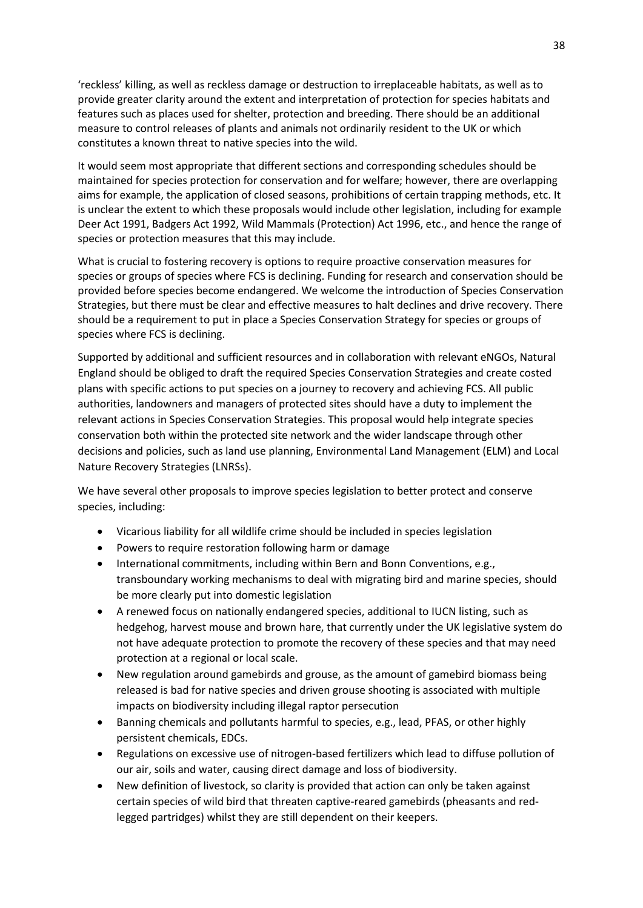'reckless' killing, as well as reckless damage or destruction to irreplaceable habitats, as well as to provide greater clarity around the extent and interpretation of protection for species habitats and features such as places used for shelter, protection and breeding. There should be an additional measure to control releases of plants and animals not ordinarily resident to the UK or which constitutes a known threat to native species into the wild.

It would seem most appropriate that different sections and corresponding schedules should be maintained for species protection for conservation and for welfare; however, there are overlapping aims for example, the application of closed seasons, prohibitions of certain trapping methods, etc. It is unclear the extent to which these proposals would include other legislation, including for example Deer Act 1991, Badgers Act 1992, Wild Mammals (Protection) Act 1996, etc., and hence the range of species or protection measures that this may include.

What is crucial to fostering recovery is options to require proactive conservation measures for species or groups of species where FCS is declining. Funding for research and conservation should be provided before species become endangered. We welcome the introduction of Species Conservation Strategies, but there must be clear and effective measures to halt declines and drive recovery. There should be a requirement to put in place a Species Conservation Strategy for species or groups of species where FCS is declining.

Supported by additional and sufficient resources and in collaboration with relevant eNGOs, Natural England should be obliged to draft the required Species Conservation Strategies and create costed plans with specific actions to put species on a journey to recovery and achieving FCS. All public authorities, landowners and managers of protected sites should have a duty to implement the relevant actions in Species Conservation Strategies. This proposal would help integrate species conservation both within the protected site network and the wider landscape through other decisions and policies, such as land use planning, Environmental Land Management (ELM) and Local Nature Recovery Strategies (LNRSs).

We have several other proposals to improve species legislation to better protect and conserve species, including:

- Vicarious liability for all wildlife crime should be included in species legislation
- Powers to require restoration following harm or damage
- International commitments, including within Bern and Bonn Conventions, e.g., transboundary working mechanisms to deal with migrating bird and marine species, should be more clearly put into domestic legislation
- A renewed focus on nationally endangered species, additional to IUCN listing, such as hedgehog, harvest mouse and brown hare, that currently under the UK legislative system do not have adequate protection to promote the recovery of these species and that may need protection at a regional or local scale.
- New regulation around gamebirds and grouse, as the amount of gamebird biomass being released is bad for native species and driven grouse shooting is associated with multiple impacts on biodiversity including illegal raptor persecution
- Banning chemicals and pollutants harmful to species, e.g., lead, PFAS, or other highly persistent chemicals, EDCs.
- Regulations on excessive use of nitrogen-based fertilizers which lead to diffuse pollution of our air, soils and water, causing direct damage and loss of biodiversity.
- New definition of livestock, so clarity is provided that action can only be taken against certain species of wild bird that threaten captive-reared gamebirds (pheasants and redlegged partridges) whilst they are still dependent on their keepers.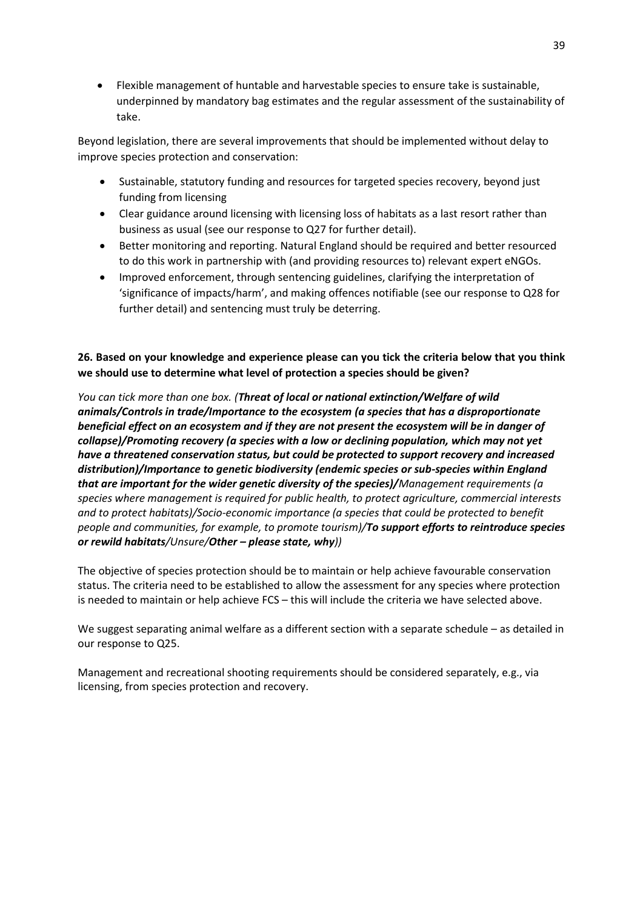• Flexible management of huntable and harvestable species to ensure take is sustainable, underpinned by mandatory bag estimates and the regular assessment of the sustainability of take.

Beyond legislation, there are several improvements that should be implemented without delay to improve species protection and conservation:

- Sustainable, statutory funding and resources for targeted species recovery, beyond just funding from licensing
- Clear guidance around licensing with licensing loss of habitats as a last resort rather than business as usual (see our response to Q27 for further detail).
- Better monitoring and reporting. Natural England should be required and better resourced to do this work in partnership with (and providing resources to) relevant expert eNGOs.
- Improved enforcement, through sentencing guidelines, clarifying the interpretation of 'significance of impacts/harm', and making offences notifiable (see our response to Q28 for further detail) and sentencing must truly be deterring.

**26. Based on your knowledge and experience please can you tick the criteria below that you think we should use to determine what level of protection a species should be given?**

*You can tick more than one box. (Threat of local or national extinction/Welfare of wild animals/Controls in trade/Importance to the ecosystem (a species that has a disproportionate beneficial effect on an ecosystem and if they are not present the ecosystem will be in danger of collapse)/Promoting recovery (a species with a low or declining population, which may not yet have a threatened conservation status, but could be protected to support recovery and increased distribution)/Importance to genetic biodiversity (endemic species or sub-species within England that are important for the wider genetic diversity of the species)/Management requirements (a species where management is required for public health, to protect agriculture, commercial interests and to protect habitats)/Socio-economic importance (a species that could be protected to benefit people and communities, for example, to promote tourism)/To support efforts to reintroduce species or rewild habitats/Unsure/Other – please state, why))*

The objective of species protection should be to maintain or help achieve favourable conservation status. The criteria need to be established to allow the assessment for any species where protection is needed to maintain or help achieve FCS – this will include the criteria we have selected above.

We suggest separating animal welfare as a different section with a separate schedule – as detailed in our response to Q25.

Management and recreational shooting requirements should be considered separately, e.g., via licensing, from species protection and recovery.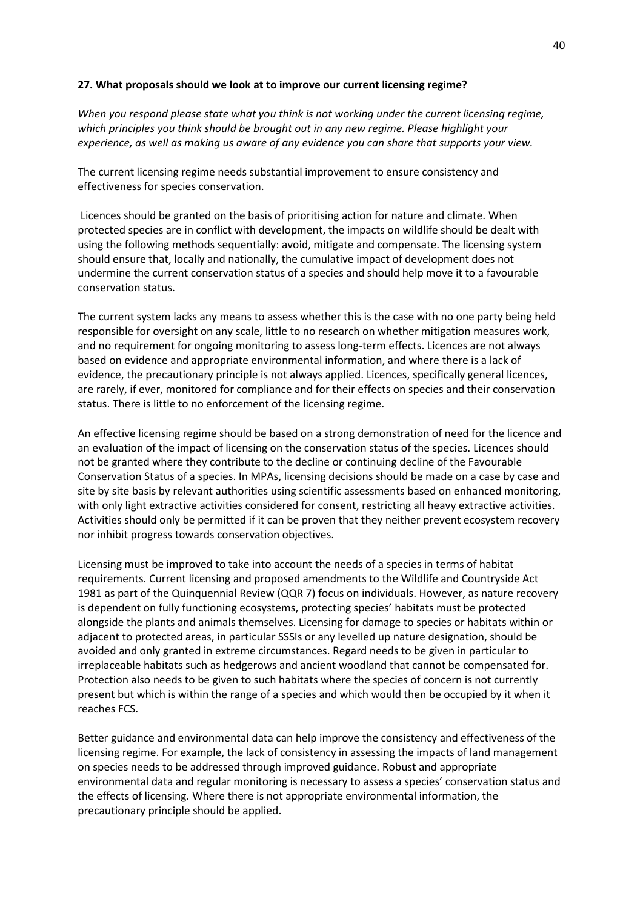### **27. What proposals should we look at to improve our current licensing regime?**

*When you respond please state what you think is not working under the current licensing regime, which principles you think should be brought out in any new regime. Please highlight your experience, as well as making us aware of any evidence you can share that supports your view.*

The current licensing regime needs substantial improvement to ensure consistency and effectiveness for species conservation.

Licences should be granted on the basis of prioritising action for nature and climate. When protected species are in conflict with development, the impacts on wildlife should be dealt with using the following methods sequentially: avoid, mitigate and compensate. The licensing system should ensure that, locally and nationally, the cumulative impact of development does not undermine the current conservation status of a species and should help move it to a favourable conservation status.

The current system lacks any means to assess whether this is the case with no one party being held responsible for oversight on any scale, little to no research on whether mitigation measures work, and no requirement for ongoing monitoring to assess long-term effects. Licences are not always based on evidence and appropriate environmental information, and where there is a lack of evidence, the precautionary principle is not always applied. Licences, specifically general licences, are rarely, if ever, monitored for compliance and for their effects on species and their conservation status. There is little to no enforcement of the licensing regime.

An effective licensing regime should be based on a strong demonstration of need for the licence and an evaluation of the impact of licensing on the conservation status of the species. Licences should not be granted where they contribute to the decline or continuing decline of the Favourable Conservation Status of a species. In MPAs, licensing decisions should be made on a case by case and site by site basis by relevant authorities using scientific assessments based on enhanced monitoring, with only light extractive activities considered for consent, restricting all heavy extractive activities. Activities should only be permitted if it can be proven that they neither prevent ecosystem recovery nor inhibit progress towards conservation objectives.

Licensing must be improved to take into account the needs of a species in terms of habitat requirements. Current licensing and proposed amendments to the Wildlife and Countryside Act 1981 as part of the Quinquennial Review (QQR 7) focus on individuals. However, as nature recovery is dependent on fully functioning ecosystems, protecting species' habitats must be protected alongside the plants and animals themselves. Licensing for damage to species or habitats within or adjacent to protected areas, in particular SSSIs or any levelled up nature designation, should be avoided and only granted in extreme circumstances. Regard needs to be given in particular to irreplaceable habitats such as hedgerows and ancient woodland that cannot be compensated for. Protection also needs to be given to such habitats where the species of concern is not currently present but which is within the range of a species and which would then be occupied by it when it reaches FCS.

Better guidance and environmental data can help improve the consistency and effectiveness of the licensing regime. For example, the lack of consistency in assessing the impacts of land management on species needs to be addressed through improved guidance. Robust and appropriate environmental data and regular monitoring is necessary to assess a species' conservation status and the effects of licensing. Where there is not appropriate environmental information, the precautionary principle should be applied.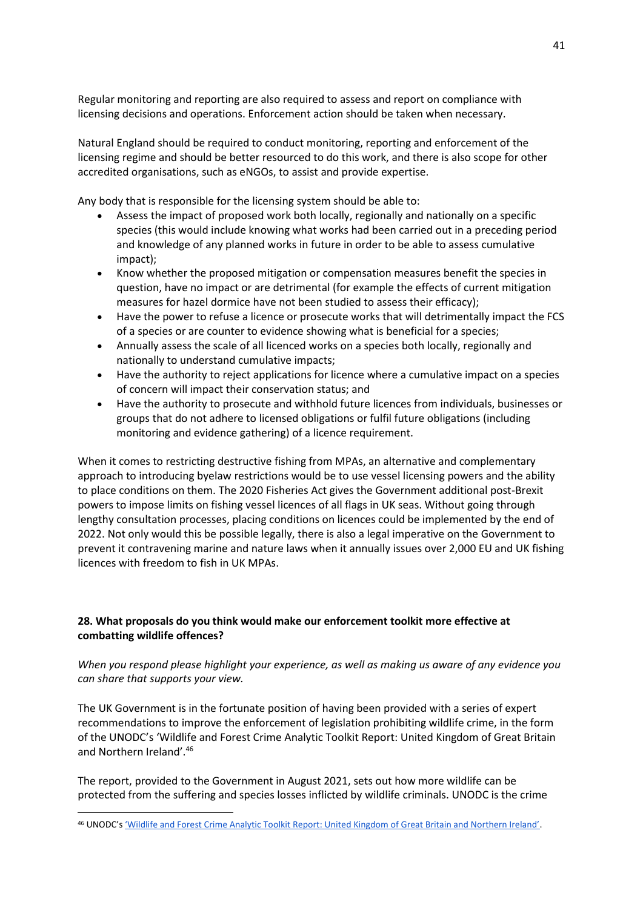Regular monitoring and reporting are also required to assess and report on compliance with licensing decisions and operations. Enforcement action should be taken when necessary.

Natural England should be required to conduct monitoring, reporting and enforcement of the licensing regime and should be better resourced to do this work, and there is also scope for other accredited organisations, such as eNGOs, to assist and provide expertise.

Any body that is responsible for the licensing system should be able to:

- Assess the impact of proposed work both locally, regionally and nationally on a specific species (this would include knowing what works had been carried out in a preceding period and knowledge of any planned works in future in order to be able to assess cumulative impact);
- Know whether the proposed mitigation or compensation measures benefit the species in question, have no impact or are detrimental (for example the effects of current mitigation measures for hazel dormice have not been studied to assess their efficacy);
- Have the power to refuse a licence or prosecute works that will detrimentally impact the FCS of a species or are counter to evidence showing what is beneficial for a species;
- Annually assess the scale of all licenced works on a species both locally, regionally and nationally to understand cumulative impacts;
- Have the authority to reject applications for licence where a cumulative impact on a species of concern will impact their conservation status; and
- Have the authority to prosecute and withhold future licences from individuals, businesses or groups that do not adhere to licensed obligations or fulfil future obligations (including monitoring and evidence gathering) of a licence requirement.

When it comes to restricting destructive fishing from MPAs, an alternative and complementary approach to introducing byelaw restrictions would be to use vessel licensing powers and the ability to place conditions on them. The 2020 Fisheries Act gives the Government additional post-Brexit powers to impose limits on fishing vessel licences of all flags in UK seas. Without going through lengthy consultation processes, placing conditions on licences could be implemented by the end of 2022. Not only would this be possible legally, there is also a legal imperative on the Government to prevent it contravening marine and nature laws when it annually issues over 2,000 EU and UK fishing licences with freedom to fish in UK MPAs.

## **28. What proposals do you think would make our enforcement toolkit more effective at combatting wildlife offences?**

## *When you respond please highlight your experience, as well as making us aware of any evidence you can share that supports your view.*

The UK Government is in the fortunate position of having been provided with a series of expert recommendations to improve the enforcement of legislation prohibiting wildlife crime, in the form of the UNODC's 'Wildlife and Forest Crime Analytic Toolkit Report: United Kingdom of Great Britain and Northern Ireland'. 46

The report, provided to the Government in August 2021, sets out how more wildlife can be protected from the suffering and species losses inflicted by wildlife criminals. UNODC is the crime

<sup>46</sup> UNODC's ['Wildlife and Forest Crime Analytic Toolkit Report: United Kingdom of Great Britain and Northern Ireland'](https://www.unodc.org/documents/Wildlife/UK_Toolkit_Report.pdf).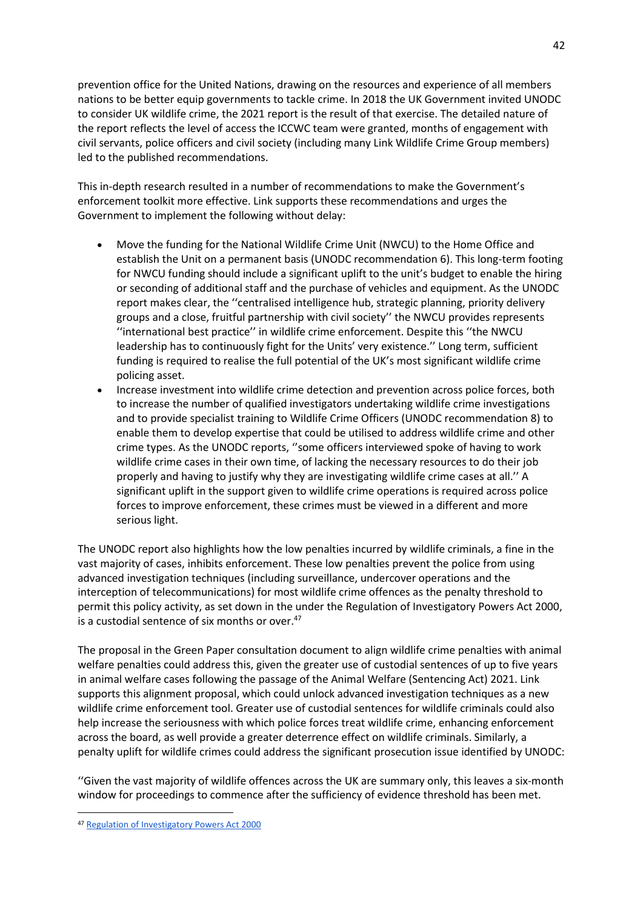prevention office for the United Nations, drawing on the resources and experience of all members nations to be better equip governments to tackle crime. In 2018 the UK Government invited UNODC to consider UK wildlife crime, the 2021 report is the result of that exercise. The detailed nature of the report reflects the level of access the ICCWC team were granted, months of engagement with civil servants, police officers and civil society (including many Link Wildlife Crime Group members) led to the published recommendations.

This in-depth research resulted in a number of recommendations to make the Government's enforcement toolkit more effective. Link supports these recommendations and urges the Government to implement the following without delay:

- Move the funding for the National Wildlife Crime Unit (NWCU) to the Home Office and establish the Unit on a permanent basis (UNODC recommendation 6). This long-term footing for NWCU funding should include a significant uplift to the unit's budget to enable the hiring or seconding of additional staff and the purchase of vehicles and equipment. As the UNODC report makes clear, the ''centralised intelligence hub, strategic planning, priority delivery groups and a close, fruitful partnership with civil society'' the NWCU provides represents ''international best practice'' in wildlife crime enforcement. Despite this ''the NWCU leadership has to continuously fight for the Units' very existence.'' Long term, sufficient funding is required to realise the full potential of the UK's most significant wildlife crime policing asset.
- Increase investment into wildlife crime detection and prevention across police forces, both to increase the number of qualified investigators undertaking wildlife crime investigations and to provide specialist training to Wildlife Crime Officers (UNODC recommendation 8) to enable them to develop expertise that could be utilised to address wildlife crime and other crime types. As the UNODC reports, ''some officers interviewed spoke of having to work wildlife crime cases in their own time, of lacking the necessary resources to do their job properly and having to justify why they are investigating wildlife crime cases at all.'' A significant uplift in the support given to wildlife crime operations is required across police forces to improve enforcement, these crimes must be viewed in a different and more serious light.

The UNODC report also highlights how the low penalties incurred by wildlife criminals, a fine in the vast majority of cases, inhibits enforcement. These low penalties prevent the police from using advanced investigation techniques (including surveillance, undercover operations and the interception of telecommunications) for most wildlife crime offences as the penalty threshold to permit this policy activity, as set down in the under the Regulation of Investigatory Powers Act 2000, is a custodial sentence of six months or over.<sup>47</sup>

The proposal in the Green Paper consultation document to align wildlife crime penalties with animal welfare penalties could address this, given the greater use of custodial sentences of up to five years in animal welfare cases following the passage of the Animal Welfare (Sentencing Act) 2021. Link supports this alignment proposal, which could unlock advanced investigation techniques as a new wildlife crime enforcement tool. Greater use of custodial sentences for wildlife criminals could also help increase the seriousness with which police forces treat wildlife crime, enhancing enforcement across the board, as well provide a greater deterrence effect on wildlife criminals. Similarly, a penalty uplift for wildlife crimes could address the significant prosecution issue identified by UNODC:

''Given the vast majority of wildlife offences across the UK are summary only, this leaves a six-month window for proceedings to commence after the sufficiency of evidence threshold has been met.

<sup>47</sup> [Regulation of Investigatory Powers Act 2000](https://assets.publishing.service.gov.uk/government/uploads/system/uploads/attachment_data/file/118173/local-authority-england-wales.pdf)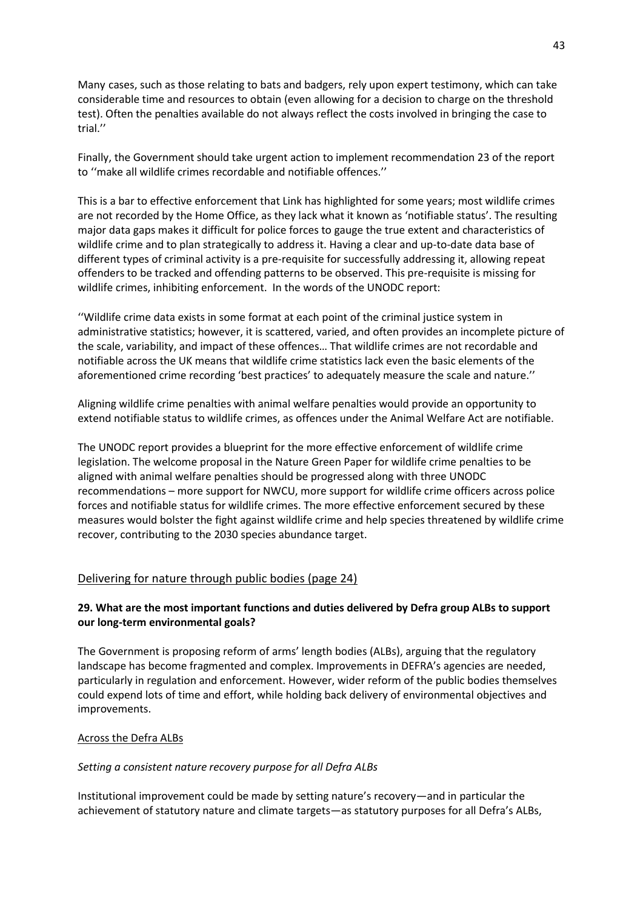Many cases, such as those relating to bats and badgers, rely upon expert testimony, which can take considerable time and resources to obtain (even allowing for a decision to charge on the threshold test). Often the penalties available do not always reflect the costs involved in bringing the case to trial.''

Finally, the Government should take urgent action to implement recommendation 23 of the report to ''make all wildlife crimes recordable and notifiable offences.''

This is a bar to effective enforcement that Link has highlighted for some years; most wildlife crimes are not recorded by the Home Office, as they lack what it known as 'notifiable status'. The resulting major data gaps makes it difficult for police forces to gauge the true extent and characteristics of wildlife crime and to plan strategically to address it. Having a clear and up-to-date data base of different types of criminal activity is a pre-requisite for successfully addressing it, allowing repeat offenders to be tracked and offending patterns to be observed. This pre-requisite is missing for wildlife crimes, inhibiting enforcement. In the words of the UNODC report:

''Wildlife crime data exists in some format at each point of the criminal justice system in administrative statistics; however, it is scattered, varied, and often provides an incomplete picture of the scale, variability, and impact of these offences… That wildlife crimes are not recordable and notifiable across the UK means that wildlife crime statistics lack even the basic elements of the aforementioned crime recording 'best practices' to adequately measure the scale and nature.''

Aligning wildlife crime penalties with animal welfare penalties would provide an opportunity to extend notifiable status to wildlife crimes, as offences under the Animal Welfare Act are notifiable.

The UNODC report provides a blueprint for the more effective enforcement of wildlife crime legislation. The welcome proposal in the Nature Green Paper for wildlife crime penalties to be aligned with animal welfare penalties should be progressed along with three UNODC recommendations – more support for NWCU, more support for wildlife crime officers across police forces and notifiable status for wildlife crimes. The more effective enforcement secured by these measures would bolster the fight against wildlife crime and help species threatened by wildlife crime recover, contributing to the 2030 species abundance target.

## Delivering for nature through public bodies (page 24)

## **29. What are the most important functions and duties delivered by Defra group ALBs to support our long-term environmental goals?**

The Government is proposing reform of arms' length bodies (ALBs), arguing that the regulatory landscape has become fragmented and complex. Improvements in DEFRA's agencies are needed, particularly in regulation and enforcement. However, wider reform of the public bodies themselves could expend lots of time and effort, while holding back delivery of environmental objectives and improvements.

## Across the Defra ALBs

## *Setting a consistent nature recovery purpose for all Defra ALBs*

Institutional improvement could be made by setting nature's recovery—and in particular the achievement of statutory nature and climate targets—as statutory purposes for all Defra's ALBs,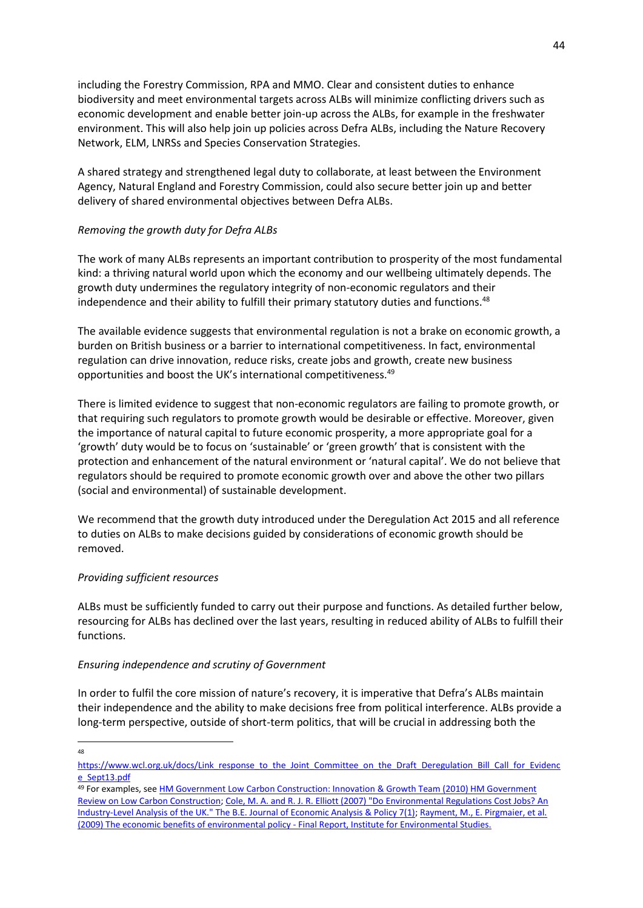including the Forestry Commission, RPA and MMO. Clear and consistent duties to enhance biodiversity and meet environmental targets across ALBs will minimize conflicting drivers such as economic development and enable better join-up across the ALBs, for example in the freshwater environment. This will also help join up policies across Defra ALBs, including the Nature Recovery Network, ELM, LNRSs and Species Conservation Strategies.

A shared strategy and strengthened legal duty to collaborate, at least between the Environment Agency, Natural England and Forestry Commission, could also secure better join up and better delivery of shared environmental objectives between Defra ALBs.

## *Removing the growth duty for Defra ALBs*

The work of many ALBs represents an important contribution to prosperity of the most fundamental kind: a thriving natural world upon which the economy and our wellbeing ultimately depends. The growth duty undermines the regulatory integrity of non-economic regulators and their independence and their ability to fulfill their primary statutory duties and functions.<sup>48</sup>

The available evidence suggests that environmental regulation is not a brake on economic growth, a burden on British business or a barrier to international competitiveness. In fact, environmental regulation can drive innovation, reduce risks, create jobs and growth, create new business opportunities and boost the UK's international competitiveness.<sup>49</sup>

There is limited evidence to suggest that non-economic regulators are failing to promote growth, or that requiring such regulators to promote growth would be desirable or effective. Moreover, given the importance of natural capital to future economic prosperity, a more appropriate goal for a 'growth' duty would be to focus on 'sustainable' or 'green growth' that is consistent with the protection and enhancement of the natural environment or 'natural capital'. We do not believe that regulators should be required to promote economic growth over and above the other two pillars (social and environmental) of sustainable development.

We recommend that the growth duty introduced under the Deregulation Act 2015 and all reference to duties on ALBs to make decisions guided by considerations of economic growth should be removed.

## *Providing sufficient resources*

ALBs must be sufficiently funded to carry out their purpose and functions. As detailed further below, resourcing for ALBs has declined over the last years, resulting in reduced ability of ALBs to fulfill their functions.

## *Ensuring independence and scrutiny of Government*

In order to fulfil the core mission of nature's recovery, it is imperative that Defra's ALBs maintain their independence and the ability to make decisions free from political interference. ALBs provide a long-term perspective, outside of short-term politics, that will be crucial in addressing both the

<sup>48</sup>

[https://www.wcl.org.uk/docs/Link\\_response\\_to\\_the\\_Joint\\_Committee\\_on\\_the\\_Draft\\_Deregulation\\_Bill\\_Call\\_for\\_Evidenc](https://www.wcl.org.uk/docs/Link_response_to_the_Joint_Committee_on_the_Draft_Deregulation_Bill_Call_for_Evidence_Sept13.pdf) [e\\_Sept13.pdf](https://www.wcl.org.uk/docs/Link_response_to_the_Joint_Committee_on_the_Draft_Deregulation_Bill_Call_for_Evidence_Sept13.pdf)

<sup>49</sup> For examples, se[e HM Government Low Carbon Construction: Innovation](https://assets.publishing.service.gov.uk/government/uploads/system/uploads/attachment_data/file/31774/10-1266es-low-carbon-construction-igt-executive-summary.pdf) & Growth Team (2010) HM Government [Review on Low Carbon Construction;](https://assets.publishing.service.gov.uk/government/uploads/system/uploads/attachment_data/file/31774/10-1266es-low-carbon-construction-igt-executive-summary.pdf) [Cole, M. A. and R. J. R. Elliott \(2007\) "Do Environmental Regulations Cost Jobs? An](https://econpapers.repec.org/article/bpjbejeap/v_3a7_3ay_3a2007_3ai_3a1_3an_3a28.htm)  [Industry-Level Analysis of the UK." The B.E. Journal of Economic Analysis & Policy 7\(1\);](https://econpapers.repec.org/article/bpjbejeap/v_3a7_3ay_3a2007_3ai_3a1_3an_3a28.htm) [Rayment, M., E. Pirgmaier, et al.](https://ec.europa.eu/environment/enveco/economics_policy/pdf/report_economic_benefits.pdf)  [\(2009\) The economic benefits of environmental policy -](https://ec.europa.eu/environment/enveco/economics_policy/pdf/report_economic_benefits.pdf) Final Report, Institute for Environmental Studies.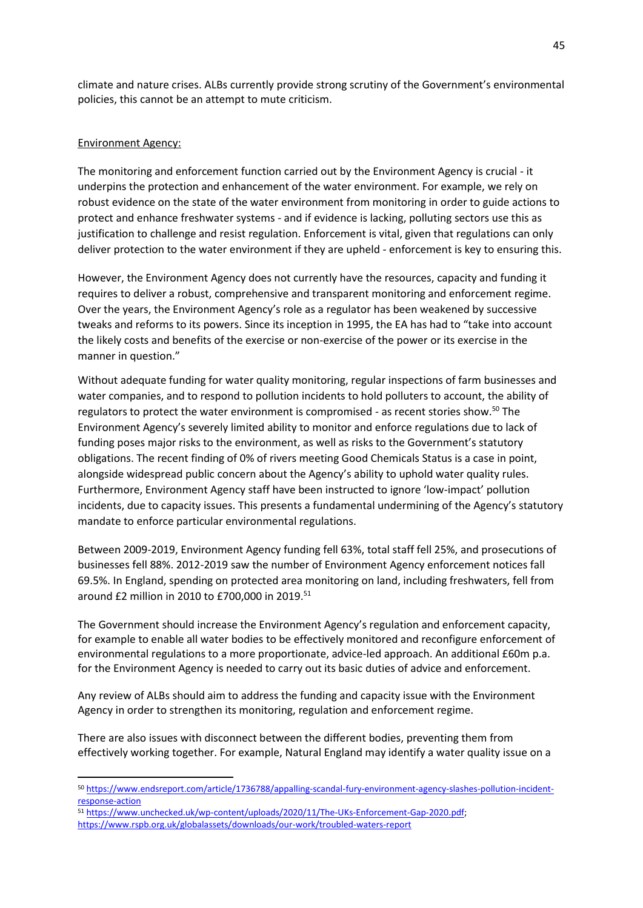climate and nature crises. ALBs currently provide strong scrutiny of the Government's environmental policies, this cannot be an attempt to mute criticism.

### Environment Agency:

The monitoring and enforcement function carried out by the Environment Agency is crucial - it underpins the protection and enhancement of the water environment. For example, we rely on robust evidence on the state of the water environment from monitoring in order to guide actions to protect and enhance freshwater systems - and if evidence is lacking, polluting sectors use this as justification to challenge and resist regulation. Enforcement is vital, given that regulations can only deliver protection to the water environment if they are upheld - enforcement is key to ensuring this.

However, the Environment Agency does not currently have the resources, capacity and funding it requires to deliver a robust, comprehensive and transparent monitoring and enforcement regime. Over the years, the Environment Agency's role as a regulator has been weakened by successive tweaks and reforms to its powers. Since its inception in 1995, the EA has had to "take into account the likely costs and benefits of the exercise or non-exercise of the power or its exercise in the manner in question."

Without adequate funding for water quality monitoring, regular inspections of farm businesses and water companies, and to respond to pollution incidents to hold polluters to account, the ability of regulators to protect the water environment is compromised - as recent stories show.<sup>50</sup> The Environment Agency's severely limited ability to monitor and enforce regulations due to lack of funding poses major risks to the environment, as well as risks to the Government's statutory obligations. The recent finding of 0% of rivers meeting Good Chemicals Status is a case in point, alongside widespread public concern about the Agency's ability to uphold water quality rules. Furthermore, Environment Agency staff have been instructed to ignore 'low-impact' pollution incidents, due to capacity issues. This presents a fundamental undermining of the Agency's statutory mandate to enforce particular environmental regulations.

Between 2009-2019, Environment Agency funding fell 63%, total staff fell 25%, and prosecutions of businesses fell 88%. 2012-2019 saw the number of Environment Agency enforcement notices fall 69.5%. In England, spending on protected area monitoring on land, including freshwaters, fell from around £2 million in 2010 to £700,000 in 2019.<sup>51</sup>

The Government should increase the Environment Agency's regulation and enforcement capacity, for example to enable all water bodies to be effectively monitored and reconfigure enforcement of environmental regulations to a more proportionate, advice-led approach. An additional £60m p.a. for the Environment Agency is needed to carry out its basic duties of advice and enforcement.

Any review of ALBs should aim to address the funding and capacity issue with the Environment Agency in order to strengthen its monitoring, regulation and enforcement regime.

There are also issues with disconnect between the different bodies, preventing them from effectively working together. For example, Natural England may identify a water quality issue on a

<sup>50</sup> [https://www.endsreport.com/article/1736788/appalling-scandal-fury-environment-agency-slashes-pollution-incident](https://www.endsreport.com/article/1736788/appalling-scandal-fury-environment-agency-slashes-pollution-incident-response-action)[response-action](https://www.endsreport.com/article/1736788/appalling-scandal-fury-environment-agency-slashes-pollution-incident-response-action)

<sup>51</sup> [https://www.unchecked.uk/wp-content/uploads/2020/11/The-UKs-Enforcement-Gap-2020.pdf;](https://www.unchecked.uk/wp-content/uploads/2020/11/The-UKs-Enforcement-Gap-2020.pdf) <https://www.rspb.org.uk/globalassets/downloads/our-work/troubled-waters-report>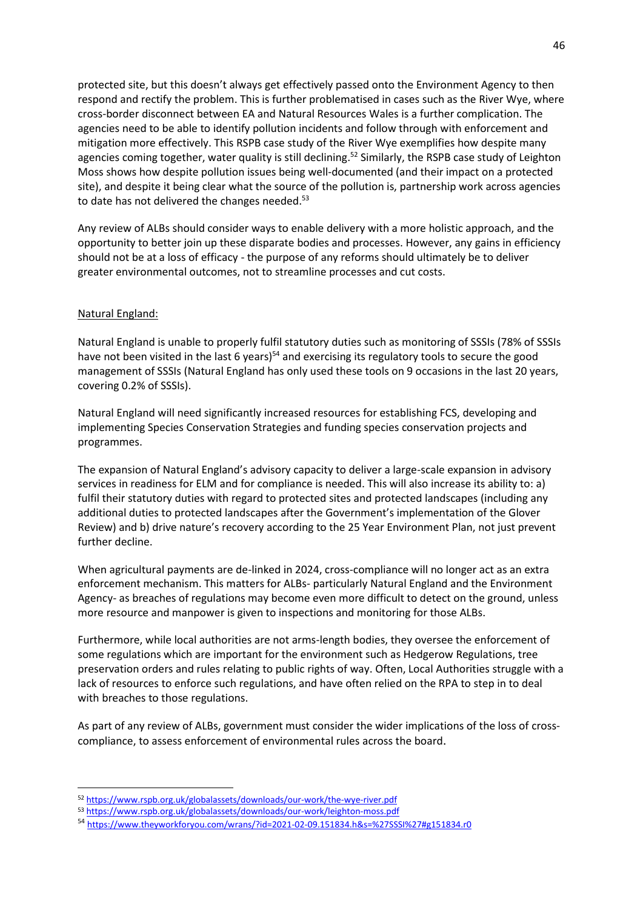protected site, but this doesn't always get effectively passed onto the Environment Agency to then respond and rectify the problem. This is further problematised in cases such as the River Wye, where cross-border disconnect between EA and Natural Resources Wales is a further complication. The agencies need to be able to identify pollution incidents and follow through with enforcement and mitigation more effectively. This RSPB case study of the River Wye exemplifies how despite many agencies coming together, water quality is still declining.<sup>52</sup> Similarly, the RSPB case study of Leighton Moss shows how despite pollution issues being well-documented (and their impact on a protected site), and despite it being clear what the source of the pollution is, partnership work across agencies to date has not delivered the changes needed.<sup>53</sup>

Any review of ALBs should consider ways to enable delivery with a more holistic approach, and the opportunity to better join up these disparate bodies and processes. However, any gains in efficiency should not be at a loss of efficacy - the purpose of any reforms should ultimately be to deliver greater environmental outcomes, not to streamline processes and cut costs.

### Natural England:

Natural England is unable to properly fulfil statutory duties such as monitoring of SSSIs (78% of SSSIs have not been visited in the last 6 years)<sup>54</sup> and exercising its regulatory tools to secure the good management of SSSIs (Natural England has only used these tools on 9 occasions in the last 20 years, covering 0.2% of SSSIs).

Natural England will need significantly increased resources for establishing FCS, developing and implementing Species Conservation Strategies and funding species conservation projects and programmes.

The expansion of Natural England's advisory capacity to deliver a large-scale expansion in advisory services in readiness for ELM and for compliance is needed. This will also increase its ability to: a) fulfil their statutory duties with regard to protected sites and protected landscapes (including any additional duties to protected landscapes after the Government's implementation of the Glover Review) and b) drive nature's recovery according to the 25 Year Environment Plan, not just prevent further decline.

When agricultural payments are de-linked in 2024, cross-compliance will no longer act as an extra enforcement mechanism. This matters for ALBs- particularly Natural England and the Environment Agency- as breaches of regulations may become even more difficult to detect on the ground, unless more resource and manpower is given to inspections and monitoring for those ALBs.

Furthermore, while local authorities are not arms-length bodies, they oversee the enforcement of some regulations which are important for the environment such as Hedgerow Regulations, tree preservation orders and rules relating to public rights of way. Often, Local Authorities struggle with a lack of resources to enforce such regulations, and have often relied on the RPA to step in to deal with breaches to those regulations.

As part of any review of ALBs, government must consider the wider implications of the loss of crosscompliance, to assess enforcement of environmental rules across the board.

<sup>52</sup> <https://www.rspb.org.uk/globalassets/downloads/our-work/the-wye-river.pdf>

<sup>53</sup> <https://www.rspb.org.uk/globalassets/downloads/our-work/leighton-moss.pdf>

<sup>54</sup> <https://www.theyworkforyou.com/wrans/?id=2021-02-09.151834.h&s=%27SSSI%27#g151834.r0>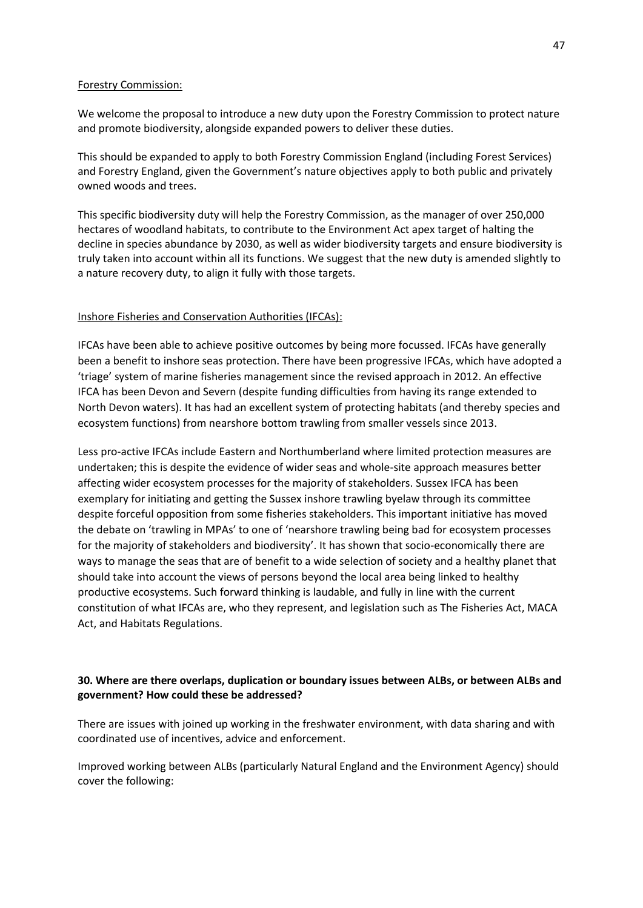#### Forestry Commission:

We welcome the proposal to introduce a new duty upon the Forestry Commission to protect nature and promote biodiversity, alongside expanded powers to deliver these duties.

This should be expanded to apply to both Forestry Commission England (including Forest Services) and Forestry England, given the Government's nature objectives apply to both public and privately owned woods and trees.

This specific biodiversity duty will help the Forestry Commission, as the manager of over 250,000 hectares of woodland habitats, to contribute to the Environment Act apex target of halting the decline in species abundance by 2030, as well as wider biodiversity targets and ensure biodiversity is truly taken into account within all its functions. We suggest that the new duty is amended slightly to a nature recovery duty, to align it fully with those targets.

## Inshore Fisheries and Conservation Authorities (IFCAs):

IFCAs have been able to achieve positive outcomes by being more focussed. IFCAs have generally been a benefit to inshore seas protection. There have been progressive IFCAs, which have adopted a 'triage' system of marine fisheries management since the revised approach in 2012. An effective IFCA has been Devon and Severn (despite funding difficulties from having its range extended to North Devon waters). It has had an excellent system of protecting habitats (and thereby species and ecosystem functions) from nearshore bottom trawling from smaller vessels since 2013.

Less pro-active IFCAs include Eastern and Northumberland where limited protection measures are undertaken; this is despite the evidence of wider seas and whole-site approach measures better affecting wider ecosystem processes for the majority of stakeholders. Sussex IFCA has been exemplary for initiating and getting the Sussex inshore trawling byelaw through its committee despite forceful opposition from some fisheries stakeholders. This important initiative has moved the debate on 'trawling in MPAs' to one of 'nearshore trawling being bad for ecosystem processes for the majority of stakeholders and biodiversity'. It has shown that socio-economically there are ways to manage the seas that are of benefit to a wide selection of society and a healthy planet that should take into account the views of persons beyond the local area being linked to healthy productive ecosystems. Such forward thinking is laudable, and fully in line with the current constitution of what IFCAs are, who they represent, and legislation such as The Fisheries Act, MACA Act, and Habitats Regulations.

## **30. Where are there overlaps, duplication or boundary issues between ALBs, or between ALBs and government? How could these be addressed?**

There are issues with joined up working in the freshwater environment, with data sharing and with coordinated use of incentives, advice and enforcement.

Improved working between ALBs (particularly Natural England and the Environment Agency) should cover the following: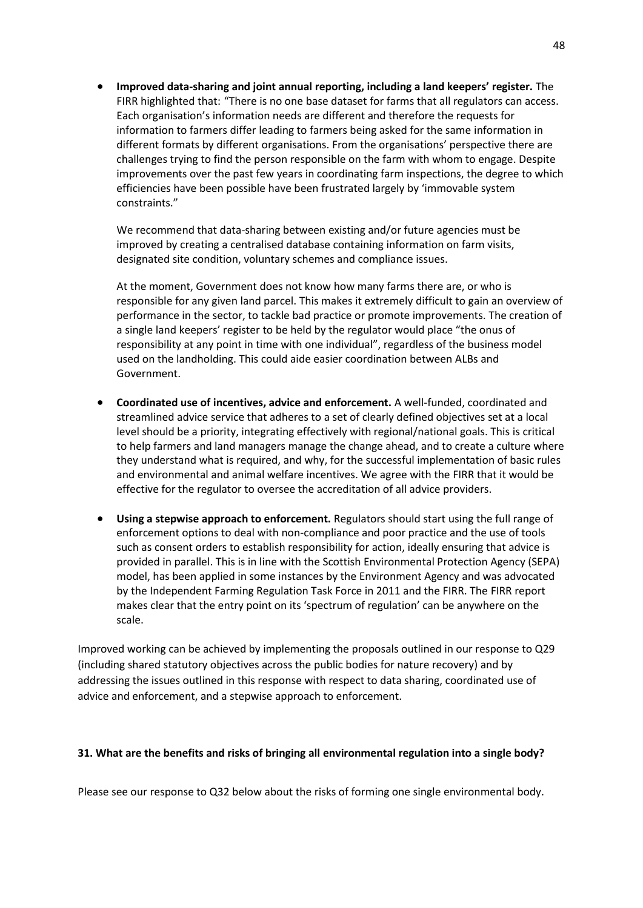• **Improved data-sharing and joint annual reporting, including a land keepers' register.** The FIRR highlighted that: "There is no one base dataset for farms that all regulators can access. Each organisation's information needs are different and therefore the requests for information to farmers differ leading to farmers being asked for the same information in different formats by different organisations. From the organisations' perspective there are challenges trying to find the person responsible on the farm with whom to engage. Despite improvements over the past few years in coordinating farm inspections, the degree to which efficiencies have been possible have been frustrated largely by 'immovable system constraints."

We recommend that data-sharing between existing and/or future agencies must be improved by creating a centralised database containing information on farm visits, designated site condition, voluntary schemes and compliance issues.

At the moment, Government does not know how many farms there are, or who is responsible for any given land parcel. This makes it extremely difficult to gain an overview of performance in the sector, to tackle bad practice or promote improvements. The creation of a single land keepers' register to be held by the regulator would place "the onus of responsibility at any point in time with one individual", regardless of the business model used on the landholding. This could aide easier coordination between ALBs and Government.

- **Coordinated use of incentives, advice and enforcement.** A well-funded, coordinated and streamlined advice service that adheres to a set of clearly defined objectives set at a local level should be a priority, integrating effectively with regional/national goals. This is critical to help farmers and land managers manage the change ahead, and to create a culture where they understand what is required, and why, for the successful implementation of basic rules and environmental and animal welfare incentives. We agree with the FIRR that it would be effective for the regulator to oversee the accreditation of all advice providers.
- **Using a stepwise approach to enforcement.** Regulators should start using the full range of enforcement options to deal with non-compliance and poor practice and the use of tools such as consent orders to establish responsibility for action, ideally ensuring that advice is provided in parallel. This is in line with the Scottish Environmental Protection Agency (SEPA) model, has been applied in some instances by the Environment Agency and was advocated by the Independent Farming Regulation Task Force in 2011 and the FIRR. The FIRR report makes clear that the entry point on its 'spectrum of regulation' can be anywhere on the scale.

Improved working can be achieved by implementing the proposals outlined in our response to Q29 (including shared statutory objectives across the public bodies for nature recovery) and by addressing the issues outlined in this response with respect to data sharing, coordinated use of advice and enforcement, and a stepwise approach to enforcement.

## **31. What are the benefits and risks of bringing all environmental regulation into a single body?**

Please see our response to Q32 below about the risks of forming one single environmental body.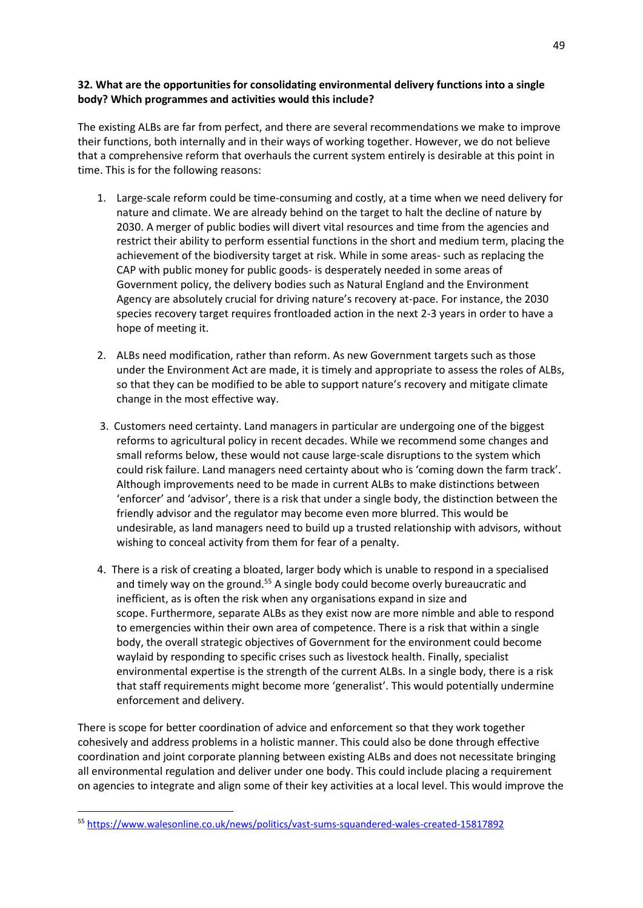## **32. What are the opportunities for consolidating environmental delivery functions into a single body? Which programmes and activities would this include?**

The existing ALBs are far from perfect, and there are several recommendations we make to improve their functions, both internally and in their ways of working together. However, we do not believe that a comprehensive reform that overhauls the current system entirely is desirable at this point in time. This is for the following reasons:

- 1. Large-scale reform could be time-consuming and costly, at a time when we need delivery for nature and climate. We are already behind on the target to halt the decline of nature by 2030. A merger of public bodies will divert vital resources and time from the agencies and restrict their ability to perform essential functions in the short and medium term, placing the achievement of the biodiversity target at risk. While in some areas- such as replacing the CAP with public money for public goods- is desperately needed in some areas of Government policy, the delivery bodies such as Natural England and the Environment Agency are absolutely crucial for driving nature's recovery at-pace. For instance, the 2030 species recovery target requires frontloaded action in the next 2-3 years in order to have a hope of meeting it.
- 2. ALBs need modification, rather than reform. As new Government targets such as those under the Environment Act are made, it is timely and appropriate to assess the roles of ALBs, so that they can be modified to be able to support nature's recovery and mitigate climate change in the most effective way.
- 3. Customers need certainty. Land managers in particular are undergoing one of the biggest reforms to agricultural policy in recent decades. While we recommend some changes and small reforms below, these would not cause large-scale disruptions to the system which could risk failure. Land managers need certainty about who is 'coming down the farm track'. Although improvements need to be made in current ALBs to make distinctions between 'enforcer' and 'advisor', there is a risk that under a single body, the distinction between the friendly advisor and the regulator may become even more blurred. This would be undesirable, as land managers need to build up a trusted relationship with advisors, without wishing to conceal activity from them for fear of a penalty.
- 4. There is a risk of creating a bloated, larger body which is unable to respond in a specialised and timely way on the ground.<sup>55</sup> A single body could become overly bureaucratic and inefficient, as is often the risk when any organisations expand in size and scope. Furthermore, separate ALBs as they exist now are more nimble and able to respond to emergencies within their own area of competence. There is a risk that within a single body, the overall strategic objectives of Government for the environment could become waylaid by responding to specific crises such as livestock health. Finally, specialist environmental expertise is the strength of the current ALBs. In a single body, there is a risk that staff requirements might become more 'generalist'. This would potentially undermine enforcement and delivery.

There is scope for better coordination of advice and enforcement so that they work together cohesively and address problems in a holistic manner. This could also be done through effective coordination and joint corporate planning between existing ALBs and does not necessitate bringing all environmental regulation and deliver under one body. This could include placing a requirement on agencies to integrate and align some of their key activities at a local level. This would improve the

<sup>55</sup> <https://www.walesonline.co.uk/news/politics/vast-sums-squandered-wales-created-15817892>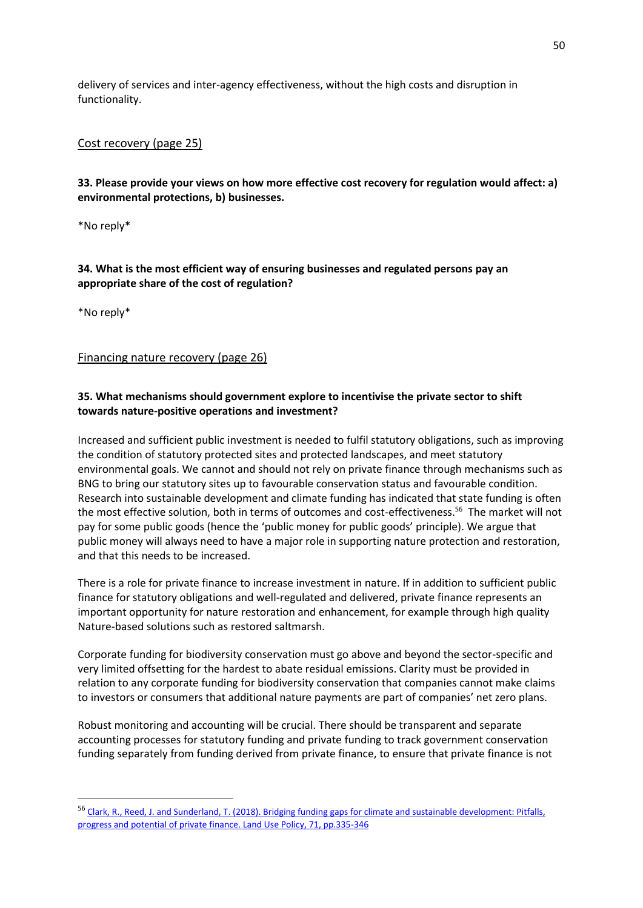delivery of services and inter-agency effectiveness, without the high costs and disruption in functionality.

## Cost recovery (page 25)

**33. Please provide your views on how more effective cost recovery for regulation would affect: a) environmental protections, b) businesses.**

\*No reply\*

# **34. What is the most efficient way of ensuring businesses and regulated persons pay an appropriate share of the cost of regulation?**

\*No reply\*

Financing nature recovery (page 26)

# **35. What mechanisms should government explore to incentivise the private sector to shift towards nature-positive operations and investment?**

Increased and sufficient public investment is needed to fulfil statutory obligations, such as improving the condition of statutory protected sites and protected landscapes, and meet statutory environmental goals. We cannot and should not rely on private finance through mechanisms such as BNG to bring our statutory sites up to favourable conservation status and favourable condition. Research into sustainable development and climate funding has indicated that state funding is often the most effective solution, both in terms of outcomes and cost-effectiveness.<sup>56</sup> The market will not pay for some public goods (hence the 'public money for public goods' principle). We argue that public money will always need to have a major role in supporting nature protection and restoration, and that this needs to be increased.

There is a role for private finance to increase investment in nature. If in addition to sufficient public finance for statutory obligations and well-regulated and delivered, private finance represents an important opportunity for nature restoration and enhancement, for example through high quality Nature-based solutions such as restored saltmarsh.

Corporate funding for biodiversity conservation must go above and beyond the sector-specific and very limited offsetting for the hardest to abate residual emissions. Clarity must be provided in relation to any corporate funding for biodiversity conservation that companies cannot make claims to investors or consumers that additional nature payments are part of companies' net zero plans.

Robust monitoring and accounting will be crucial. There should be transparent and separate accounting processes for statutory funding and private funding to track government conservation funding separately from funding derived from private finance, to ensure that private finance is not

<sup>56</sup> [Clark, R., Reed, J. and Sunderland, T. \(2018\). Bridging funding gaps for climate and sustainable development: Pitfalls,](https://www.sciencedirect.com/science/article/pii/S0264837717310049)  [progress and potential of private finance. Land Use Policy, 71, pp.335-346](https://www.sciencedirect.com/science/article/pii/S0264837717310049)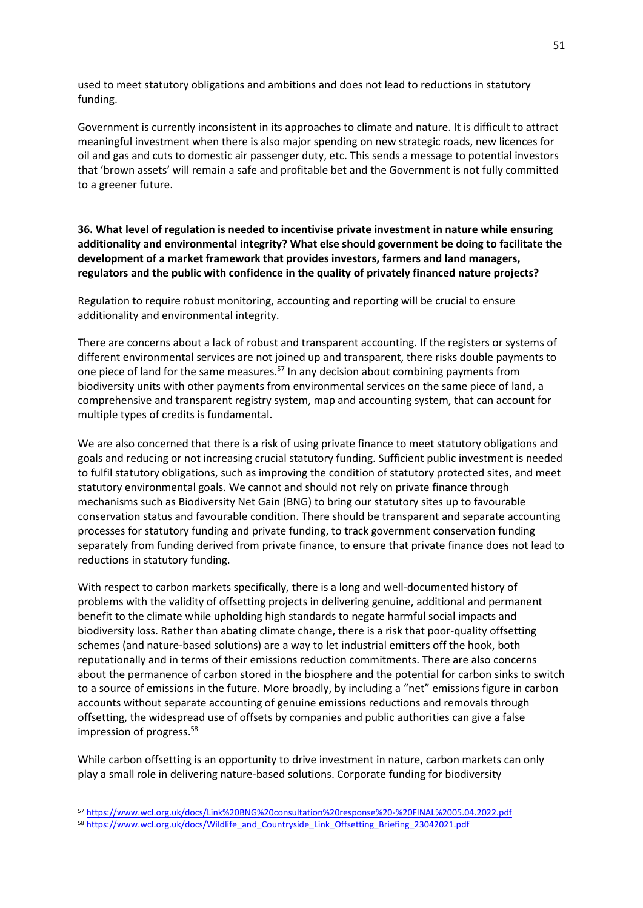used to meet statutory obligations and ambitions and does not lead to reductions in statutory funding.

Government is currently inconsistent in its approaches to climate and nature. It is difficult to attract meaningful investment when there is also major spending on new strategic roads, new licences for oil and gas and cuts to domestic air passenger duty, etc. This sends a message to potential investors that 'brown assets' will remain a safe and profitable bet and the Government is not fully committed to a greener future.

**36. What level of regulation is needed to incentivise private investment in nature while ensuring additionality and environmental integrity? What else should government be doing to facilitate the development of a market framework that provides investors, farmers and land managers, regulators and the public with confidence in the quality of privately financed nature projects?**

Regulation to require robust monitoring, accounting and reporting will be crucial to ensure additionality and environmental integrity.

There are concerns about a lack of robust and transparent accounting. If the registers or systems of different environmental services are not joined up and transparent, there risks double payments to one piece of land for the same measures.<sup>57</sup> In any decision about combining payments from biodiversity units with other payments from environmental services on the same piece of land, a comprehensive and transparent registry system, map and accounting system, that can account for multiple types of credits is fundamental.

We are also concerned that there is a risk of using private finance to meet statutory obligations and goals and reducing or not increasing crucial statutory funding. Sufficient public investment is needed to fulfil statutory obligations, such as improving the condition of statutory protected sites, and meet statutory environmental goals. We cannot and should not rely on private finance through mechanisms such as Biodiversity Net Gain (BNG) to bring our statutory sites up to favourable conservation status and favourable condition. There should be transparent and separate accounting processes for statutory funding and private funding, to track government conservation funding separately from funding derived from private finance, to ensure that private finance does not lead to reductions in statutory funding.

With respect to carbon markets specifically, there is a long and well-documented history of problems with the validity of offsetting projects in delivering genuine, additional and permanent benefit to the climate while upholding high standards to negate harmful social impacts and biodiversity loss. Rather than abating climate change, there is a risk that poor-quality offsetting schemes (and nature-based solutions) are a way to let industrial emitters off the hook, both reputationally and in terms of their emissions reduction commitments. There are also concerns about the permanence of carbon stored in the biosphere and the potential for carbon sinks to switch to a source of emissions in the future. More broadly, by including a "net" emissions figure in carbon accounts without separate accounting of genuine emissions reductions and removals through offsetting, the widespread use of offsets by companies and public authorities can give a false impression of progress.<sup>58</sup>

While carbon offsetting is an opportunity to drive investment in nature, carbon markets can only play a small role in delivering nature-based solutions. Corporate funding for biodiversity

<sup>57</sup> <https://www.wcl.org.uk/docs/Link%20BNG%20consultation%20response%20-%20FINAL%2005.04.2022.pdf>

<sup>58</sup> [https://www.wcl.org.uk/docs/Wildlife\\_and\\_Countryside\\_Link\\_Offsetting\\_Briefing\\_23042021.pdf](https://www.wcl.org.uk/docs/Wildlife_and_Countryside_Link_Offsetting_Briefing_23042021.pdf)